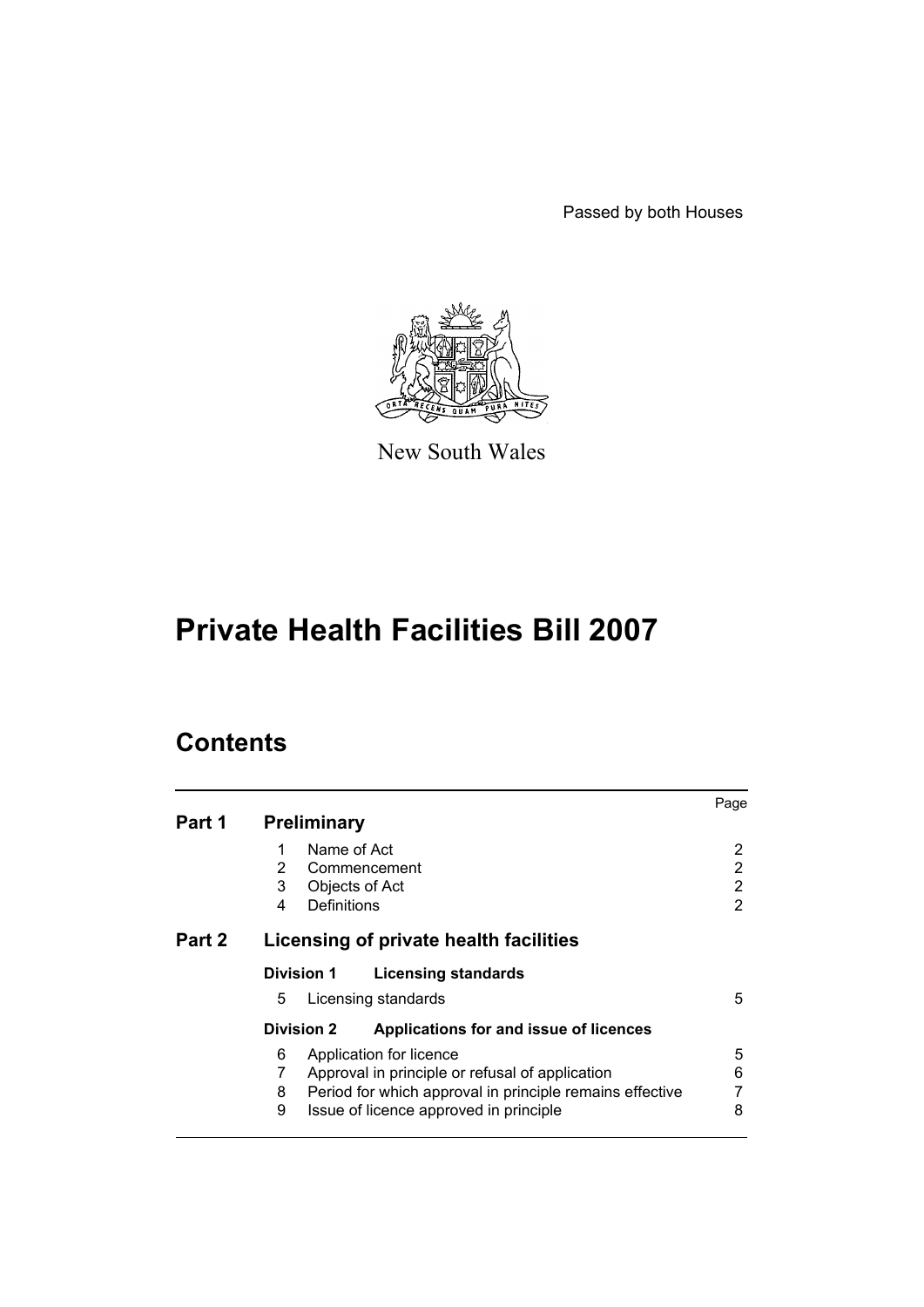Passed by both Houses



New South Wales

# **Private Health Facilities Bill 2007**

# **Contents**

| Part 1 | <b>Preliminary</b>                                                                                                                                                                                   | Page             |
|--------|------------------------------------------------------------------------------------------------------------------------------------------------------------------------------------------------------|------------------|
|        | Name of Act<br>1<br>$\mathbf{2}^{\prime}$<br>Commencement<br>3<br>Objects of Act<br>Definitions<br>4                                                                                                 | 2<br>2<br>2<br>2 |
| Part 2 | Licensing of private health facilities                                                                                                                                                               |                  |
|        | <b>Division 1</b><br><b>Licensing standards</b><br>5<br>Licensing standards                                                                                                                          | 5                |
|        | Applications for and issue of licences<br><b>Division 2</b>                                                                                                                                          |                  |
|        | 6<br>Application for licence<br>7<br>Approval in principle or refusal of application<br>Period for which approval in principle remains effective<br>8<br>9<br>Issue of licence approved in principle | 5<br>6<br>8      |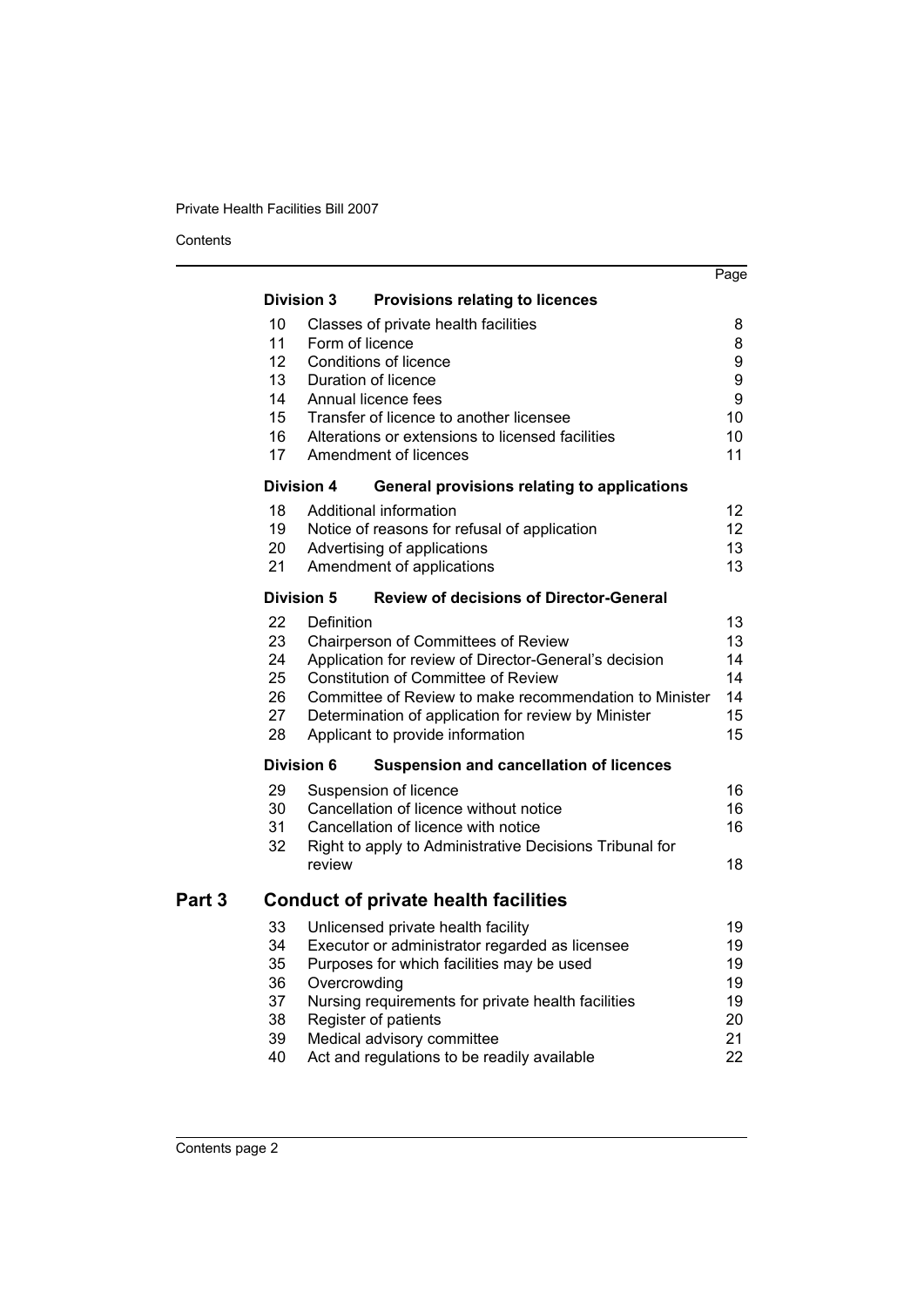**Contents** 

|        |                                                                               |                                      |                                                                                                                                                                                                                                                                                                                                                                                                               | Page                                                             |
|--------|-------------------------------------------------------------------------------|--------------------------------------|---------------------------------------------------------------------------------------------------------------------------------------------------------------------------------------------------------------------------------------------------------------------------------------------------------------------------------------------------------------------------------------------------------------|------------------------------------------------------------------|
|        |                                                                               |                                      |                                                                                                                                                                                                                                                                                                                                                                                                               |                                                                  |
|        | 10<br>11<br>12<br>13<br>14<br>15<br>16<br>17<br><b>Division 4</b><br>18<br>19 | <b>Division 3</b><br>Form of licence | <b>Provisions relating to licences</b><br>Classes of private health facilities<br><b>Conditions of licence</b><br>Duration of licence<br>Annual licence fees<br>Transfer of licence to another licensee<br>Alterations or extensions to licensed facilities<br>Amendment of licences<br>General provisions relating to applications<br>Additional information<br>Notice of reasons for refusal of application | 8<br>8<br>9<br>9<br>9<br>10<br>10<br>11<br>12<br>12 <sup>2</sup> |
|        | 20<br>21                                                                      |                                      | Advertising of applications<br>Amendment of applications                                                                                                                                                                                                                                                                                                                                                      | 13<br>13                                                         |
|        | <b>Division 5</b>                                                             |                                      | <b>Review of decisions of Director-General</b>                                                                                                                                                                                                                                                                                                                                                                |                                                                  |
|        | 22<br>23<br>24<br>25<br>26<br>27<br>28                                        | Definition                           | <b>Chairperson of Committees of Review</b><br>Application for review of Director-General's decision<br><b>Constitution of Committee of Review</b><br>Committee of Review to make recommendation to Minister<br>Determination of application for review by Minister<br>Applicant to provide information                                                                                                        | 13<br>13<br>14<br>14<br>14<br>15<br>15                           |
|        | <b>Division 6</b>                                                             |                                      | <b>Suspension and cancellation of licences</b>                                                                                                                                                                                                                                                                                                                                                                |                                                                  |
|        | 29<br>30<br>31<br>32                                                          | review                               | Suspension of licence<br>Cancellation of licence without notice<br>Cancellation of licence with notice<br>Right to apply to Administrative Decisions Tribunal for                                                                                                                                                                                                                                             | 16<br>16<br>16<br>18                                             |
| Part 3 |                                                                               |                                      | <b>Conduct of private health facilities</b>                                                                                                                                                                                                                                                                                                                                                                   |                                                                  |
|        | 33<br>34<br>35<br>36<br>37<br>38<br>39<br>40                                  | Overcrowding                         | Unlicensed private health facility<br>Executor or administrator regarded as licensee<br>Purposes for which facilities may be used<br>Nursing requirements for private health facilities<br>Register of patients<br>Medical advisory committee<br>Act and regulations to be readily available                                                                                                                  | 19<br>19<br>19<br>19<br>19<br>20<br>21<br>22                     |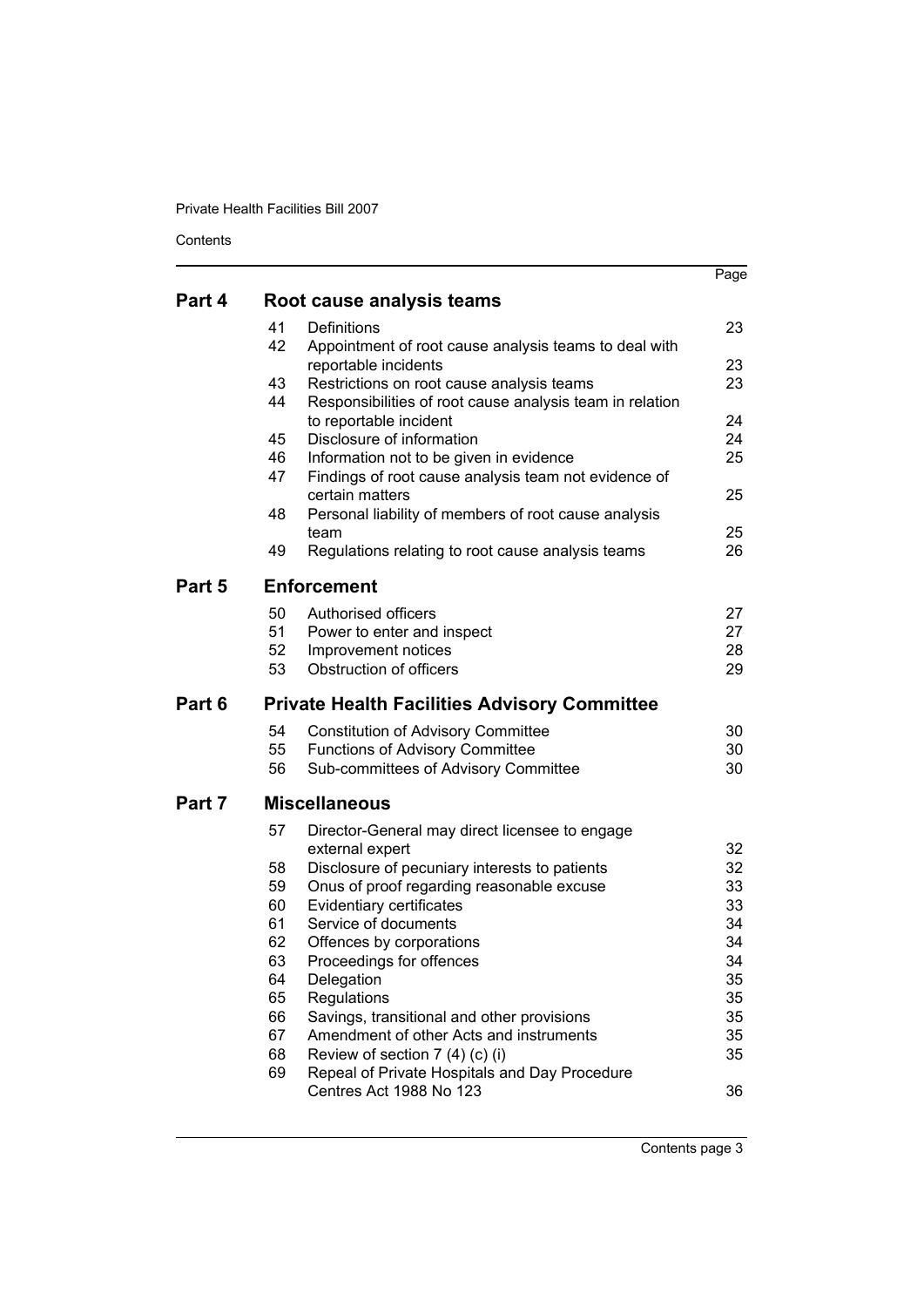Contents

|        |          |                                                                                                       | Page     |
|--------|----------|-------------------------------------------------------------------------------------------------------|----------|
| Part 4 |          | Root cause analysis teams                                                                             |          |
|        | 41       | Definitions                                                                                           | 23       |
|        | 42       | Appointment of root cause analysis teams to deal with                                                 |          |
|        | 43       | reportable incidents                                                                                  | 23<br>23 |
|        | 44       | Restrictions on root cause analysis teams<br>Responsibilities of root cause analysis team in relation |          |
|        |          | to reportable incident                                                                                | 24       |
|        | 45       | Disclosure of information                                                                             | 24       |
|        | 46       | Information not to be given in evidence                                                               | 25       |
|        | 47       | Findings of root cause analysis team not evidence of                                                  |          |
|        |          | certain matters                                                                                       | 25       |
|        | 48       | Personal liability of members of root cause analysis                                                  |          |
|        |          | team                                                                                                  | 25       |
|        | 49       | Regulations relating to root cause analysis teams                                                     | 26       |
| Part 5 |          | <b>Enforcement</b>                                                                                    |          |
|        | 50       | Authorised officers                                                                                   | 27       |
|        | 51       | Power to enter and inspect                                                                            | 27       |
|        | 52       | Improvement notices                                                                                   | 28       |
|        | 53       | Obstruction of officers                                                                               | 29       |
|        |          |                                                                                                       |          |
| Part 6 |          | <b>Private Health Facilities Advisory Committee</b>                                                   |          |
|        | 54       | <b>Constitution of Advisory Committee</b>                                                             | 30       |
|        | 55       | <b>Functions of Advisory Committee</b>                                                                | 30       |
|        | 56       | Sub-committees of Advisory Committee                                                                  | 30       |
| Part 7 |          | <b>Miscellaneous</b>                                                                                  |          |
|        | 57       | Director-General may direct licensee to engage                                                        |          |
|        |          | external expert                                                                                       | 32       |
|        | 58       | Disclosure of pecuniary interests to patients                                                         | 32       |
|        | 59<br>60 | Onus of proof regarding reasonable excuse                                                             | 33       |
|        | 61       | Evidentiary certificates<br>Service of documents                                                      | 33<br>34 |
|        | 62       | Offences by corporations                                                                              | 34       |
|        | 63       | Proceedings for offences                                                                              | 34       |
|        | 64       | Delegation                                                                                            | 35       |
|        | 65       | Regulations                                                                                           | 35       |
|        | 66       | Savings, transitional and other provisions                                                            | 35       |
|        | 67       | Amendment of other Acts and instruments                                                               | 35       |
|        | 68       | Review of section 7 (4) (c) (i)                                                                       | 35       |
|        | 69       | Repeal of Private Hospitals and Day Procedure<br>Centres Act 1988 No 123                              | 36       |

Contents page 3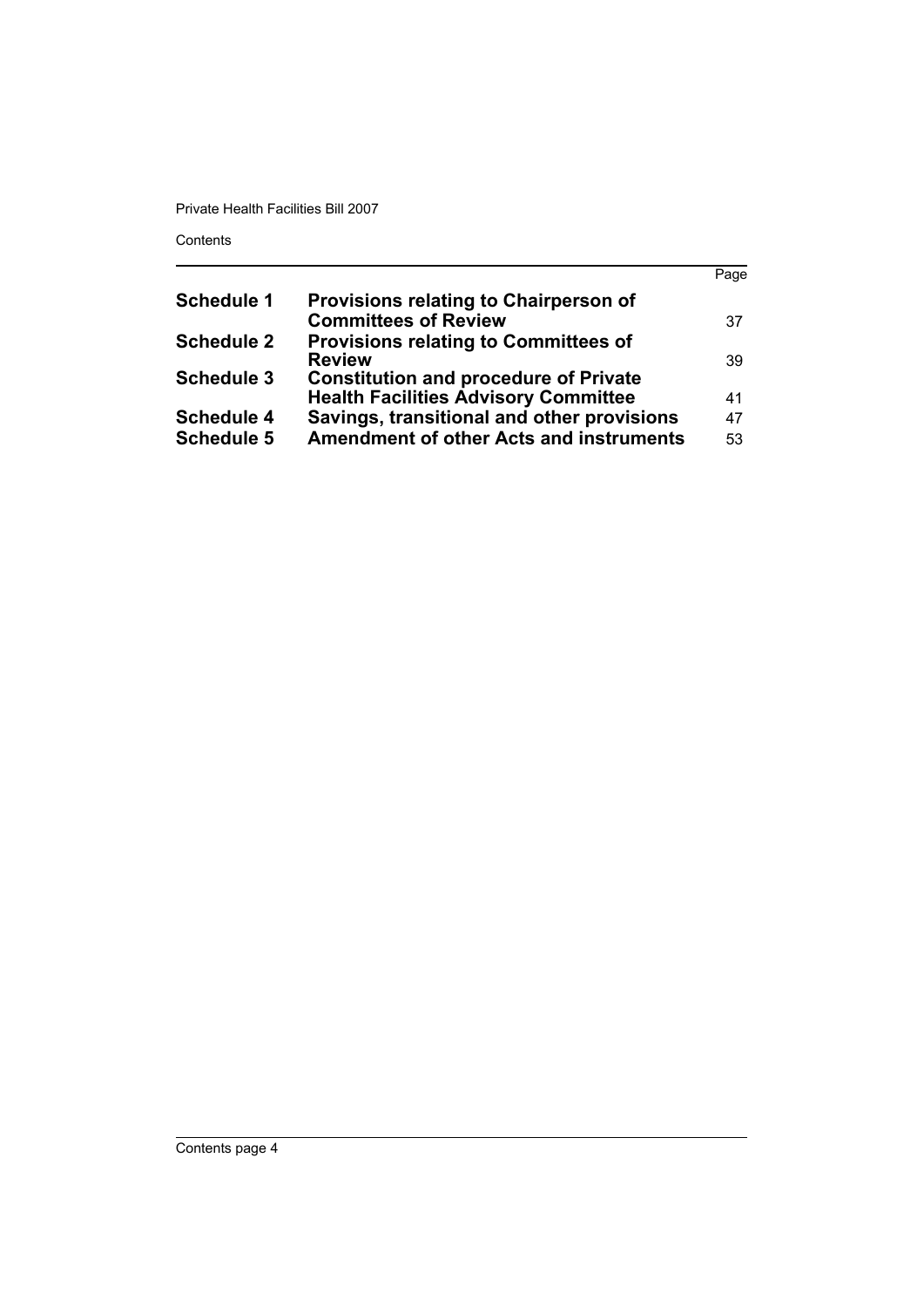Contents

|                   |                                                | Page |
|-------------------|------------------------------------------------|------|
| <b>Schedule 1</b> | Provisions relating to Chairperson of          |      |
|                   | <b>Committees of Review</b>                    | 37   |
| <b>Schedule 2</b> | <b>Provisions relating to Committees of</b>    |      |
|                   | <b>Review</b>                                  | 39   |
| <b>Schedule 3</b> | <b>Constitution and procedure of Private</b>   |      |
|                   | <b>Health Facilities Advisory Committee</b>    | 41   |
| <b>Schedule 4</b> | Savings, transitional and other provisions     | 47   |
| <b>Schedule 5</b> | <b>Amendment of other Acts and instruments</b> | 53   |
|                   |                                                |      |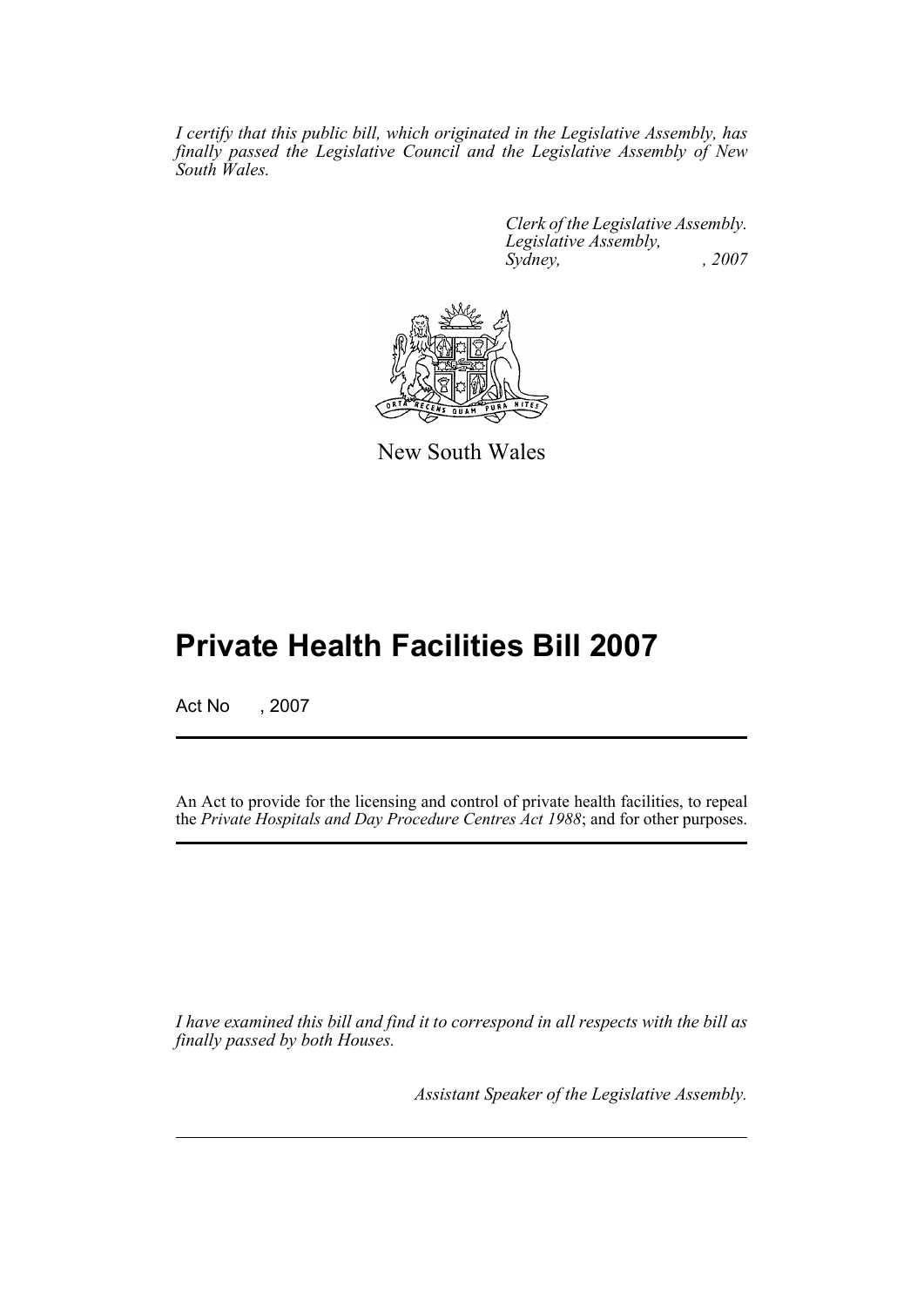*I certify that this public bill, which originated in the Legislative Assembly, has finally passed the Legislative Council and the Legislative Assembly of New South Wales.*

> *Clerk of the Legislative Assembly. Legislative Assembly, Sydney, , 2007*



New South Wales

# **Private Health Facilities Bill 2007**

Act No , 2007

An Act to provide for the licensing and control of private health facilities, to repeal the *Private Hospitals and Day Procedure Centres Act 1988*; and for other purposes.

*I have examined this bill and find it to correspond in all respects with the bill as finally passed by both Houses.*

*Assistant Speaker of the Legislative Assembly.*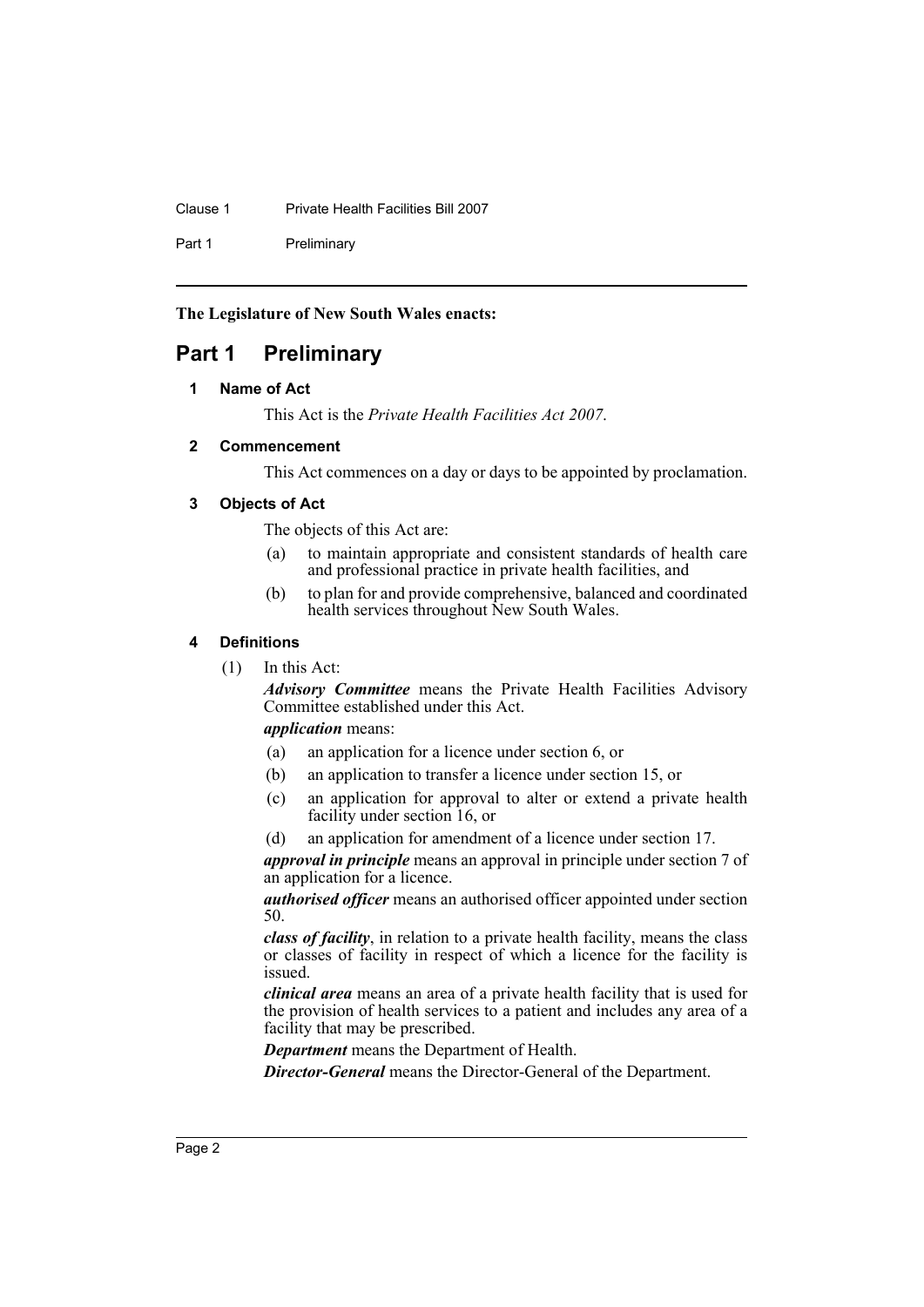Clause 1 Private Health Facilities Bill 2007

Part 1 Preliminary

**The Legislature of New South Wales enacts:**

# <span id="page-5-1"></span><span id="page-5-0"></span>**Part 1 Preliminary**

# **1 Name of Act**

This Act is the *Private Health Facilities Act 2007*.

# <span id="page-5-2"></span>**2 Commencement**

This Act commences on a day or days to be appointed by proclamation.

# <span id="page-5-3"></span>**3 Objects of Act**

The objects of this Act are:

- (a) to maintain appropriate and consistent standards of health care and professional practice in private health facilities, and
- (b) to plan for and provide comprehensive, balanced and coordinated health services throughout New South Wales.

# <span id="page-5-4"></span>**4 Definitions**

(1) In this Act:

*Advisory Committee* means the Private Health Facilities Advisory Committee established under this Act.

*application* means:

- (a) an application for a licence under section 6, or
- (b) an application to transfer a licence under section 15, or
- (c) an application for approval to alter or extend a private health facility under section 16, or
- (d) an application for amendment of a licence under section 17.

*approval in principle* means an approval in principle under section 7 of an application for a licence.

*authorised officer* means an authorised officer appointed under section 50.

*class of facility*, in relation to a private health facility, means the class or classes of facility in respect of which a licence for the facility is issued.

*clinical area* means an area of a private health facility that is used for the provision of health services to a patient and includes any area of a facility that may be prescribed.

*Department* means the Department of Health.

*Director-General* means the Director-General of the Department.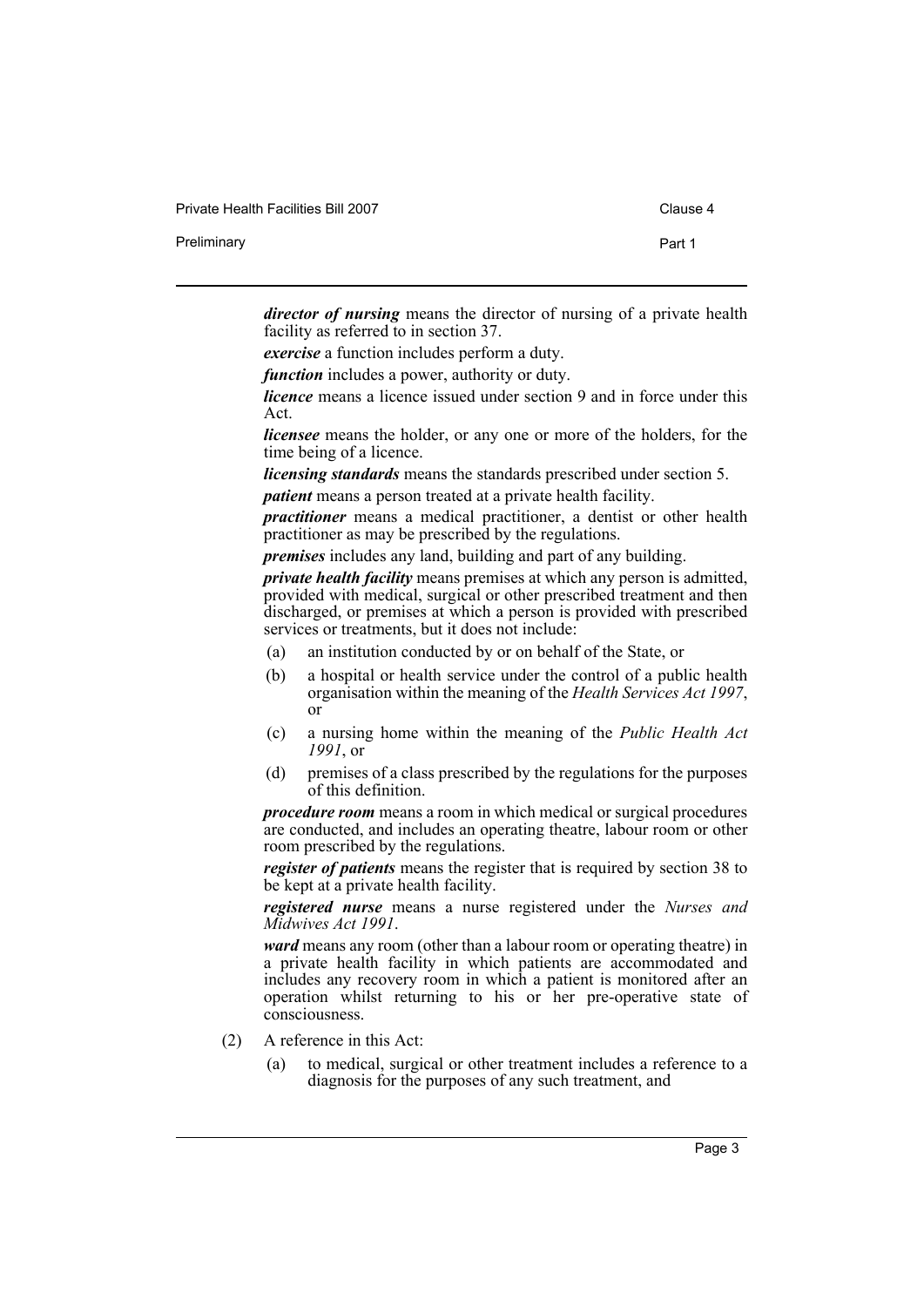| Private Health Facilities Bill 2007 | Clause 4 |
|-------------------------------------|----------|
| Preliminary                         | Part 1   |

*director of nursing* means the director of nursing of a private health facility as referred to in section 37.

*exercise* a function includes perform a duty.

*function* includes a power, authority or duty.

*licence* means a licence issued under section 9 and in force under this Act.

*licensee* means the holder, or any one or more of the holders, for the time being of a licence.

*licensing standards* means the standards prescribed under section 5.

*patient* means a person treated at a private health facility.

*practitioner* means a medical practitioner, a dentist or other health practitioner as may be prescribed by the regulations.

*premises* includes any land, building and part of any building.

*private health facility* means premises at which any person is admitted, provided with medical, surgical or other prescribed treatment and then discharged, or premises at which a person is provided with prescribed services or treatments, but it does not include:

- (a) an institution conducted by or on behalf of the State, or
- (b) a hospital or health service under the control of a public health organisation within the meaning of the *Health Services Act 1997*, or
- (c) a nursing home within the meaning of the *Public Health Act 1991*, or
- (d) premises of a class prescribed by the regulations for the purposes of this definition.

*procedure room* means a room in which medical or surgical procedures are conducted, and includes an operating theatre, labour room or other room prescribed by the regulations.

*register of patients* means the register that is required by section 38 to be kept at a private health facility.

*registered nurse* means a nurse registered under the *Nurses and Midwives Act 1991*.

*ward* means any room (other than a labour room or operating theatre) in a private health facility in which patients are accommodated and includes any recovery room in which a patient is monitored after an operation whilst returning to his or her pre-operative state of consciousness.

- (2) A reference in this Act:
	- (a) to medical, surgical or other treatment includes a reference to a diagnosis for the purposes of any such treatment, and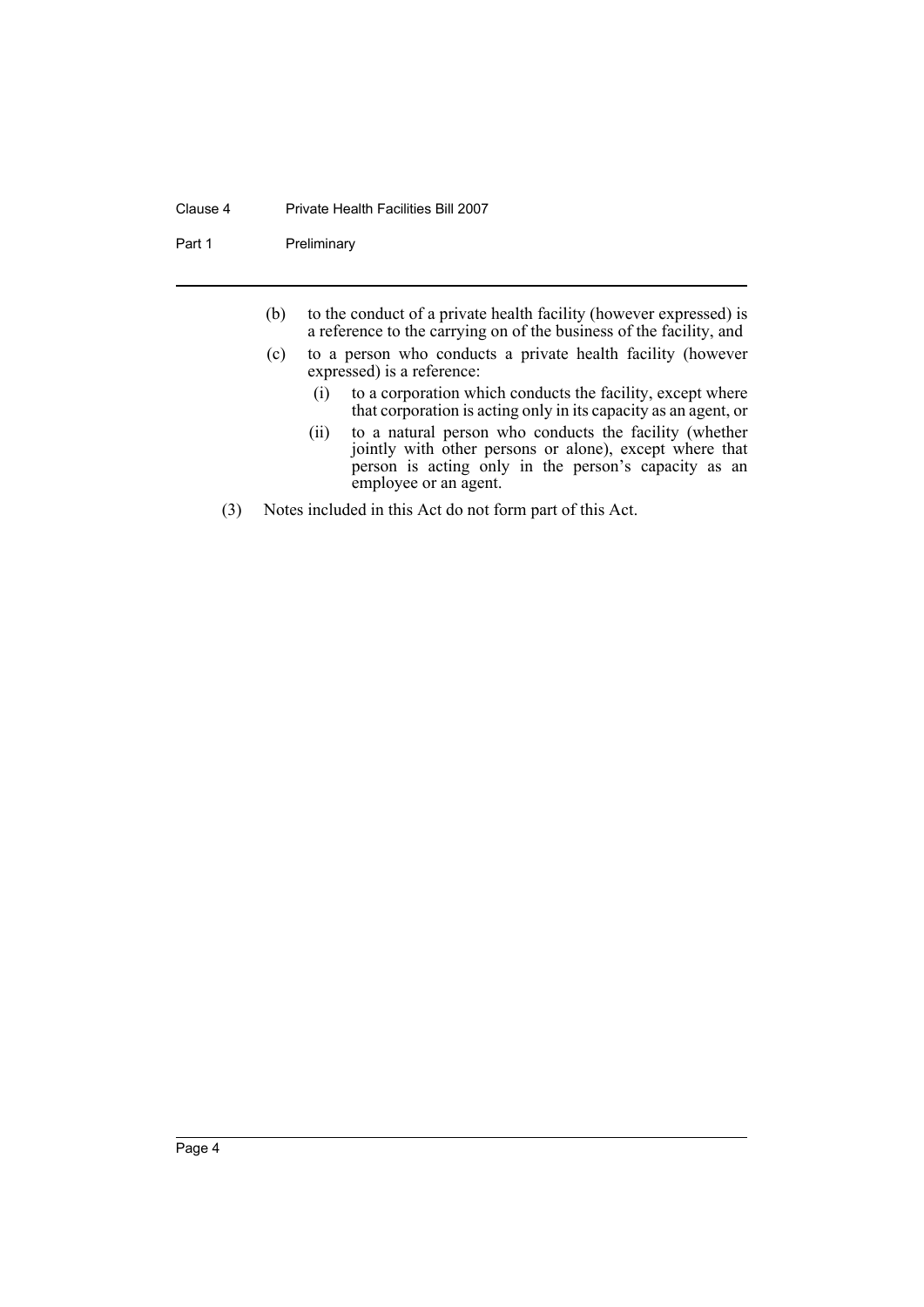#### Clause 4 Private Health Facilities Bill 2007

Part 1 Preliminary

- (b) to the conduct of a private health facility (however expressed) is a reference to the carrying on of the business of the facility, and
- (c) to a person who conducts a private health facility (however expressed) is a reference:
	- (i) to a corporation which conducts the facility, except where that corporation is acting only in its capacity as an agent, or
	- (ii) to a natural person who conducts the facility (whether jointly with other persons or alone), except where that person is acting only in the person's capacity as an employee or an agent.
- (3) Notes included in this Act do not form part of this Act.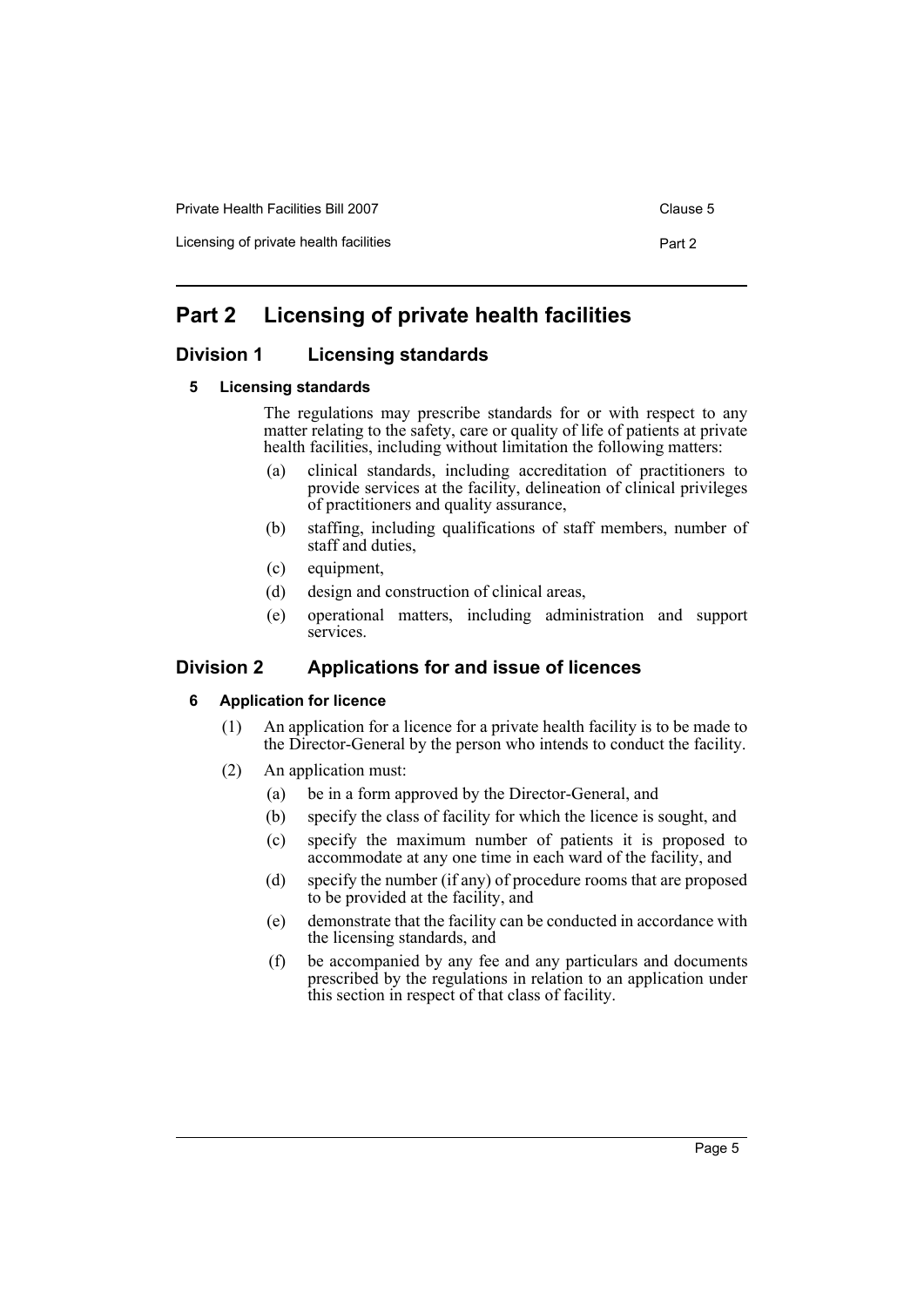Licensing of private health facilities **Part 2** Part 2

# <span id="page-8-0"></span>**Part 2 Licensing of private health facilities**

# <span id="page-8-2"></span><span id="page-8-1"></span>**Division 1 Licensing standards**

#### **5 Licensing standards**

The regulations may prescribe standards for or with respect to any matter relating to the safety, care or quality of life of patients at private health facilities, including without limitation the following matters:

- (a) clinical standards, including accreditation of practitioners to provide services at the facility, delineation of clinical privileges of practitioners and quality assurance,
- (b) staffing, including qualifications of staff members, number of staff and duties,
- (c) equipment,
- (d) design and construction of clinical areas,
- (e) operational matters, including administration and support services.

# <span id="page-8-4"></span><span id="page-8-3"></span>**Division 2 Applications for and issue of licences**

#### **6 Application for licence**

- (1) An application for a licence for a private health facility is to be made to the Director-General by the person who intends to conduct the facility.
- (2) An application must:
	- (a) be in a form approved by the Director-General, and
	- (b) specify the class of facility for which the licence is sought, and
	- (c) specify the maximum number of patients it is proposed to accommodate at any one time in each ward of the facility, and
	- (d) specify the number (if any) of procedure rooms that are proposed to be provided at the facility, and
	- (e) demonstrate that the facility can be conducted in accordance with the licensing standards, and
	- (f) be accompanied by any fee and any particulars and documents prescribed by the regulations in relation to an application under this section in respect of that class of facility.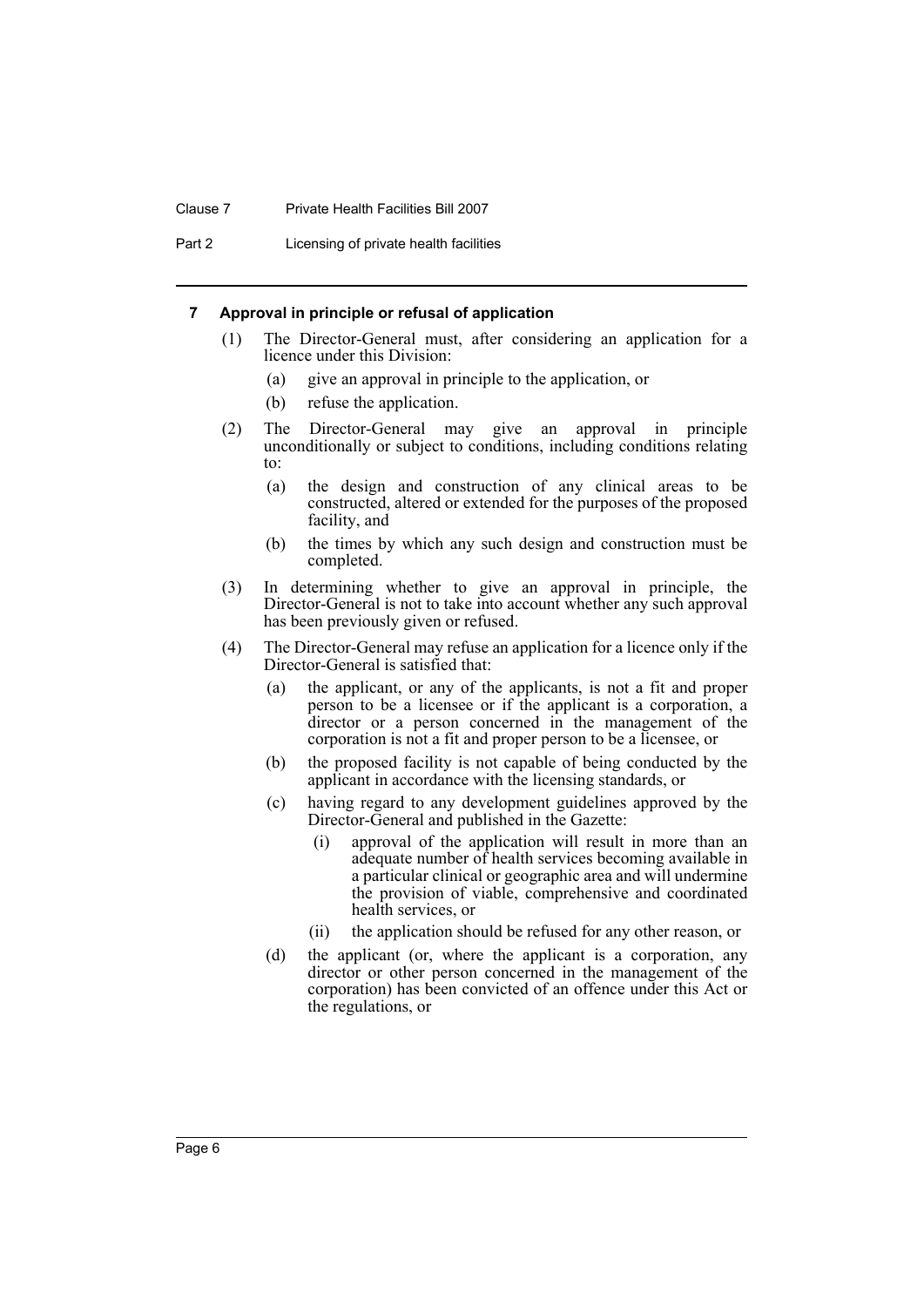#### Clause 7 Private Health Facilities Bill 2007

Part 2 Licensing of private health facilities

#### <span id="page-9-0"></span>**7 Approval in principle or refusal of application**

- (1) The Director-General must, after considering an application for a licence under this Division:
	- (a) give an approval in principle to the application, or
	- (b) refuse the application.
- (2) The Director-General may give an approval in principle unconditionally or subject to conditions, including conditions relating to:
	- (a) the design and construction of any clinical areas to be constructed, altered or extended for the purposes of the proposed facility, and
	- (b) the times by which any such design and construction must be completed.
- (3) In determining whether to give an approval in principle, the Director-General is not to take into account whether any such approval has been previously given or refused.
- (4) The Director-General may refuse an application for a licence only if the Director-General is satisfied that:
	- (a) the applicant, or any of the applicants, is not a fit and proper person to be a licensee or if the applicant is a corporation, a director or a person concerned in the management of the corporation is not a fit and proper person to be a licensee, or
	- (b) the proposed facility is not capable of being conducted by the applicant in accordance with the licensing standards, or
	- (c) having regard to any development guidelines approved by the Director-General and published in the Gazette:
		- (i) approval of the application will result in more than an adequate number of health services becoming available in a particular clinical or geographic area and will undermine the provision of viable, comprehensive and coordinated health services, or
		- (ii) the application should be refused for any other reason, or
	- (d) the applicant (or, where the applicant is a corporation, any director or other person concerned in the management of the corporation) has been convicted of an offence under this Act or the regulations, or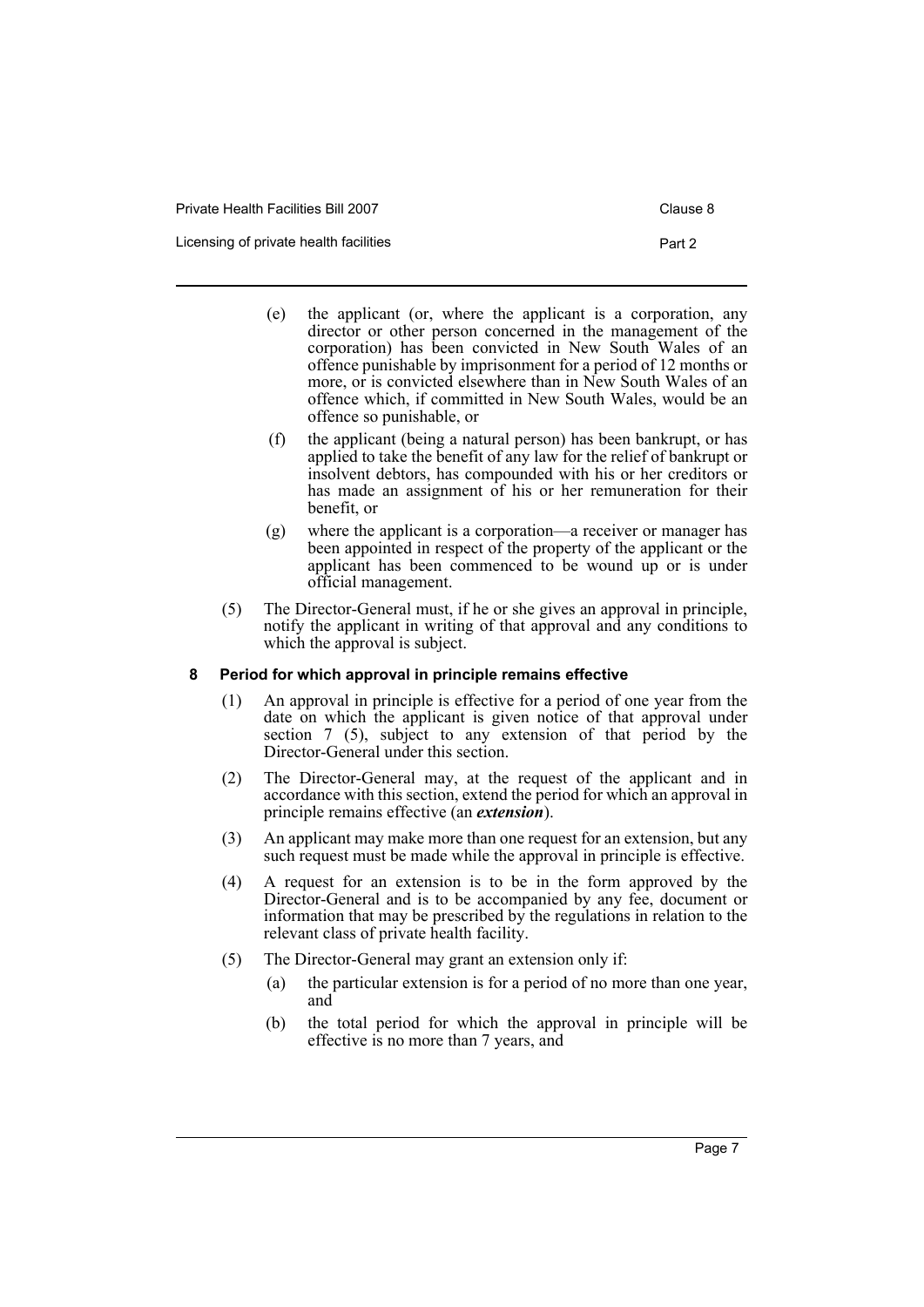| Private Health Facilities Bill 2007    | Clause 8 |
|----------------------------------------|----------|
| Licensing of private health facilities | Part 2   |

- (e) the applicant (or, where the applicant is a corporation, any director or other person concerned in the management of the corporation) has been convicted in New South Wales of an offence punishable by imprisonment for a period of 12 months or more, or is convicted elsewhere than in New South Wales of an offence which, if committed in New South Wales, would be an offence so punishable, or
- (f) the applicant (being a natural person) has been bankrupt, or has applied to take the benefit of any law for the relief of bankrupt or insolvent debtors, has compounded with his or her creditors or has made an assignment of his or her remuneration for their benefit, or
- (g) where the applicant is a corporation—a receiver or manager has been appointed in respect of the property of the applicant or the applicant has been commenced to be wound up or is under official management.
- (5) The Director-General must, if he or she gives an approval in principle, notify the applicant in writing of that approval and any conditions to which the approval is subject.

# <span id="page-10-0"></span>**8 Period for which approval in principle remains effective**

- (1) An approval in principle is effective for a period of one year from the date on which the applicant is given notice of that approval under section 7 (5), subject to any extension of that period by the Director-General under this section.
- (2) The Director-General may, at the request of the applicant and in accordance with this section, extend the period for which an approval in principle remains effective (an *extension*).
- (3) An applicant may make more than one request for an extension, but any such request must be made while the approval in principle is effective.
- (4) A request for an extension is to be in the form approved by the Director-General and is to be accompanied by any fee, document or information that may be prescribed by the regulations in relation to the relevant class of private health facility.
- (5) The Director-General may grant an extension only if:
	- (a) the particular extension is for a period of no more than one year, and
	- (b) the total period for which the approval in principle will be effective is no more than 7 years, and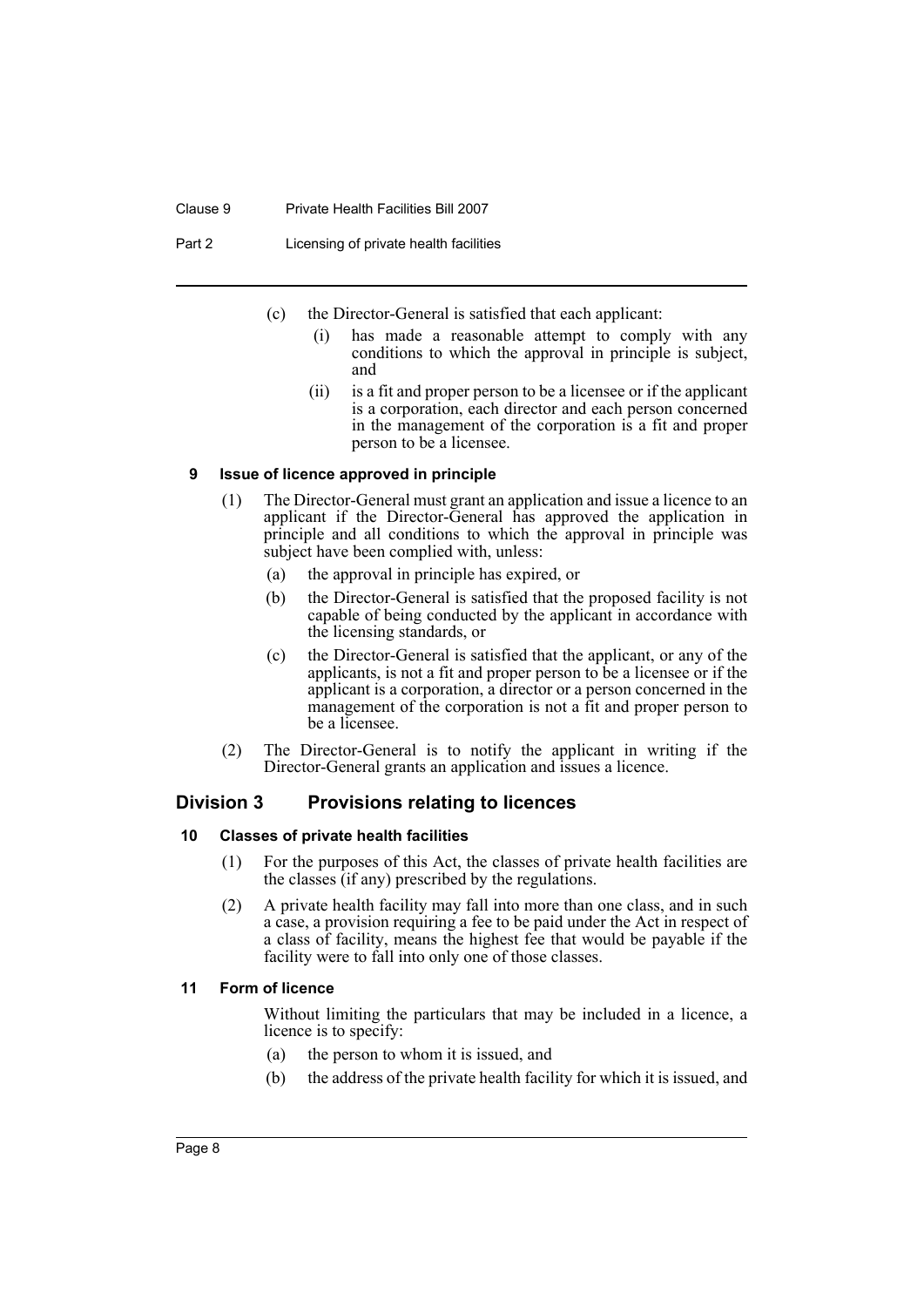#### Clause 9 Private Health Facilities Bill 2007

Part 2 Licensing of private health facilities

- (c) the Director-General is satisfied that each applicant:
	- (i) has made a reasonable attempt to comply with any conditions to which the approval in principle is subject, and
	- (ii) is a fit and proper person to be a licensee or if the applicant is a corporation, each director and each person concerned in the management of the corporation is a fit and proper person to be a licensee.

#### <span id="page-11-0"></span>**9 Issue of licence approved in principle**

- (1) The Director-General must grant an application and issue a licence to an applicant if the Director-General has approved the application in principle and all conditions to which the approval in principle was subject have been complied with, unless:
	- (a) the approval in principle has expired, or
	- (b) the Director-General is satisfied that the proposed facility is not capable of being conducted by the applicant in accordance with the licensing standards, or
	- (c) the Director-General is satisfied that the applicant, or any of the applicants, is not a fit and proper person to be a licensee or if the applicant is a corporation, a director or a person concerned in the management of the corporation is not a fit and proper person to be a licensee.
- (2) The Director-General is to notify the applicant in writing if the Director-General grants an application and issues a licence.

# <span id="page-11-1"></span>**Division 3 Provisions relating to licences**

#### <span id="page-11-2"></span>**10 Classes of private health facilities**

- (1) For the purposes of this Act, the classes of private health facilities are the classes (if any) prescribed by the regulations.
- (2) A private health facility may fall into more than one class, and in such a case, a provision requiring a fee to be paid under the Act in respect of a class of facility, means the highest fee that would be payable if the facility were to fall into only one of those classes.

#### <span id="page-11-3"></span>**11 Form of licence**

Without limiting the particulars that may be included in a licence, a licence is to specify:

- (a) the person to whom it is issued, and
- (b) the address of the private health facility for which it is issued, and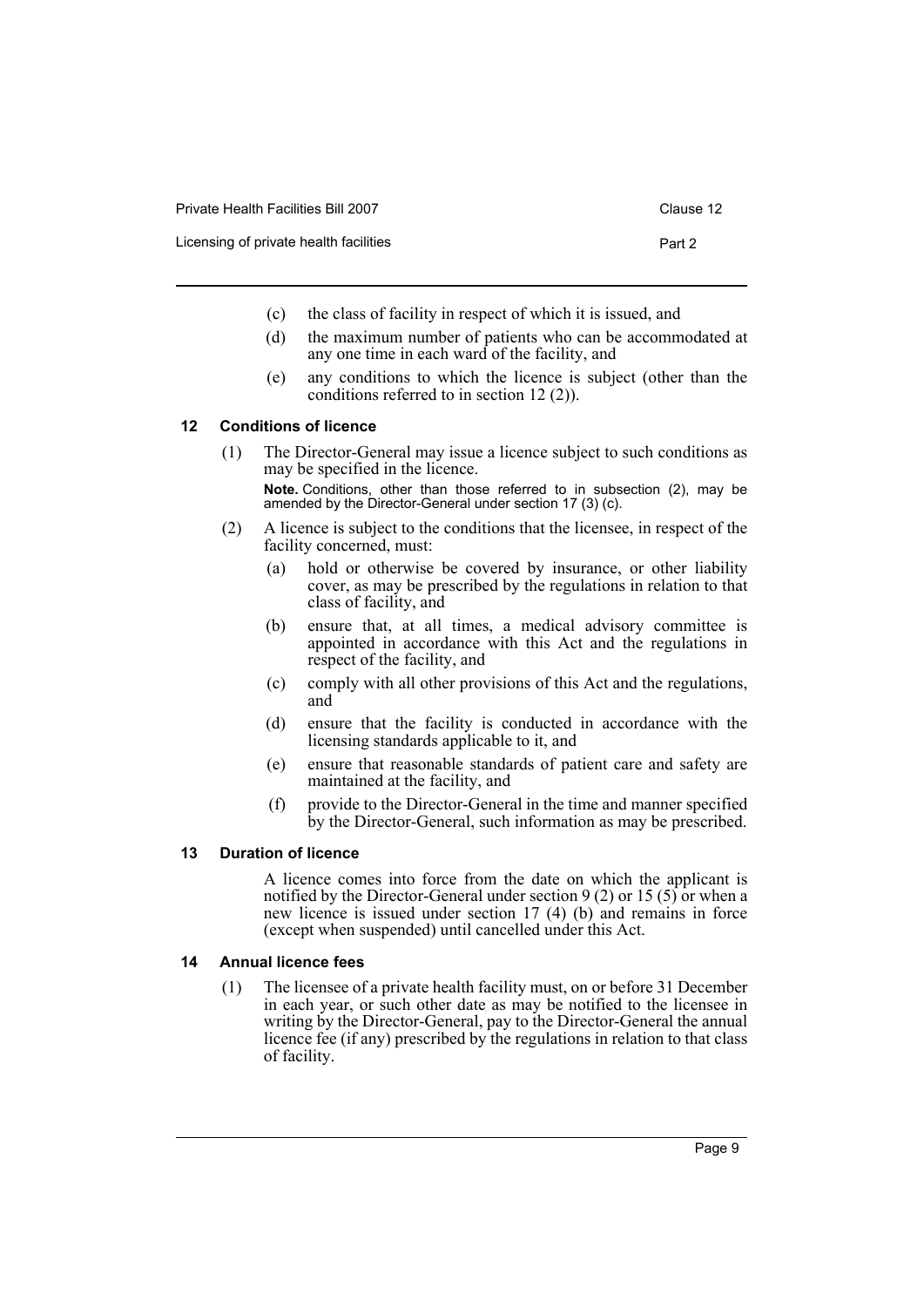| Private Health Facilities Bill 2007    | Clause 12 |
|----------------------------------------|-----------|
| Licensing of private health facilities | Part 2    |

- (c) the class of facility in respect of which it is issued, and
- (d) the maximum number of patients who can be accommodated at any one time in each ward of the facility, and
- (e) any conditions to which the licence is subject (other than the conditions referred to in section 12 (2)).

#### <span id="page-12-0"></span>**12 Conditions of licence**

- (1) The Director-General may issue a licence subject to such conditions as may be specified in the licence. **Note.** Conditions, other than those referred to in subsection (2), may be amended by the Director-General under section 17 (3) (c).
- (2) A licence is subject to the conditions that the licensee, in respect of the facility concerned, must:
	- (a) hold or otherwise be covered by insurance, or other liability cover, as may be prescribed by the regulations in relation to that class of facility, and
	- (b) ensure that, at all times, a medical advisory committee is appointed in accordance with this Act and the regulations in respect of the facility, and
	- (c) comply with all other provisions of this Act and the regulations, and
	- (d) ensure that the facility is conducted in accordance with the licensing standards applicable to it, and
	- (e) ensure that reasonable standards of patient care and safety are maintained at the facility, and
	- (f) provide to the Director-General in the time and manner specified by the Director-General, such information as may be prescribed.

#### <span id="page-12-1"></span>**13 Duration of licence**

A licence comes into force from the date on which the applicant is notified by the Director-General under section 9 (2) or 15 (5) or when a new licence is issued under section 17 (4) (b) and remains in force (except when suspended) until cancelled under this Act.

#### <span id="page-12-2"></span>**14 Annual licence fees**

(1) The licensee of a private health facility must, on or before 31 December in each year, or such other date as may be notified to the licensee in writing by the Director-General, pay to the Director-General the annual licence fee (if any) prescribed by the regulations in relation to that class of facility.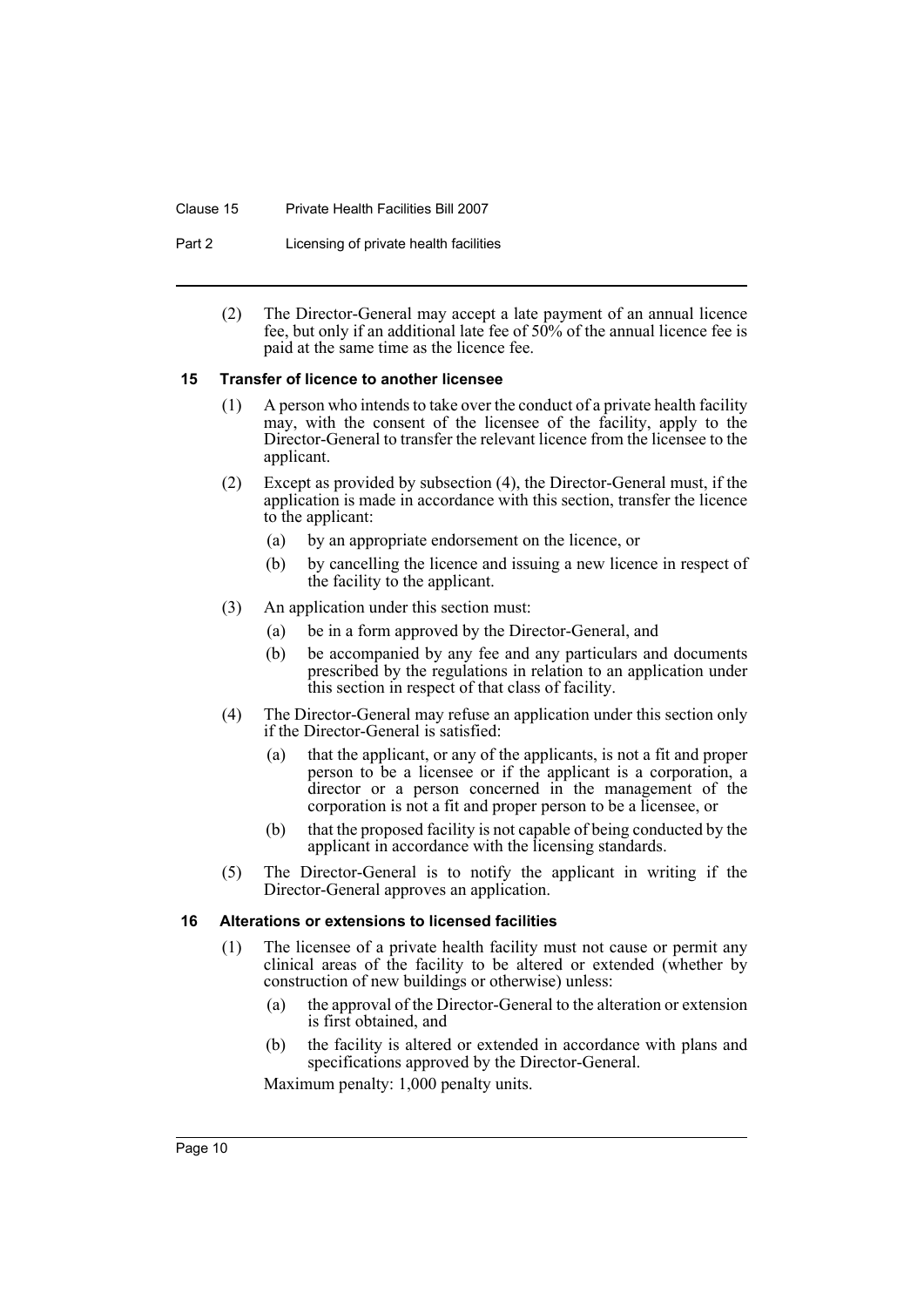#### Clause 15 Private Health Facilities Bill 2007

- Part 2 Licensing of private health facilities
	- (2) The Director-General may accept a late payment of an annual licence fee, but only if an additional late fee of 50% of the annual licence fee is paid at the same time as the licence fee.

#### <span id="page-13-0"></span>**15 Transfer of licence to another licensee**

- (1) A person who intends to take over the conduct of a private health facility may, with the consent of the licensee of the facility, apply to the Director-General to transfer the relevant licence from the licensee to the applicant.
- (2) Except as provided by subsection (4), the Director-General must, if the application is made in accordance with this section, transfer the licence to the applicant:
	- (a) by an appropriate endorsement on the licence, or
	- (b) by cancelling the licence and issuing a new licence in respect of the facility to the applicant.
- (3) An application under this section must:
	- (a) be in a form approved by the Director-General, and
	- (b) be accompanied by any fee and any particulars and documents prescribed by the regulations in relation to an application under this section in respect of that class of facility.
- (4) The Director-General may refuse an application under this section only if the Director-General is satisfied:
	- (a) that the applicant, or any of the applicants, is not a fit and proper person to be a licensee or if the applicant is a corporation, a director or a person concerned in the management of the corporation is not a fit and proper person to be a licensee, or
	- (b) that the proposed facility is not capable of being conducted by the applicant in accordance with the licensing standards.
- (5) The Director-General is to notify the applicant in writing if the Director-General approves an application.

#### <span id="page-13-1"></span>**16 Alterations or extensions to licensed facilities**

- (1) The licensee of a private health facility must not cause or permit any clinical areas of the facility to be altered or extended (whether by construction of new buildings or otherwise) unless:
	- (a) the approval of the Director-General to the alteration or extension is first obtained, and
	- (b) the facility is altered or extended in accordance with plans and specifications approved by the Director-General.

Maximum penalty: 1,000 penalty units.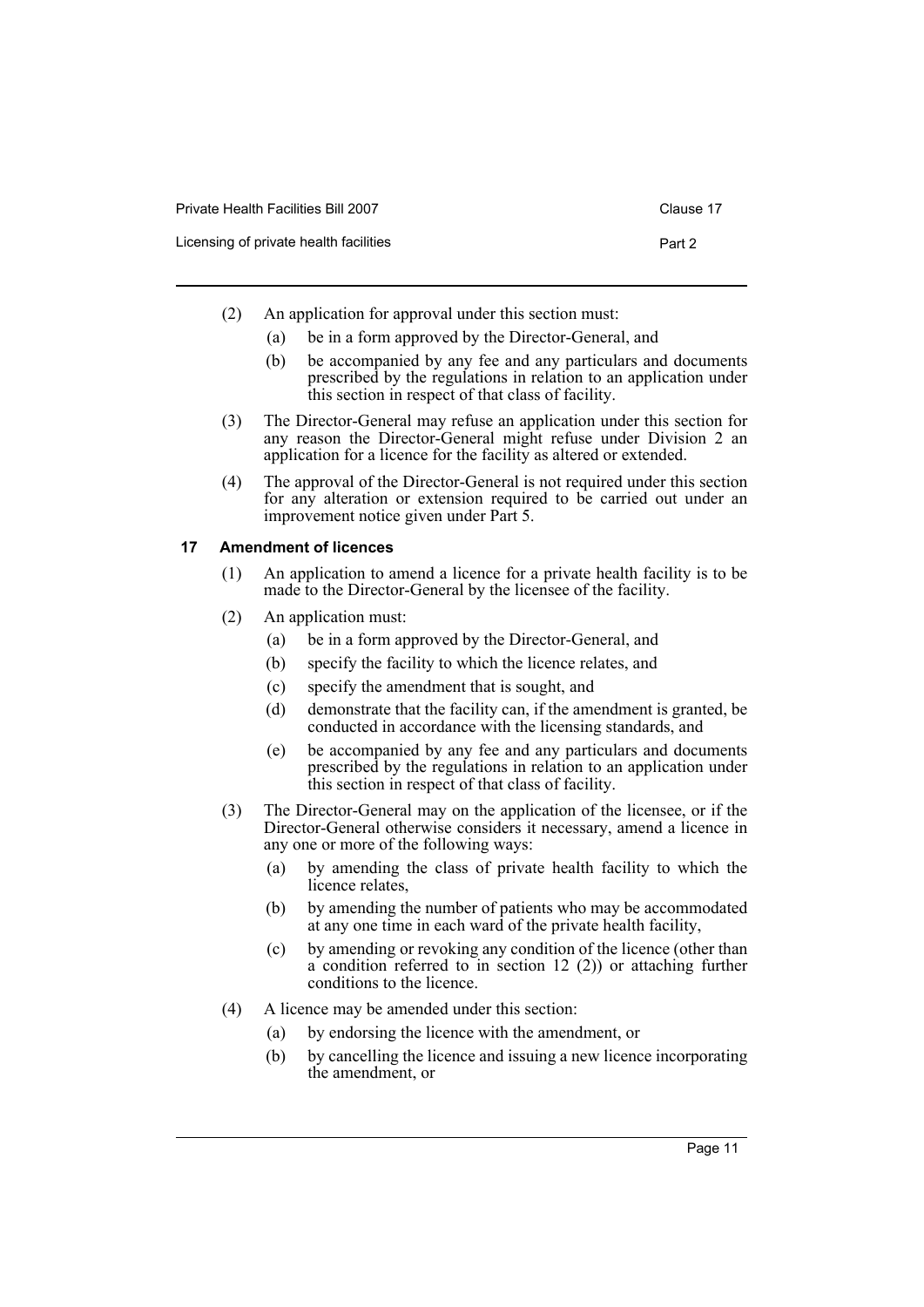| Private Health Facilities Bill 2007    | Clause 17 |
|----------------------------------------|-----------|
| Licensing of private health facilities | Part 2    |

- (2) An application for approval under this section must:
	- (a) be in a form approved by the Director-General, and
	- (b) be accompanied by any fee and any particulars and documents prescribed by the regulations in relation to an application under this section in respect of that class of facility.
- (3) The Director-General may refuse an application under this section for any reason the Director-General might refuse under Division 2 an application for a licence for the facility as altered or extended.
- (4) The approval of the Director-General is not required under this section for any alteration or extension required to be carried out under an improvement notice given under Part 5.

#### <span id="page-14-0"></span>**17 Amendment of licences**

- (1) An application to amend a licence for a private health facility is to be made to the Director-General by the licensee of the facility.
- (2) An application must:
	- (a) be in a form approved by the Director-General, and
	- (b) specify the facility to which the licence relates, and
	- (c) specify the amendment that is sought, and
	- (d) demonstrate that the facility can, if the amendment is granted, be conducted in accordance with the licensing standards, and
	- (e) be accompanied by any fee and any particulars and documents prescribed by the regulations in relation to an application under this section in respect of that class of facility.
- (3) The Director-General may on the application of the licensee, or if the Director-General otherwise considers it necessary, amend a licence in any one or more of the following ways:
	- (a) by amending the class of private health facility to which the licence relates,
	- (b) by amending the number of patients who may be accommodated at any one time in each ward of the private health facility,
	- (c) by amending or revoking any condition of the licence (other than a condition referred to in section 12 (2)) or attaching further conditions to the licence.
- (4) A licence may be amended under this section:
	- (a) by endorsing the licence with the amendment, or
	- (b) by cancelling the licence and issuing a new licence incorporating the amendment, or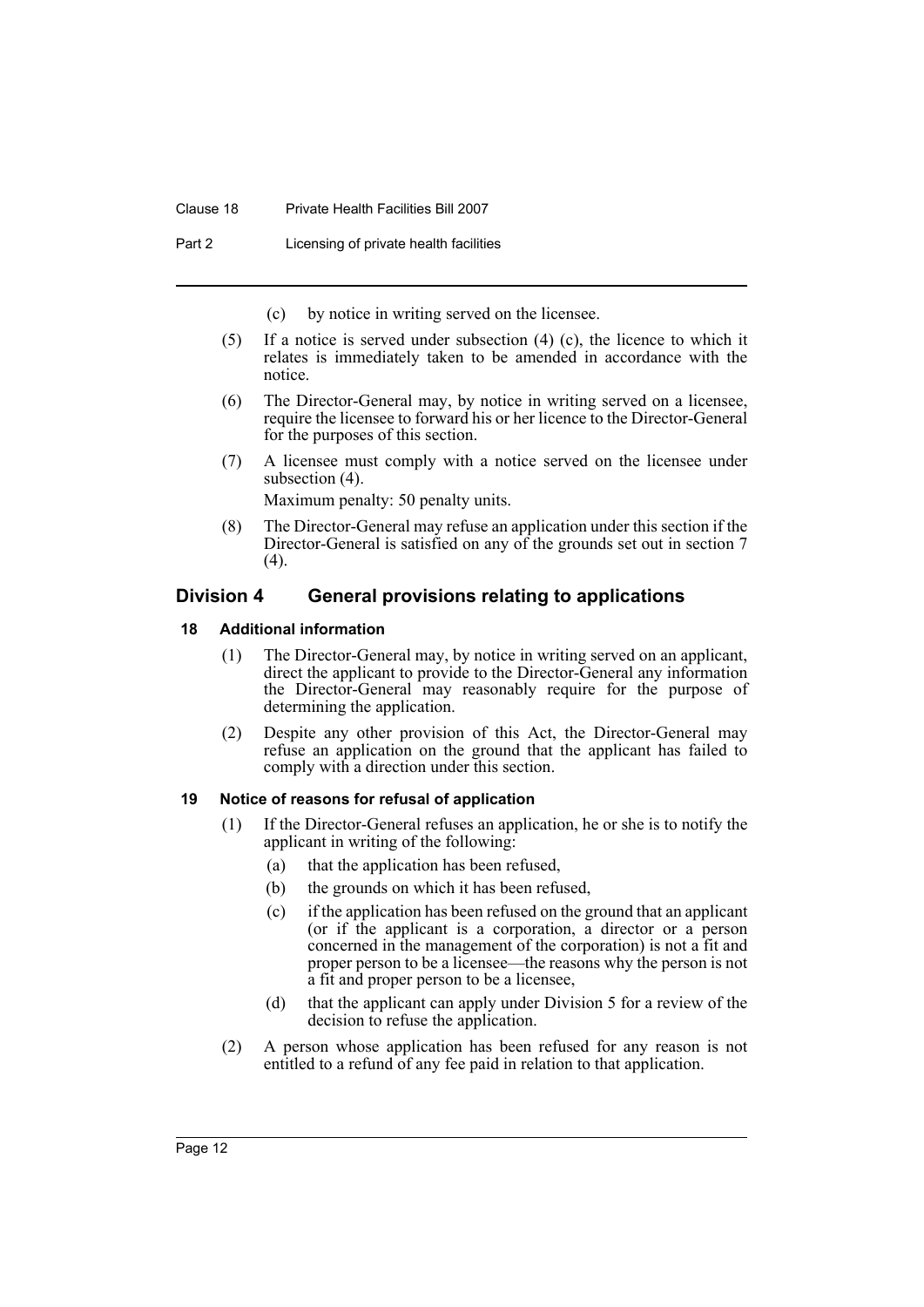#### Clause 18 Private Health Facilities Bill 2007

Part 2 Licensing of private health facilities

- (c) by notice in writing served on the licensee.
- (5) If a notice is served under subsection (4) (c), the licence to which it relates is immediately taken to be amended in accordance with the notice.
- (6) The Director-General may, by notice in writing served on a licensee, require the licensee to forward his or her licence to the Director-General for the purposes of this section.
- (7) A licensee must comply with a notice served on the licensee under subsection (4).

Maximum penalty: 50 penalty units.

(8) The Director-General may refuse an application under this section if the Director-General is satisfied on any of the grounds set out in section 7 (4).

# <span id="page-15-0"></span>**Division 4 General provisions relating to applications**

#### <span id="page-15-1"></span>**18 Additional information**

- (1) The Director-General may, by notice in writing served on an applicant, direct the applicant to provide to the Director-General any information the Director-General may reasonably require for the purpose of determining the application.
- (2) Despite any other provision of this Act, the Director-General may refuse an application on the ground that the applicant has failed to comply with a direction under this section.

#### <span id="page-15-2"></span>**19 Notice of reasons for refusal of application**

- (1) If the Director-General refuses an application, he or she is to notify the applicant in writing of the following:
	- (a) that the application has been refused,
	- (b) the grounds on which it has been refused,
	- (c) if the application has been refused on the ground that an applicant (or if the applicant is a corporation, a director or a person concerned in the management of the corporation) is not a fit and proper person to be a licensee—the reasons why the person is not a fit and proper person to be a licensee,
	- (d) that the applicant can apply under Division 5 for a review of the decision to refuse the application.
- (2) A person whose application has been refused for any reason is not entitled to a refund of any fee paid in relation to that application.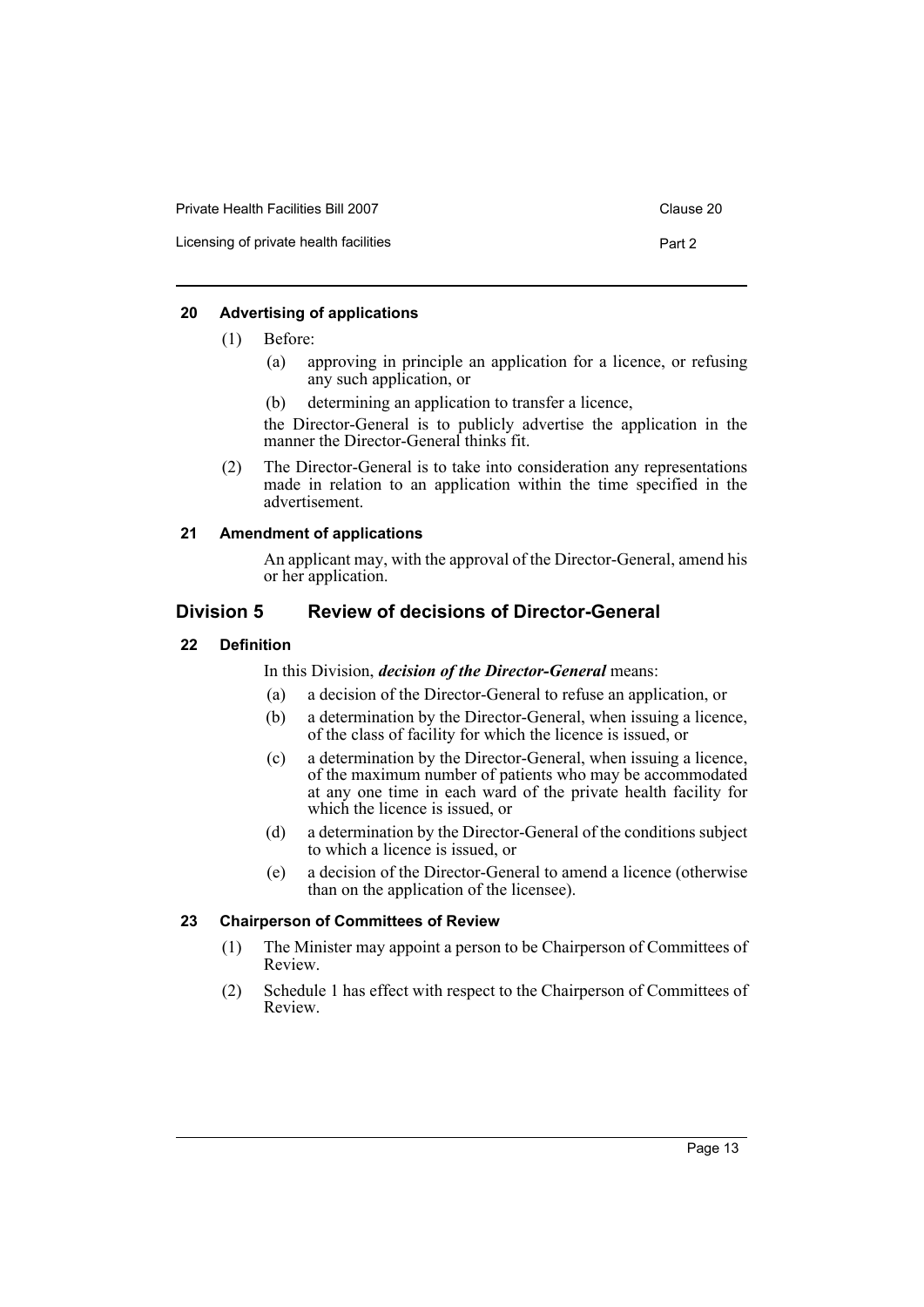| Private Health Facilities Bill 2007    | Clause 20 |
|----------------------------------------|-----------|
| Licensing of private health facilities | Part 2    |

#### <span id="page-16-0"></span>**20 Advertising of applications**

- (1) Before:
	- (a) approving in principle an application for a licence, or refusing any such application, or
	- (b) determining an application to transfer a licence,

the Director-General is to publicly advertise the application in the manner the Director-General thinks fit.

(2) The Director-General is to take into consideration any representations made in relation to an application within the time specified in the advertisement.

#### <span id="page-16-1"></span>**21 Amendment of applications**

An applicant may, with the approval of the Director-General, amend his or her application.

# <span id="page-16-2"></span>**Division 5 Review of decisions of Director-General**

#### <span id="page-16-3"></span>**22 Definition**

In this Division, *decision of the Director-General* means:

- (a) a decision of the Director-General to refuse an application, or
- (b) a determination by the Director-General, when issuing a licence, of the class of facility for which the licence is issued, or
- (c) a determination by the Director-General, when issuing a licence, of the maximum number of patients who may be accommodated at any one time in each ward of the private health facility for which the licence is issued, or
- (d) a determination by the Director-General of the conditions subject to which a licence is issued, or
- (e) a decision of the Director-General to amend a licence (otherwise than on the application of the licensee).

# <span id="page-16-4"></span>**23 Chairperson of Committees of Review**

- (1) The Minister may appoint a person to be Chairperson of Committees of Review.
- (2) Schedule 1 has effect with respect to the Chairperson of Committees of Review.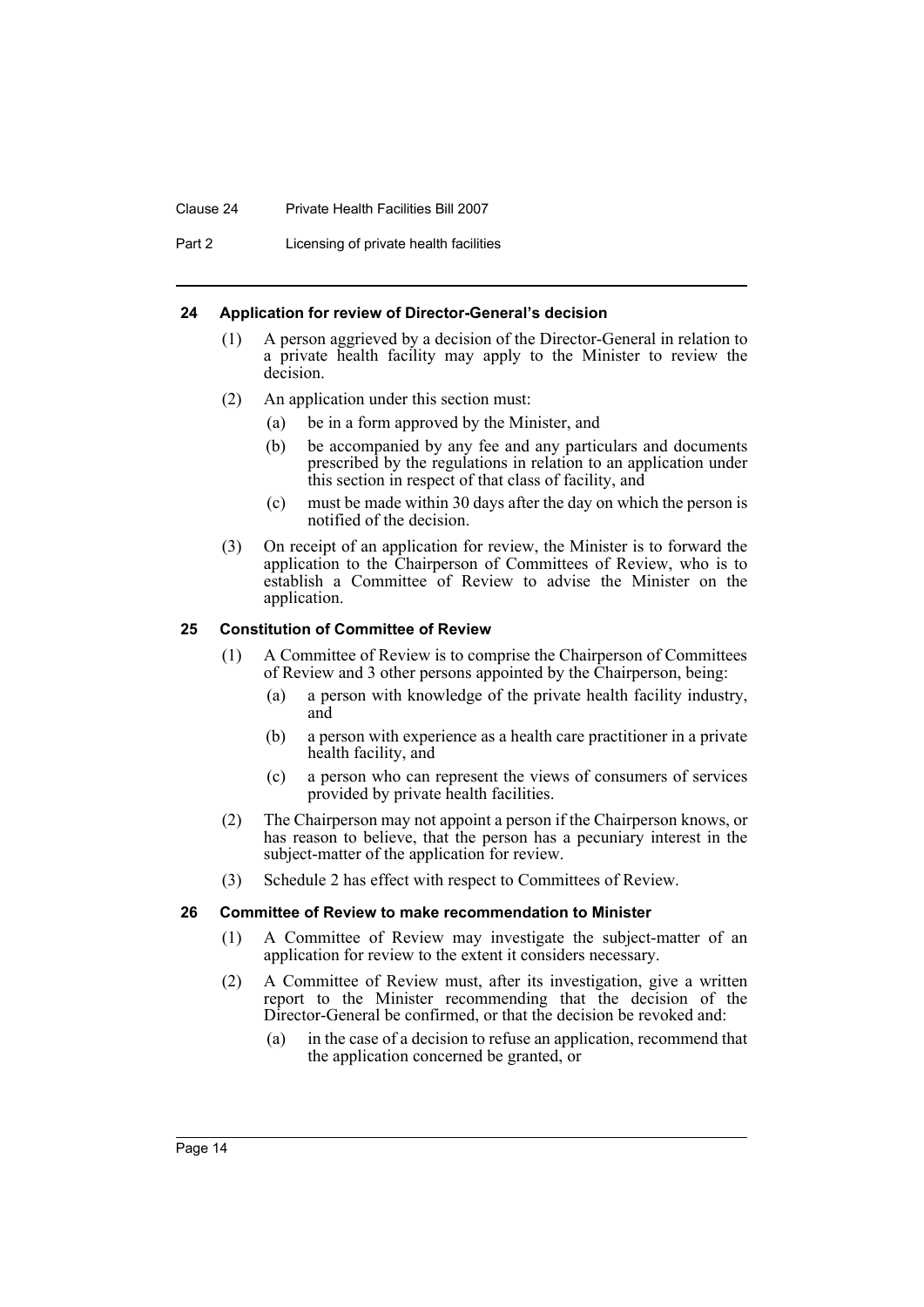#### Clause 24 Private Health Facilities Bill 2007

Part 2 Licensing of private health facilities

#### <span id="page-17-0"></span>**24 Application for review of Director-General's decision**

- (1) A person aggrieved by a decision of the Director-General in relation to a private health facility may apply to the Minister to review the decision.
- (2) An application under this section must:
	- (a) be in a form approved by the Minister, and
	- (b) be accompanied by any fee and any particulars and documents prescribed by the regulations in relation to an application under this section in respect of that class of facility, and
	- (c) must be made within 30 days after the day on which the person is notified of the decision.
- (3) On receipt of an application for review, the Minister is to forward the application to the Chairperson of Committees of Review, who is to establish a Committee of Review to advise the Minister on the application.

#### <span id="page-17-1"></span>**25 Constitution of Committee of Review**

- (1) A Committee of Review is to comprise the Chairperson of Committees of Review and 3 other persons appointed by the Chairperson, being:
	- (a) a person with knowledge of the private health facility industry, and
	- (b) a person with experience as a health care practitioner in a private health facility, and
	- (c) a person who can represent the views of consumers of services provided by private health facilities.
- (2) The Chairperson may not appoint a person if the Chairperson knows, or has reason to believe, that the person has a pecuniary interest in the subject-matter of the application for review.
- (3) Schedule 2 has effect with respect to Committees of Review.

#### <span id="page-17-2"></span>**26 Committee of Review to make recommendation to Minister**

- (1) A Committee of Review may investigate the subject-matter of an application for review to the extent it considers necessary.
- (2) A Committee of Review must, after its investigation, give a written report to the Minister recommending that the decision of the Director-General be confirmed, or that the decision be revoked and:
	- (a) in the case of a decision to refuse an application, recommend that the application concerned be granted, or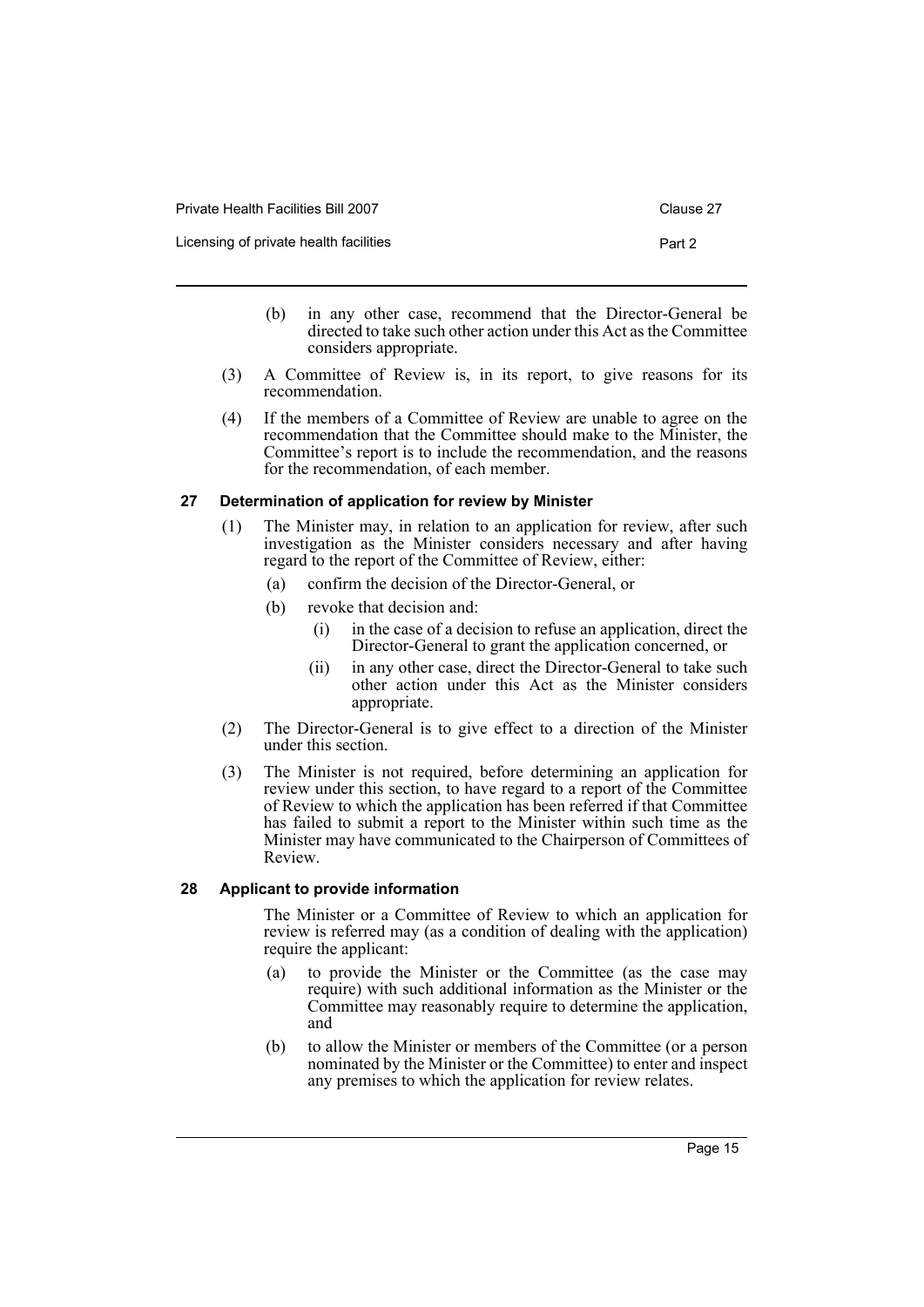| Private Health Facilities Bill 2007    | Clause 27 |
|----------------------------------------|-----------|
| Licensing of private health facilities | Part 2    |

- (b) in any other case, recommend that the Director-General be directed to take such other action under this Act as the Committee considers appropriate.
- (3) A Committee of Review is, in its report, to give reasons for its recommendation.
- (4) If the members of a Committee of Review are unable to agree on the recommendation that the Committee should make to the Minister, the Committee's report is to include the recommendation, and the reasons for the recommendation, of each member.

#### <span id="page-18-0"></span>**27 Determination of application for review by Minister**

- (1) The Minister may, in relation to an application for review, after such investigation as the Minister considers necessary and after having regard to the report of the Committee of Review, either:
	- (a) confirm the decision of the Director-General, or
	- (b) revoke that decision and:
		- (i) in the case of a decision to refuse an application, direct the Director-General to grant the application concerned, or
		- (ii) in any other case, direct the Director-General to take such other action under this Act as the Minister considers appropriate.
- (2) The Director-General is to give effect to a direction of the Minister under this section.
- (3) The Minister is not required, before determining an application for review under this section, to have regard to a report of the Committee of Review to which the application has been referred if that Committee has failed to submit a report to the Minister within such time as the Minister may have communicated to the Chairperson of Committees of Review.

#### <span id="page-18-1"></span>**28 Applicant to provide information**

The Minister or a Committee of Review to which an application for review is referred may (as a condition of dealing with the application) require the applicant:

- (a) to provide the Minister or the Committee (as the case may require) with such additional information as the Minister or the Committee may reasonably require to determine the application, and
- (b) to allow the Minister or members of the Committee (or a person nominated by the Minister or the Committee) to enter and inspect any premises to which the application for review relates.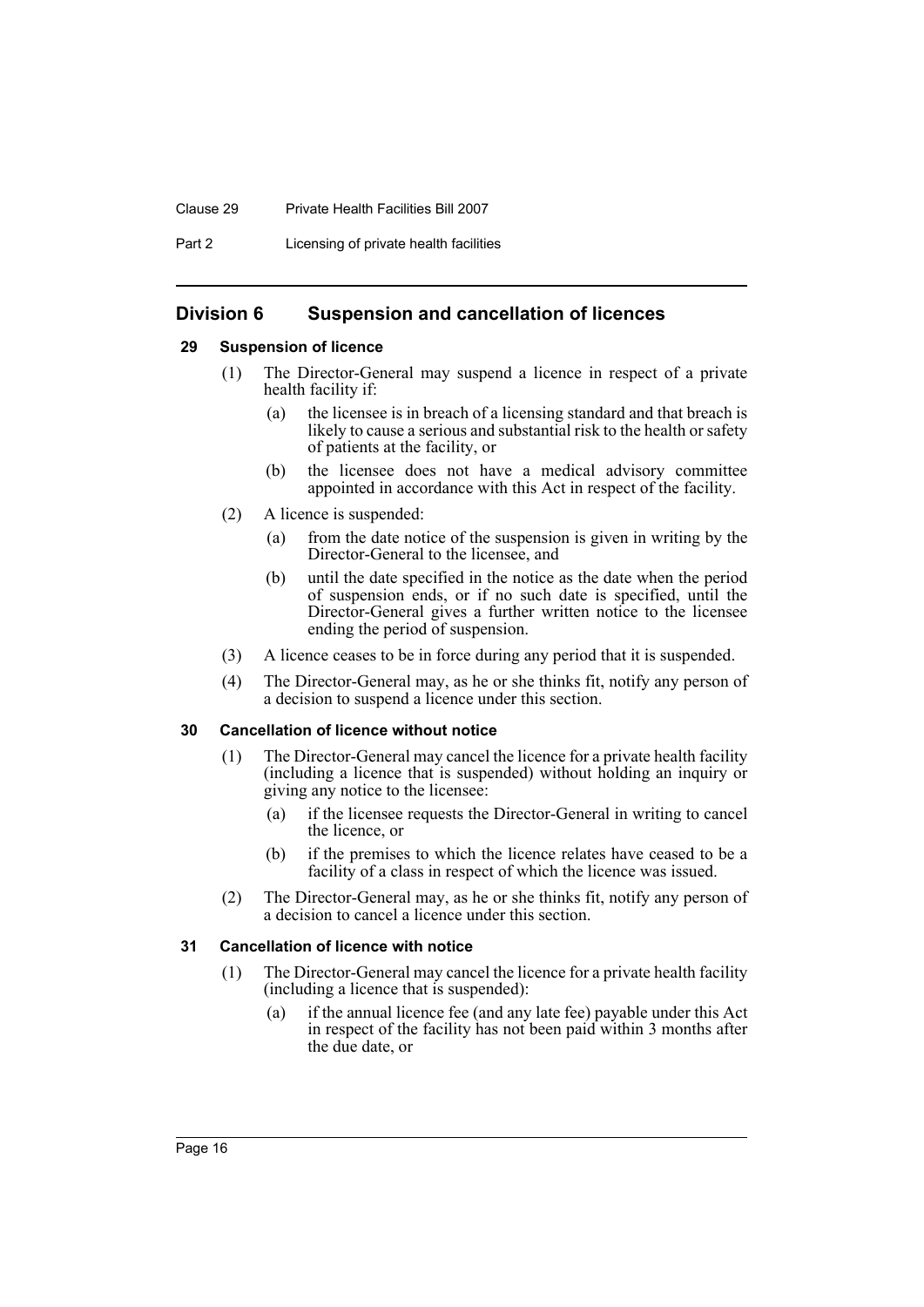#### Clause 29 Private Health Facilities Bill 2007

Part 2 Licensing of private health facilities

# <span id="page-19-0"></span>**Division 6 Suspension and cancellation of licences**

#### <span id="page-19-1"></span>**29 Suspension of licence**

- (1) The Director-General may suspend a licence in respect of a private health facility if:
	- (a) the licensee is in breach of a licensing standard and that breach is likely to cause a serious and substantial risk to the health or safety of patients at the facility, or
	- (b) the licensee does not have a medical advisory committee appointed in accordance with this Act in respect of the facility.
- (2) A licence is suspended:
	- (a) from the date notice of the suspension is given in writing by the Director-General to the licensee, and
	- (b) until the date specified in the notice as the date when the period of suspension ends, or if no such date is specified, until the Director-General gives a further written notice to the licensee ending the period of suspension.
- (3) A licence ceases to be in force during any period that it is suspended.
- (4) The Director-General may, as he or she thinks fit, notify any person of a decision to suspend a licence under this section.

#### <span id="page-19-2"></span>**30 Cancellation of licence without notice**

- (1) The Director-General may cancel the licence for a private health facility (including a licence that is suspended) without holding an inquiry or giving any notice to the licensee:
	- (a) if the licensee requests the Director-General in writing to cancel the licence, or
	- (b) if the premises to which the licence relates have ceased to be a facility of a class in respect of which the licence was issued.
- (2) The Director-General may, as he or she thinks fit, notify any person of a decision to cancel a licence under this section.

#### <span id="page-19-3"></span>**31 Cancellation of licence with notice**

- (1) The Director-General may cancel the licence for a private health facility (including a licence that is suspended):
	- (a) if the annual licence fee (and any late fee) payable under this Act in respect of the facility has not been paid within 3 months after the due date, or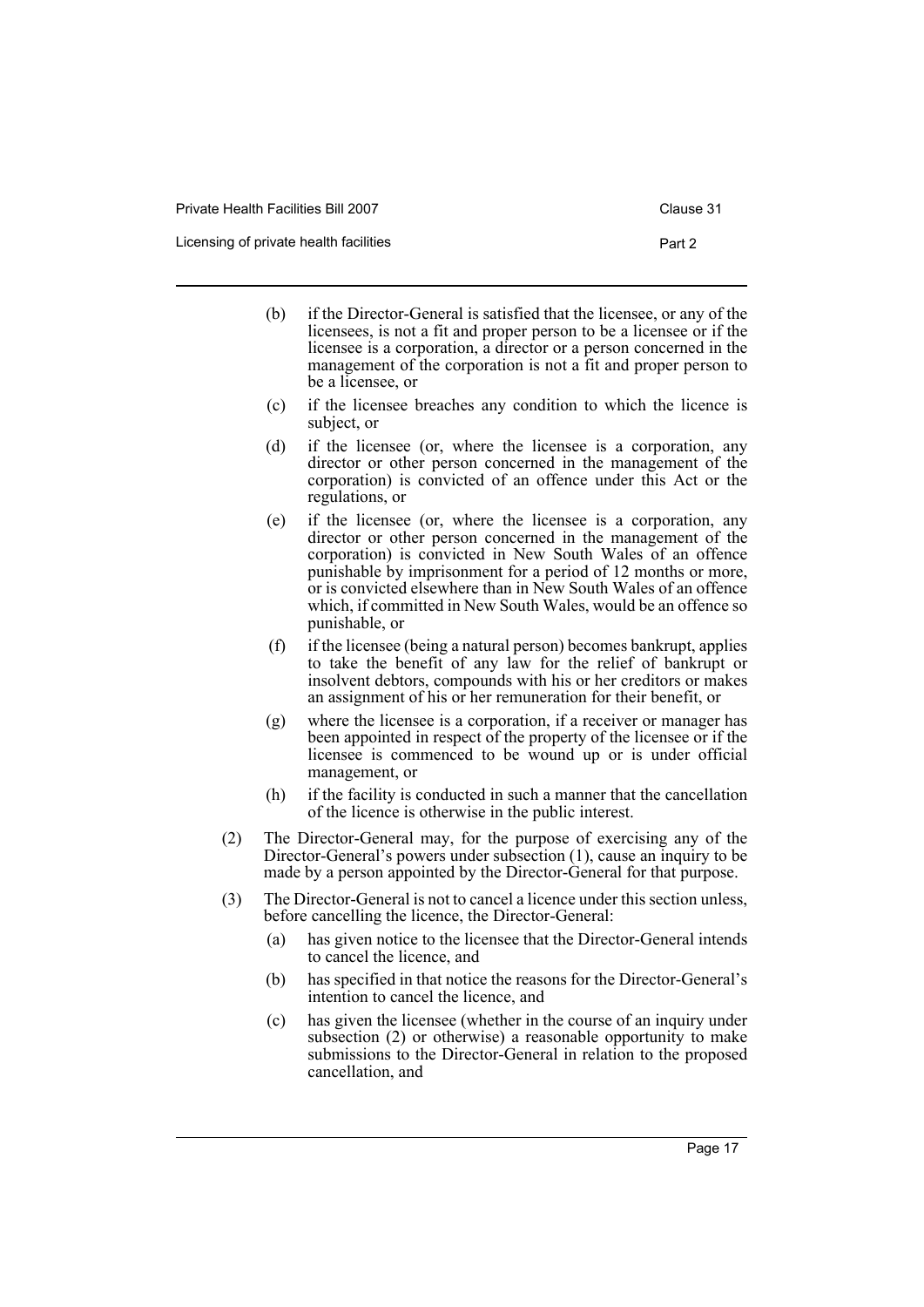- (b) if the Director-General is satisfied that the licensee, or any of the licensees, is not a fit and proper person to be a licensee or if the licensee is a corporation, a director or a person concerned in the management of the corporation is not a fit and proper person to be a licensee, or
- (c) if the licensee breaches any condition to which the licence is subject, or
- (d) if the licensee (or, where the licensee is a corporation, any director or other person concerned in the management of the corporation) is convicted of an offence under this Act or the regulations, or
- (e) if the licensee (or, where the licensee is a corporation, any director or other person concerned in the management of the corporation) is convicted in New South Wales of an offence punishable by imprisonment for a period of 12 months or more, or is convicted elsewhere than in New South Wales of an offence which, if committed in New South Wales, would be an offence so punishable, or
- (f) if the licensee (being a natural person) becomes bankrupt, applies to take the benefit of any law for the relief of bankrupt or insolvent debtors, compounds with his or her creditors or makes an assignment of his or her remuneration for their benefit, or
- (g) where the licensee is a corporation, if a receiver or manager has been appointed in respect of the property of the licensee or if the licensee is commenced to be wound up or is under official management, or
- (h) if the facility is conducted in such a manner that the cancellation of the licence is otherwise in the public interest.
- (2) The Director-General may, for the purpose of exercising any of the Director-General's powers under subsection (1), cause an inquiry to be made by a person appointed by the Director-General for that purpose.
- (3) The Director-General is not to cancel a licence under this section unless, before cancelling the licence, the Director-General:
	- (a) has given notice to the licensee that the Director-General intends to cancel the licence, and
	- (b) has specified in that notice the reasons for the Director-General's intention to cancel the licence, and
	- (c) has given the licensee (whether in the course of an inquiry under subsection (2) or otherwise) a reasonable opportunity to make submissions to the Director-General in relation to the proposed cancellation, and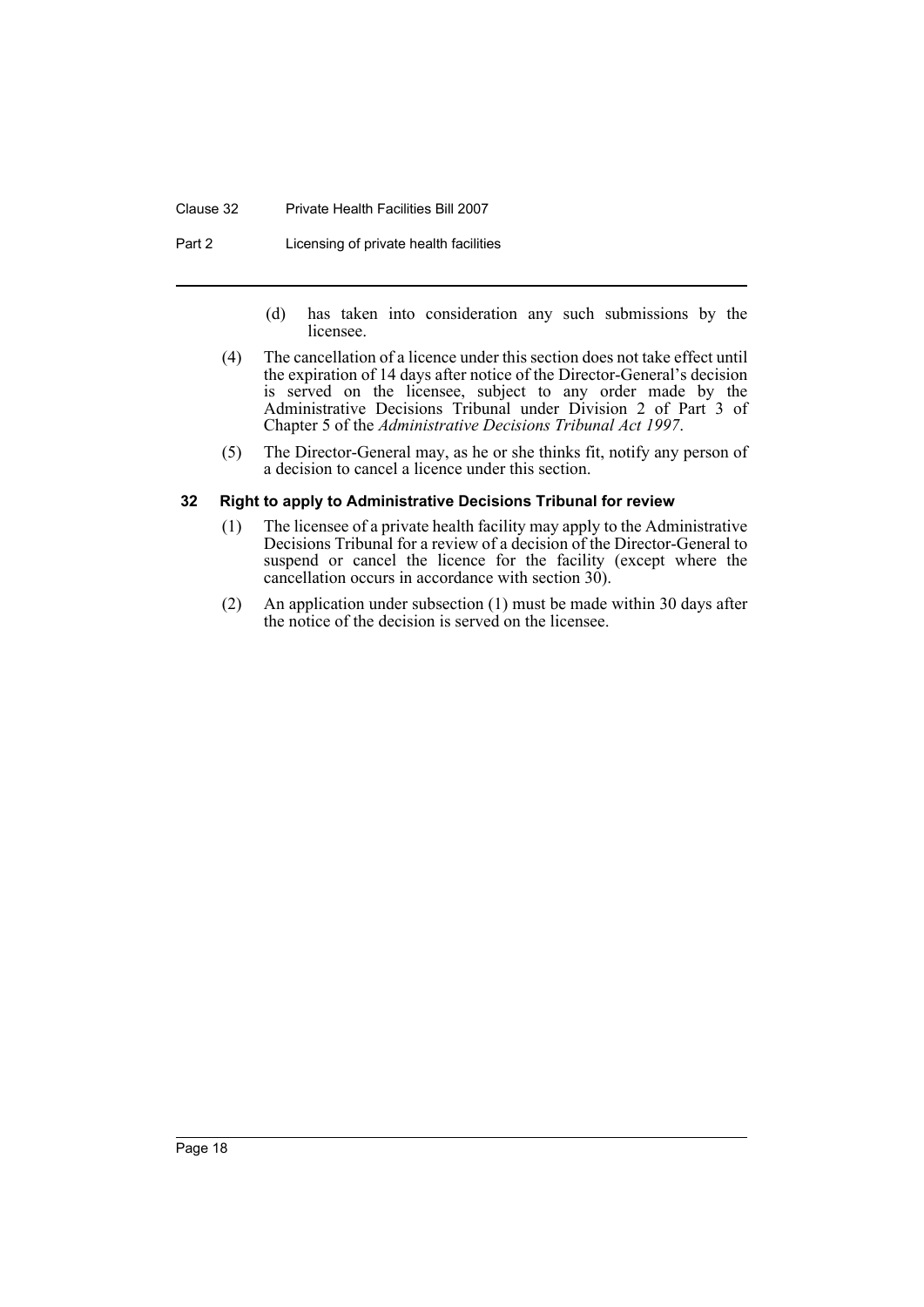#### Clause 32 Private Health Facilities Bill 2007

Part 2 **Licensing of private health facilities** 

- (d) has taken into consideration any such submissions by the licensee.
- (4) The cancellation of a licence under this section does not take effect until the expiration of 14 days after notice of the Director-General's decision is served on the licensee, subject to any order made by the Administrative Decisions Tribunal under Division 2 of Part 3 of Chapter 5 of the *Administrative Decisions Tribunal Act 1997*.
- (5) The Director-General may, as he or she thinks fit, notify any person of a decision to cancel a licence under this section.

#### <span id="page-21-0"></span>**32 Right to apply to Administrative Decisions Tribunal for review**

- (1) The licensee of a private health facility may apply to the Administrative Decisions Tribunal for a review of a decision of the Director-General to suspend or cancel the licence for the facility (except where the cancellation occurs in accordance with section 30).
- (2) An application under subsection (1) must be made within 30 days after the notice of the decision is served on the licensee.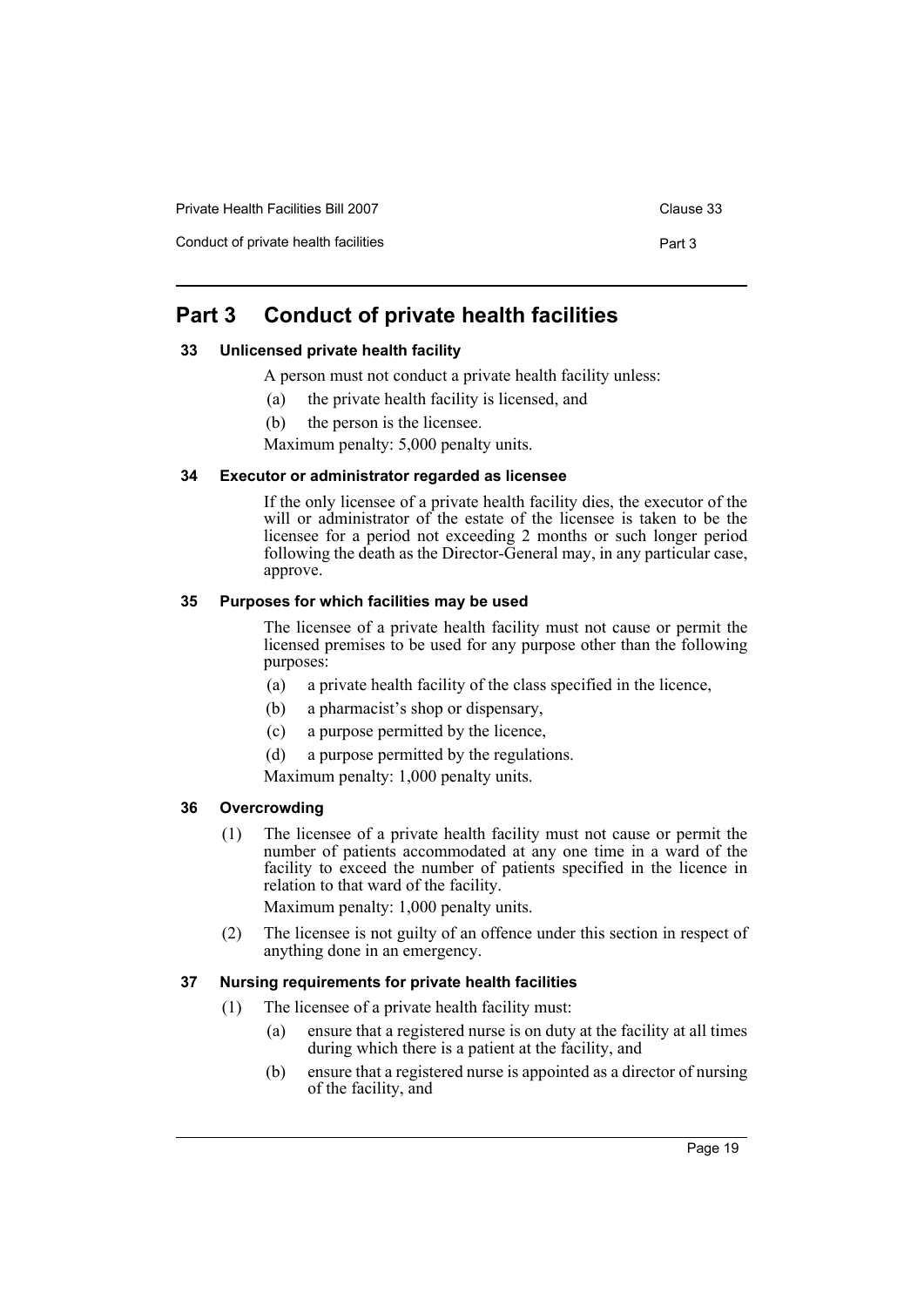Conduct of private health facilities **Part 3** Part 3

# <span id="page-22-0"></span>**Part 3 Conduct of private health facilities**

#### <span id="page-22-1"></span>**33 Unlicensed private health facility**

- A person must not conduct a private health facility unless:
	- (a) the private health facility is licensed, and
- (b) the person is the licensee.

Maximum penalty: 5,000 penalty units.

#### <span id="page-22-2"></span>**34 Executor or administrator regarded as licensee**

If the only licensee of a private health facility dies, the executor of the will or administrator of the estate of the licensee is taken to be the licensee for a period not exceeding 2 months or such longer period following the death as the Director-General may, in any particular case, approve.

#### <span id="page-22-3"></span>**35 Purposes for which facilities may be used**

The licensee of a private health facility must not cause or permit the licensed premises to be used for any purpose other than the following purposes:

- (a) a private health facility of the class specified in the licence,
- (b) a pharmacist's shop or dispensary,
- (c) a purpose permitted by the licence,
- (d) a purpose permitted by the regulations.

Maximum penalty: 1,000 penalty units.

#### <span id="page-22-4"></span>**36 Overcrowding**

(1) The licensee of a private health facility must not cause or permit the number of patients accommodated at any one time in a ward of the facility to exceed the number of patients specified in the licence in relation to that ward of the facility.

Maximum penalty: 1,000 penalty units.

(2) The licensee is not guilty of an offence under this section in respect of anything done in an emergency.

#### <span id="page-22-5"></span>**37 Nursing requirements for private health facilities**

- (1) The licensee of a private health facility must:
	- (a) ensure that a registered nurse is on duty at the facility at all times during which there is a patient at the facility, and
	- (b) ensure that a registered nurse is appointed as a director of nursing of the facility, and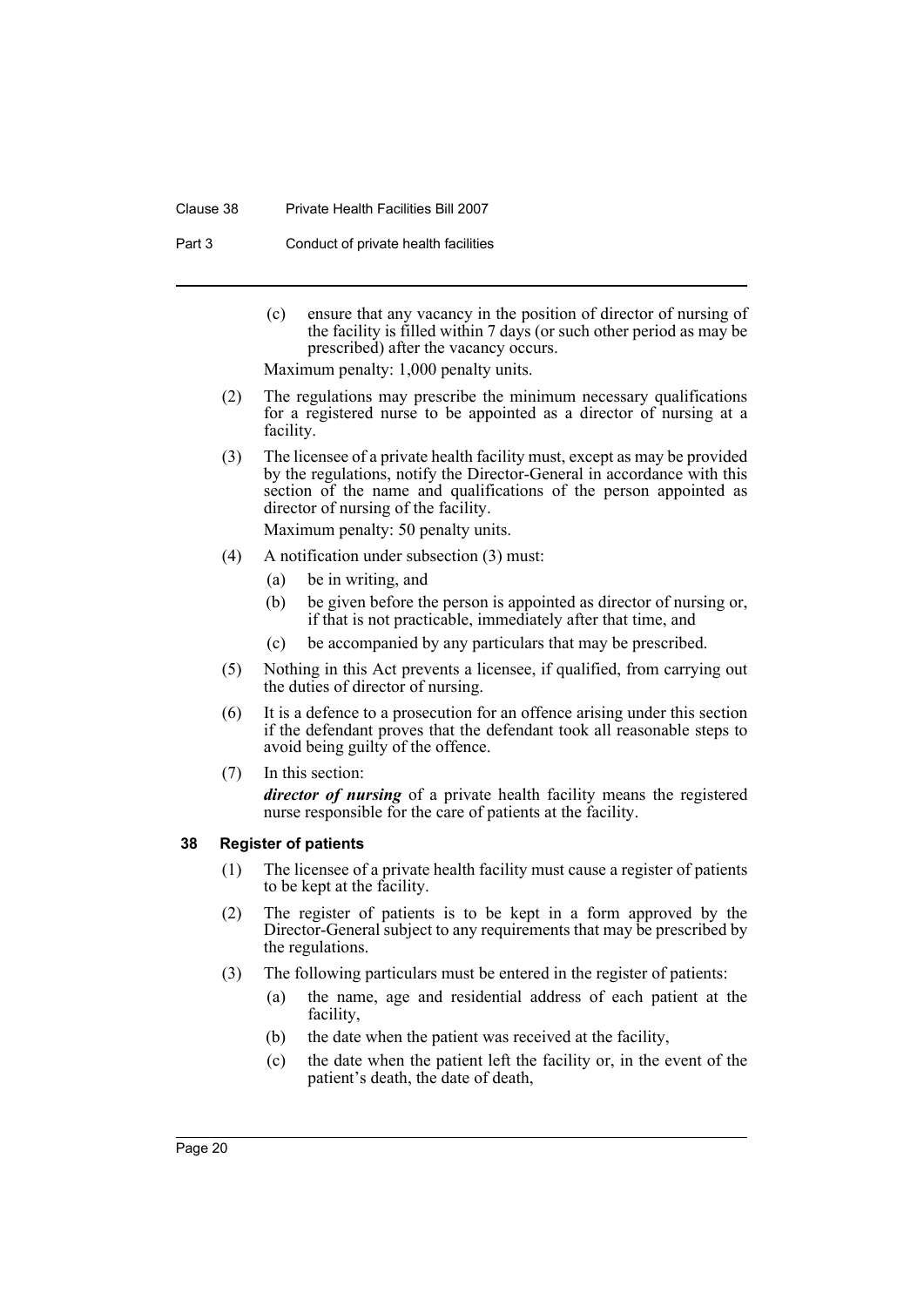#### Clause 38 Private Health Facilities Bill 2007

Part 3 Conduct of private health facilities

(c) ensure that any vacancy in the position of director of nursing of the facility is filled within 7 days (or such other period as may be prescribed) after the vacancy occurs.

Maximum penalty: 1,000 penalty units.

- (2) The regulations may prescribe the minimum necessary qualifications for a registered nurse to be appointed as a director of nursing at a facility.
- (3) The licensee of a private health facility must, except as may be provided by the regulations, notify the Director-General in accordance with this section of the name and qualifications of the person appointed as director of nursing of the facility.

Maximum penalty: 50 penalty units.

- (4) A notification under subsection (3) must:
	- (a) be in writing, and
	- (b) be given before the person is appointed as director of nursing or, if that is not practicable, immediately after that time, and
	- (c) be accompanied by any particulars that may be prescribed.
- (5) Nothing in this Act prevents a licensee, if qualified, from carrying out the duties of director of nursing.
- (6) It is a defence to a prosecution for an offence arising under this section if the defendant proves that the defendant took all reasonable steps to avoid being guilty of the offence.
- (7) In this section:

*director of nursing* of a private health facility means the registered nurse responsible for the care of patients at the facility.

#### <span id="page-23-0"></span>**38 Register of patients**

- (1) The licensee of a private health facility must cause a register of patients to be kept at the facility.
- (2) The register of patients is to be kept in a form approved by the Director-General subject to any requirements that may be prescribed by the regulations.
- (3) The following particulars must be entered in the register of patients:
	- (a) the name, age and residential address of each patient at the facility,
	- (b) the date when the patient was received at the facility,
	- (c) the date when the patient left the facility or, in the event of the patient's death, the date of death,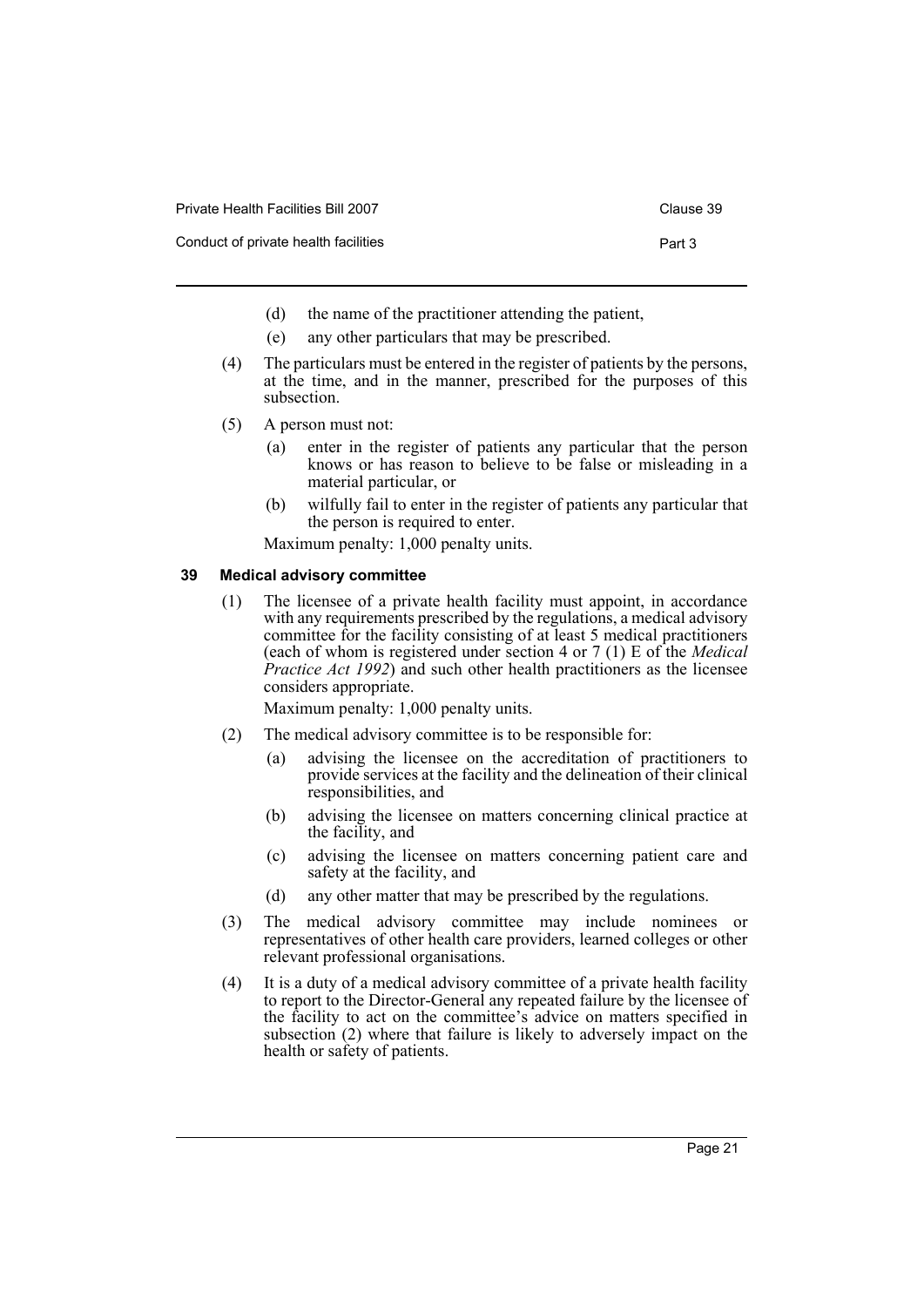- Conduct of private health facilities **Part 3** Part 3
	- (d) the name of the practitioner attending the patient,
	- (e) any other particulars that may be prescribed.
	- (4) The particulars must be entered in the register of patients by the persons, at the time, and in the manner, prescribed for the purposes of this subsection.
	- (5) A person must not:
		- (a) enter in the register of patients any particular that the person knows or has reason to believe to be false or misleading in a material particular, or
		- (b) wilfully fail to enter in the register of patients any particular that the person is required to enter.

Maximum penalty: 1,000 penalty units.

#### <span id="page-24-0"></span>**39 Medical advisory committee**

(1) The licensee of a private health facility must appoint, in accordance with any requirements prescribed by the regulations, a medical advisory committee for the facility consisting of at least 5 medical practitioners (each of whom is registered under section 4 or 7 (1) E of the *Medical Practice Act 1992*) and such other health practitioners as the licensee considers appropriate.

Maximum penalty: 1,000 penalty units.

- (2) The medical advisory committee is to be responsible for:
	- (a) advising the licensee on the accreditation of practitioners to provide services at the facility and the delineation of their clinical responsibilities, and
	- (b) advising the licensee on matters concerning clinical practice at the facility, and
	- (c) advising the licensee on matters concerning patient care and safety at the facility, and
	- (d) any other matter that may be prescribed by the regulations.
- (3) The medical advisory committee may include nominees or representatives of other health care providers, learned colleges or other relevant professional organisations.
- (4) It is a duty of a medical advisory committee of a private health facility to report to the Director-General any repeated failure by the licensee of the facility to act on the committee's advice on matters specified in subsection (2) where that failure is likely to adversely impact on the health or safety of patients.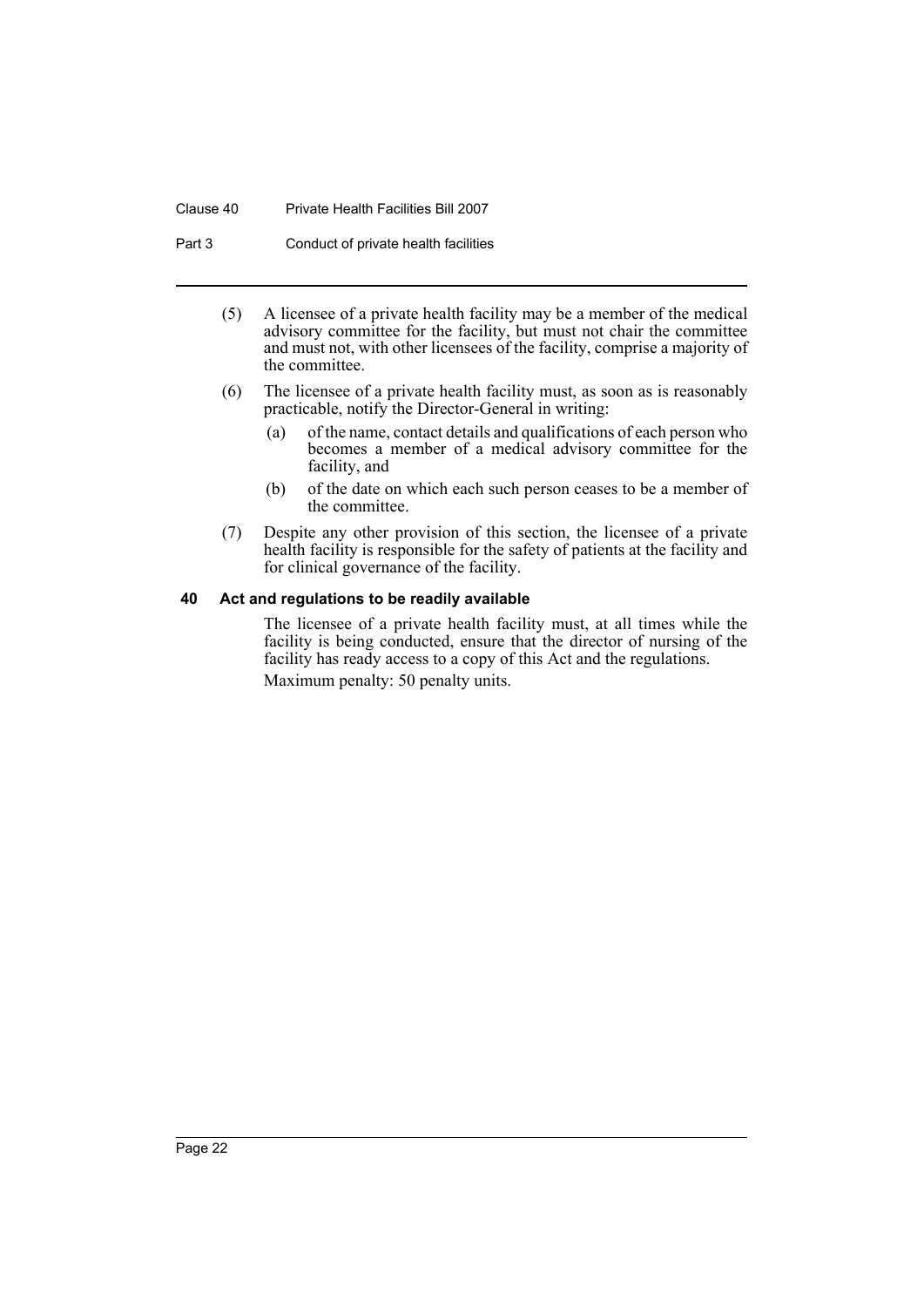#### Clause 40 Private Health Facilities Bill 2007

Part 3 Conduct of private health facilities

- (5) A licensee of a private health facility may be a member of the medical advisory committee for the facility, but must not chair the committee and must not, with other licensees of the facility, comprise a majority of the committee.
- (6) The licensee of a private health facility must, as soon as is reasonably practicable, notify the Director-General in writing:
	- (a) of the name, contact details and qualifications of each person who becomes a member of a medical advisory committee for the facility, and
	- (b) of the date on which each such person ceases to be a member of the committee.
- (7) Despite any other provision of this section, the licensee of a private health facility is responsible for the safety of patients at the facility and for clinical governance of the facility.

#### <span id="page-25-0"></span>**40 Act and regulations to be readily available**

The licensee of a private health facility must, at all times while the facility is being conducted, ensure that the director of nursing of the facility has ready access to a copy of this Act and the regulations. Maximum penalty: 50 penalty units.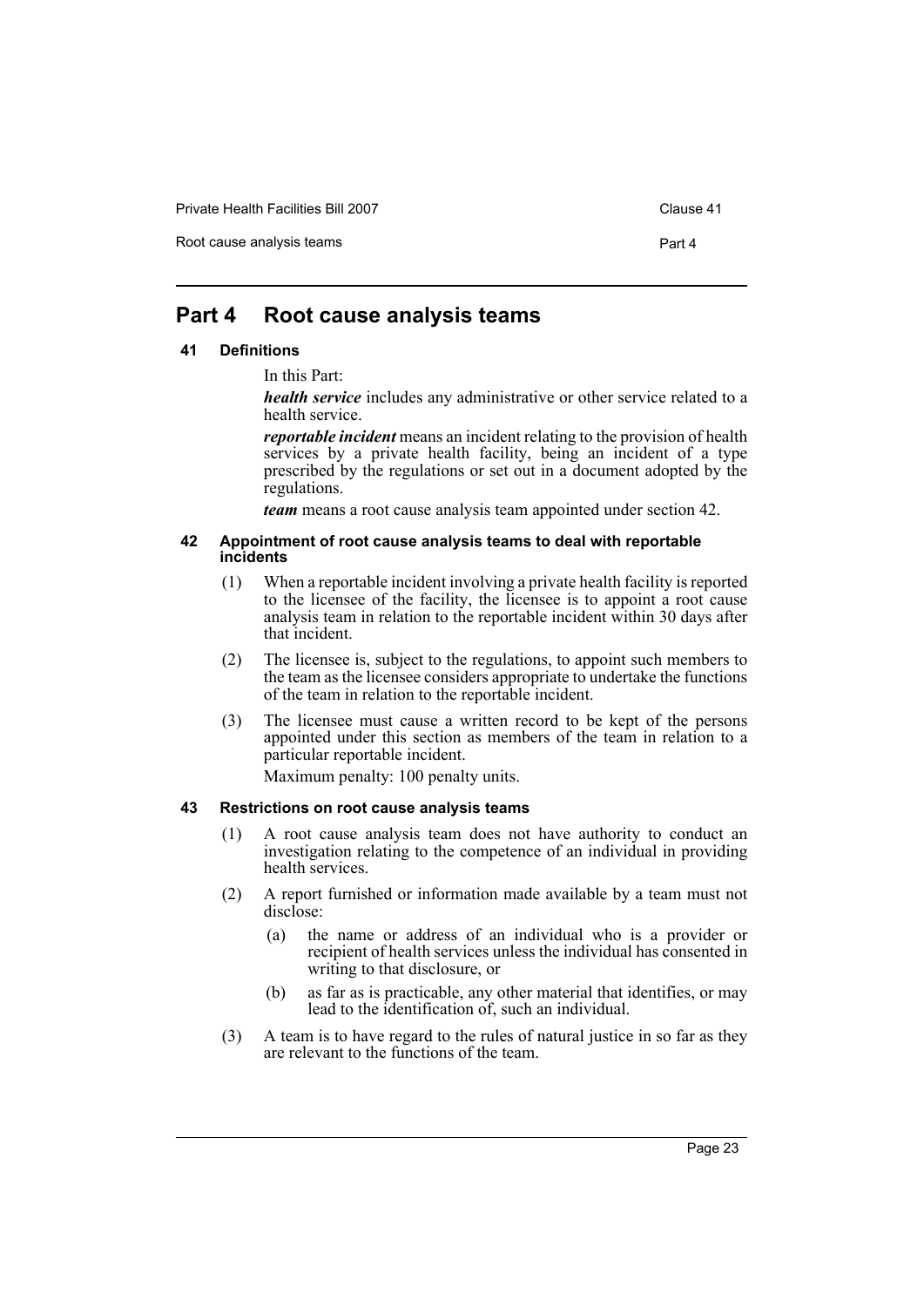Private Health Facilities Bill 2007 Clause 41

Root cause analysis teams **Part 4** 

# <span id="page-26-0"></span>**Part 4 Root cause analysis teams**

#### <span id="page-26-1"></span>**41 Definitions**

In this Part:

*health service* includes any administrative or other service related to a health service.

*reportable incident* means an incident relating to the provision of health services by a private health facility, being an incident of a type prescribed by the regulations or set out in a document adopted by the regulations.

*team* means a root cause analysis team appointed under section 42.

#### <span id="page-26-2"></span>**42 Appointment of root cause analysis teams to deal with reportable incidents**

- (1) When a reportable incident involving a private health facility is reported to the licensee of the facility, the licensee is to appoint a root cause analysis team in relation to the reportable incident within 30 days after that incident.
- (2) The licensee is, subject to the regulations, to appoint such members to the team as the licensee considers appropriate to undertake the functions of the team in relation to the reportable incident.
- (3) The licensee must cause a written record to be kept of the persons appointed under this section as members of the team in relation to a particular reportable incident.

Maximum penalty: 100 penalty units.

#### <span id="page-26-3"></span>**43 Restrictions on root cause analysis teams**

- (1) A root cause analysis team does not have authority to conduct an investigation relating to the competence of an individual in providing health services.
- (2) A report furnished or information made available by a team must not disclose:
	- (a) the name or address of an individual who is a provider or recipient of health services unless the individual has consented in writing to that disclosure, or
	- (b) as far as is practicable, any other material that identifies, or may lead to the identification of, such an individual.
- (3) A team is to have regard to the rules of natural justice in so far as they are relevant to the functions of the team.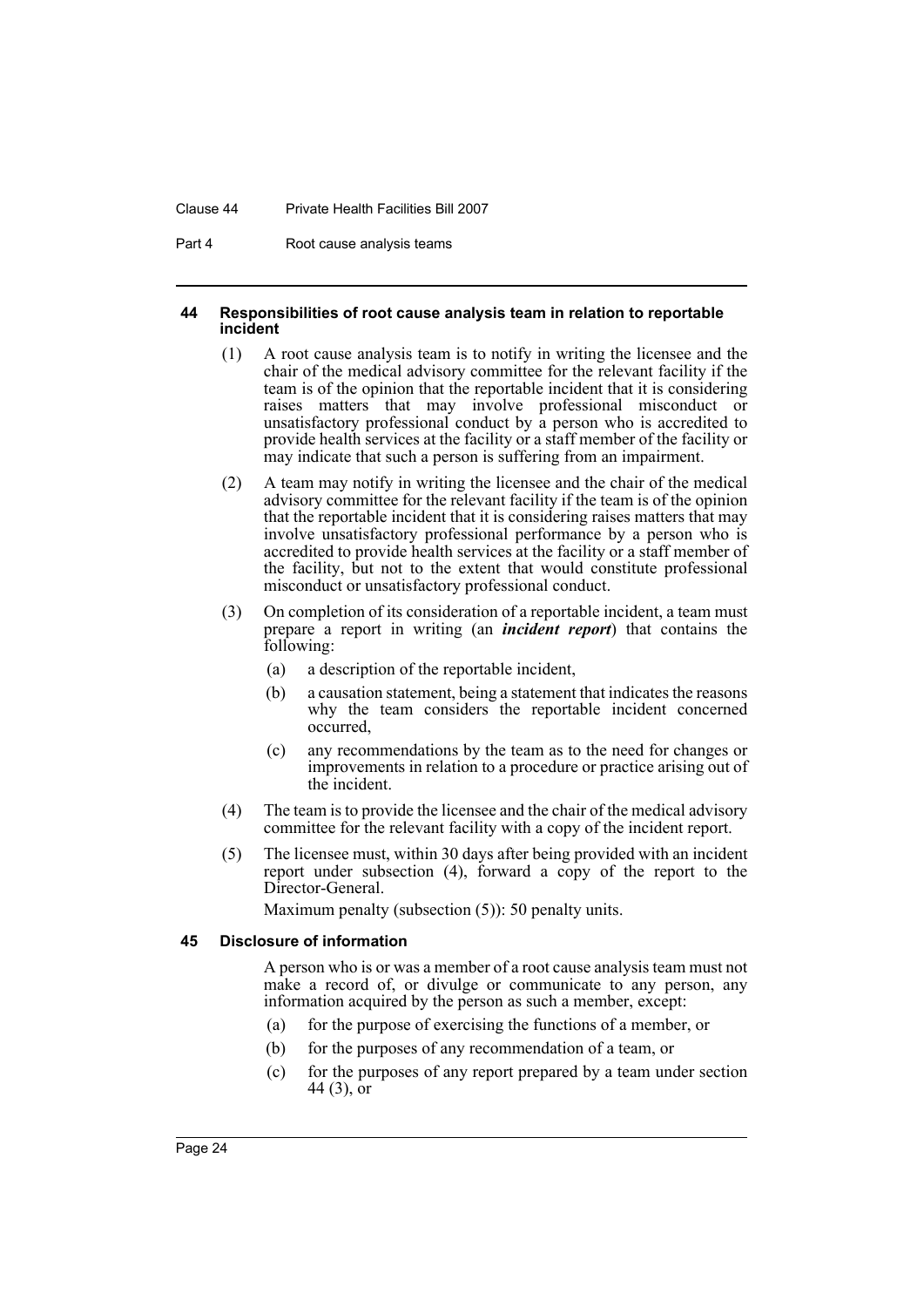#### Clause 44 Private Health Facilities Bill 2007

Part 4 Root cause analysis teams

#### <span id="page-27-0"></span>**44 Responsibilities of root cause analysis team in relation to reportable incident**

- (1) A root cause analysis team is to notify in writing the licensee and the chair of the medical advisory committee for the relevant facility if the team is of the opinion that the reportable incident that it is considering raises matters that may involve professional misconduct or unsatisfactory professional conduct by a person who is accredited to provide health services at the facility or a staff member of the facility or may indicate that such a person is suffering from an impairment.
- (2) A team may notify in writing the licensee and the chair of the medical advisory committee for the relevant facility if the team is of the opinion that the reportable incident that it is considering raises matters that may involve unsatisfactory professional performance by a person who is accredited to provide health services at the facility or a staff member of the facility, but not to the extent that would constitute professional misconduct or unsatisfactory professional conduct.
- (3) On completion of its consideration of a reportable incident, a team must prepare a report in writing (an *incident report*) that contains the following:
	- (a) a description of the reportable incident,
	- (b) a causation statement, being a statement that indicates the reasons why the team considers the reportable incident concerned occurred,
	- (c) any recommendations by the team as to the need for changes or improvements in relation to a procedure or practice arising out of the incident.
- (4) The team is to provide the licensee and the chair of the medical advisory committee for the relevant facility with a copy of the incident report.
- (5) The licensee must, within 30 days after being provided with an incident report under subsection (4), forward a copy of the report to the Director-General.

Maximum penalty (subsection (5)): 50 penalty units.

#### <span id="page-27-1"></span>**45 Disclosure of information**

A person who is or was a member of a root cause analysis team must not make a record of, or divulge or communicate to any person, any information acquired by the person as such a member, except:

- (a) for the purpose of exercising the functions of a member, or
- (b) for the purposes of any recommendation of a team, or
- (c) for the purposes of any report prepared by a team under section 44 (3), or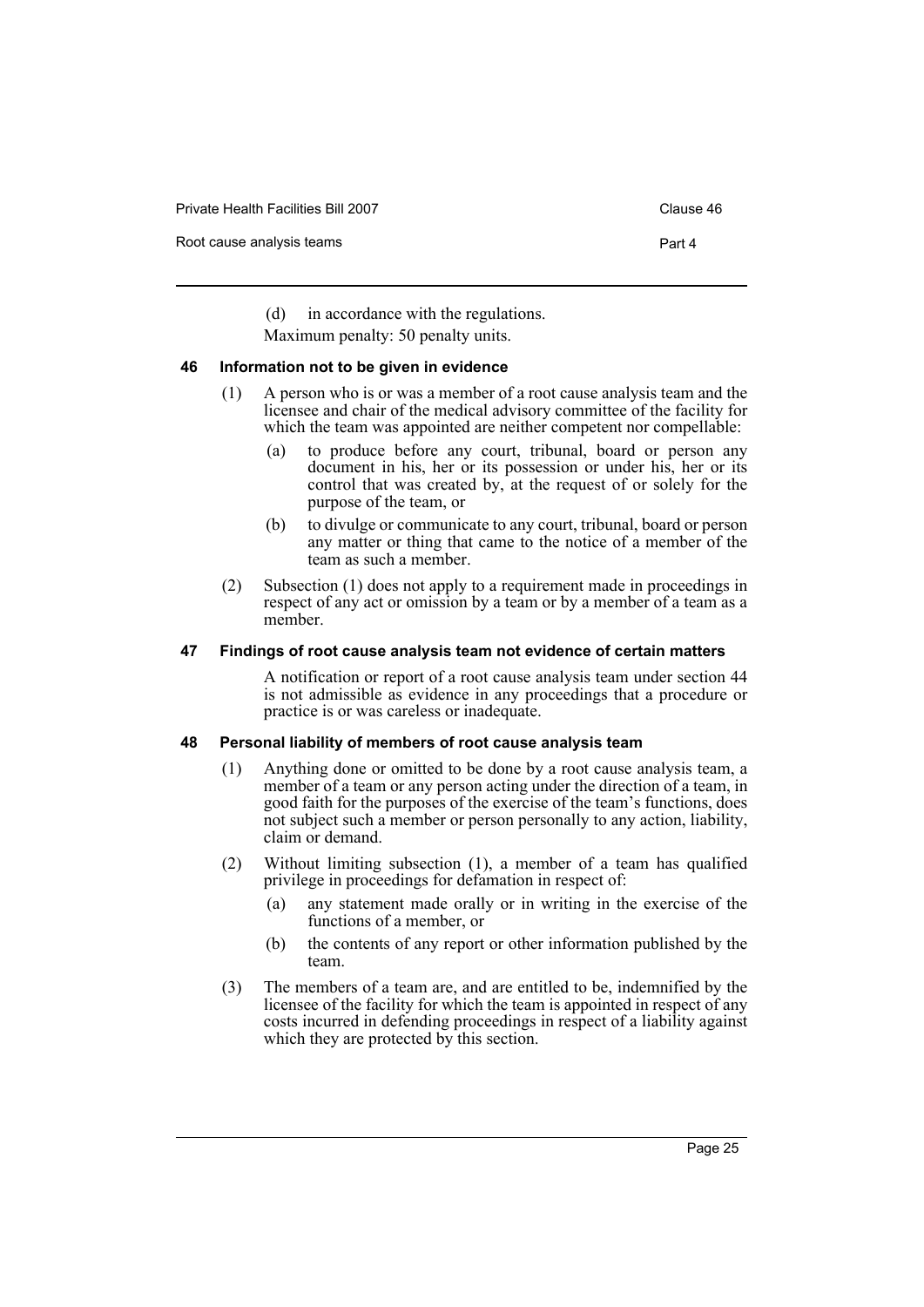Private Health Facilities Bill 2007 Clause 46

Root cause analysis teams **Part 4** 

(d) in accordance with the regulations.

Maximum penalty: 50 penalty units.

#### <span id="page-28-0"></span>**46 Information not to be given in evidence**

- (1) A person who is or was a member of a root cause analysis team and the licensee and chair of the medical advisory committee of the facility for which the team was appointed are neither competent nor compellable:
	- (a) to produce before any court, tribunal, board or person any document in his, her or its possession or under his, her or its control that was created by, at the request of or solely for the purpose of the team, or
	- (b) to divulge or communicate to any court, tribunal, board or person any matter or thing that came to the notice of a member of the team as such a member.
- (2) Subsection (1) does not apply to a requirement made in proceedings in respect of any act or omission by a team or by a member of a team as a member.

#### <span id="page-28-1"></span>**47 Findings of root cause analysis team not evidence of certain matters**

A notification or report of a root cause analysis team under section 44 is not admissible as evidence in any proceedings that a procedure or practice is or was careless or inadequate.

#### <span id="page-28-2"></span>**48 Personal liability of members of root cause analysis team**

- (1) Anything done or omitted to be done by a root cause analysis team, a member of a team or any person acting under the direction of a team, in good faith for the purposes of the exercise of the team's functions, does not subject such a member or person personally to any action, liability, claim or demand.
- (2) Without limiting subsection (1), a member of a team has qualified privilege in proceedings for defamation in respect of:
	- (a) any statement made orally or in writing in the exercise of the functions of a member, or
	- (b) the contents of any report or other information published by the team.
- (3) The members of a team are, and are entitled to be, indemnified by the licensee of the facility for which the team is appointed in respect of any costs incurred in defending proceedings in respect of a liability against which they are protected by this section.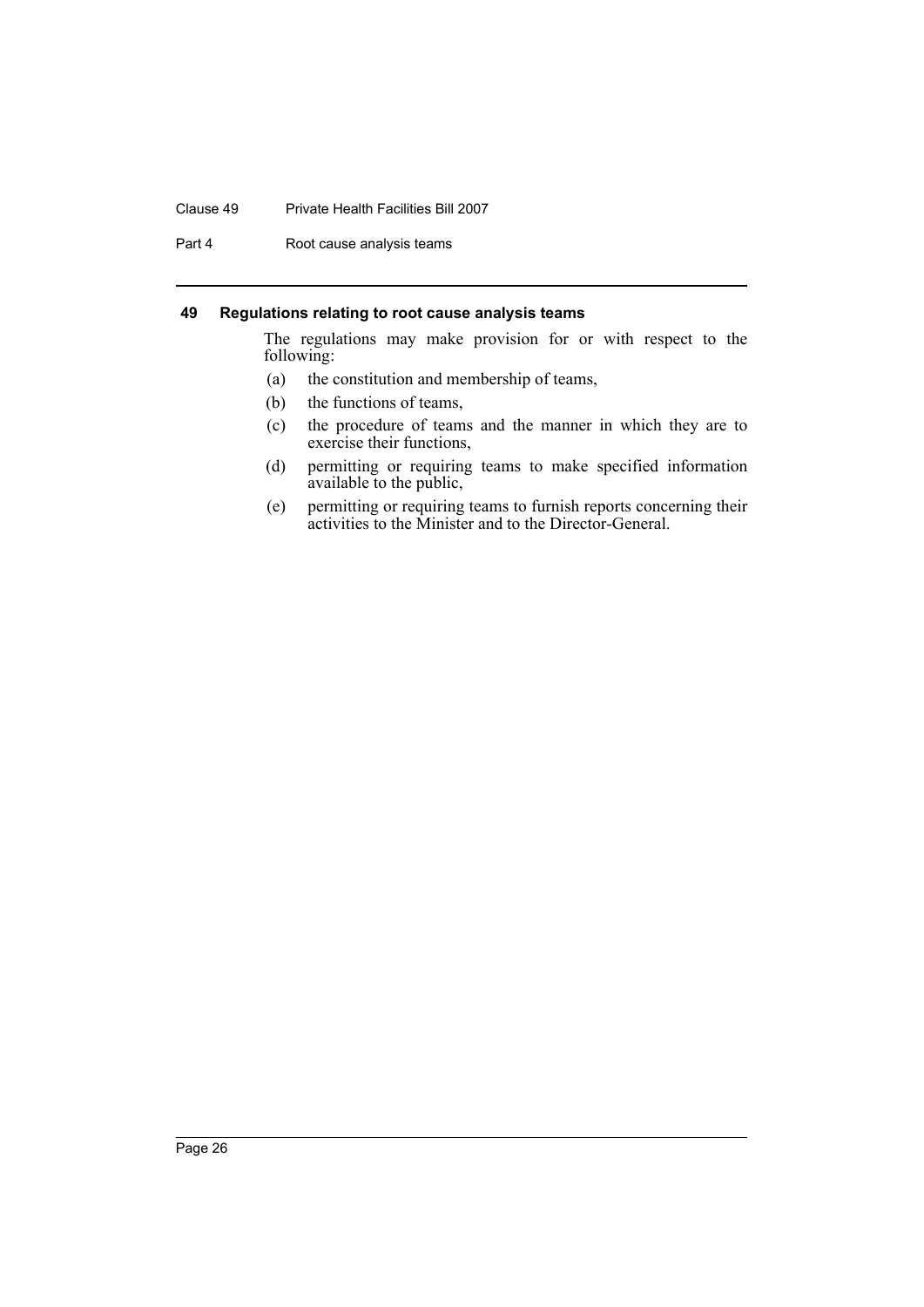#### Clause 49 Private Health Facilities Bill 2007

Part 4 Root cause analysis teams

#### <span id="page-29-0"></span>**49 Regulations relating to root cause analysis teams**

The regulations may make provision for or with respect to the following:

- (a) the constitution and membership of teams,
- (b) the functions of teams,
- (c) the procedure of teams and the manner in which they are to exercise their functions,
- (d) permitting or requiring teams to make specified information available to the public,
- (e) permitting or requiring teams to furnish reports concerning their activities to the Minister and to the Director-General.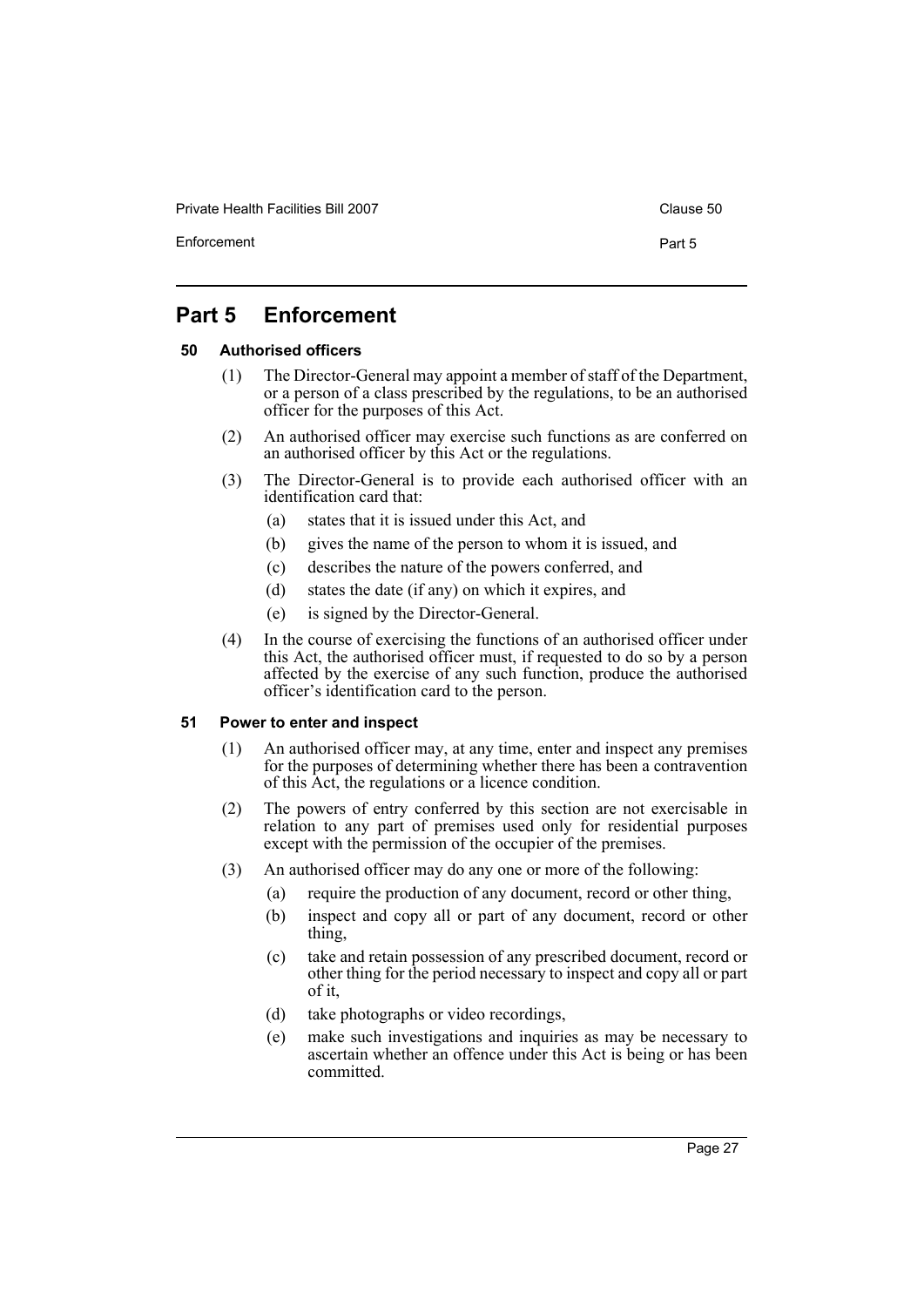Private Health Facilities Bill 2007 Clause 50

Enforcement Part 5

# <span id="page-30-0"></span>**Part 5 Enforcement**

## <span id="page-30-1"></span>**50 Authorised officers**

- (1) The Director-General may appoint a member of staff of the Department, or a person of a class prescribed by the regulations, to be an authorised officer for the purposes of this Act.
- (2) An authorised officer may exercise such functions as are conferred on an authorised officer by this Act or the regulations.
- (3) The Director-General is to provide each authorised officer with an identification card that:
	- (a) states that it is issued under this Act, and
	- (b) gives the name of the person to whom it is issued, and
	- (c) describes the nature of the powers conferred, and
	- (d) states the date (if any) on which it expires, and
	- (e) is signed by the Director-General.
- (4) In the course of exercising the functions of an authorised officer under this Act, the authorised officer must, if requested to do so by a person affected by the exercise of any such function, produce the authorised officer's identification card to the person.

#### <span id="page-30-2"></span>**51 Power to enter and inspect**

- (1) An authorised officer may, at any time, enter and inspect any premises for the purposes of determining whether there has been a contravention of this Act, the regulations or a licence condition.
- (2) The powers of entry conferred by this section are not exercisable in relation to any part of premises used only for residential purposes except with the permission of the occupier of the premises.
- (3) An authorised officer may do any one or more of the following:
	- (a) require the production of any document, record or other thing,
	- (b) inspect and copy all or part of any document, record or other thing,
	- (c) take and retain possession of any prescribed document, record or other thing for the period necessary to inspect and copy all or part of it,
	- (d) take photographs or video recordings,
	- (e) make such investigations and inquiries as may be necessary to ascertain whether an offence under this Act is being or has been committed.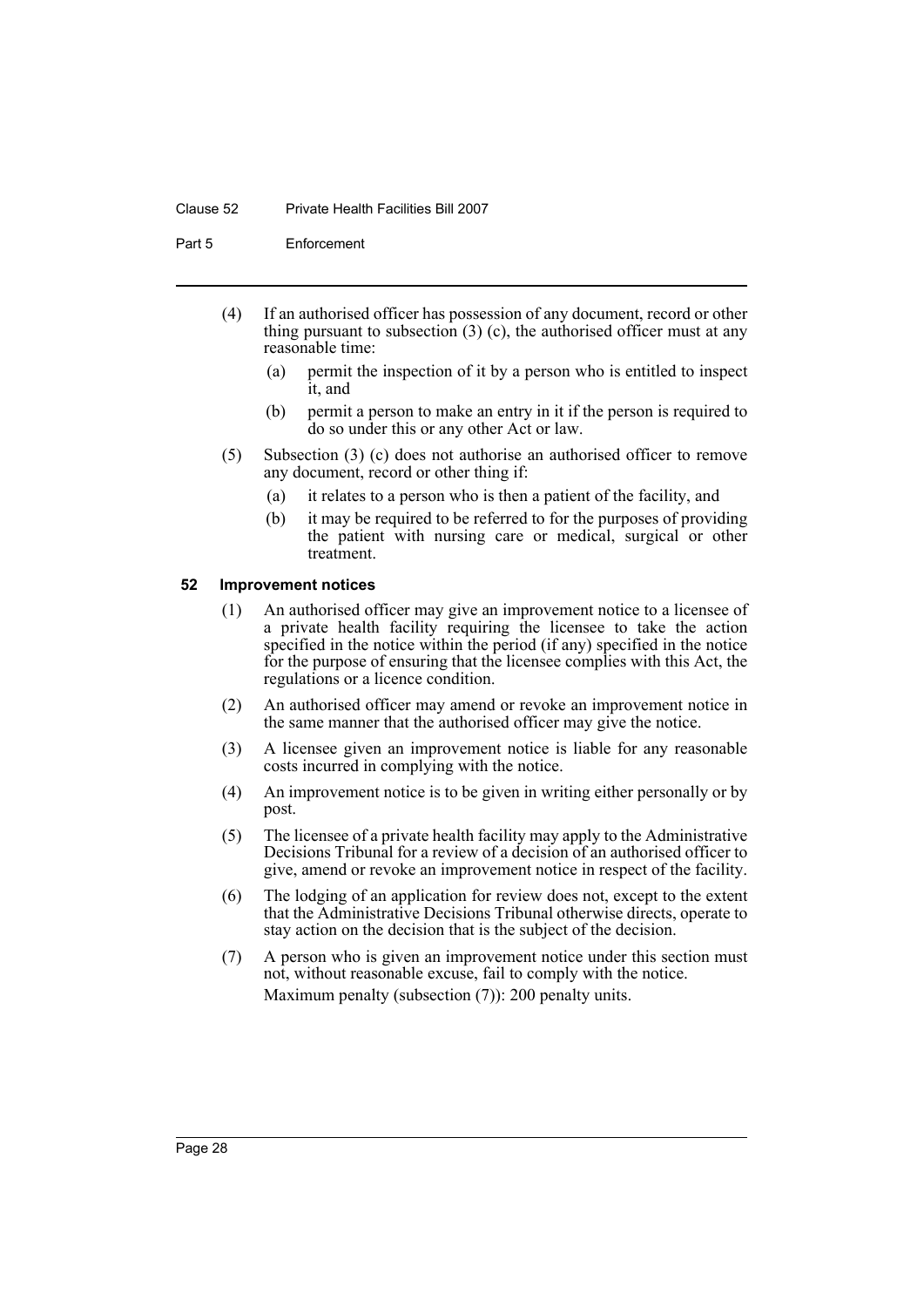#### Clause 52 Private Health Facilities Bill 2007

Part 5 Enforcement

- (4) If an authorised officer has possession of any document, record or other thing pursuant to subsection  $(3)$  (c), the authorised officer must at any reasonable time:
	- (a) permit the inspection of it by a person who is entitled to inspect it, and
	- (b) permit a person to make an entry in it if the person is required to do so under this or any other Act or law.
- (5) Subsection (3) (c) does not authorise an authorised officer to remove any document, record or other thing if:
	- (a) it relates to a person who is then a patient of the facility, and
	- (b) it may be required to be referred to for the purposes of providing the patient with nursing care or medical, surgical or other treatment.

#### <span id="page-31-0"></span>**52 Improvement notices**

- (1) An authorised officer may give an improvement notice to a licensee of a private health facility requiring the licensee to take the action specified in the notice within the period (if any) specified in the notice for the purpose of ensuring that the licensee complies with this Act, the regulations or a licence condition.
- (2) An authorised officer may amend or revoke an improvement notice in the same manner that the authorised officer may give the notice.
- (3) A licensee given an improvement notice is liable for any reasonable costs incurred in complying with the notice.
- (4) An improvement notice is to be given in writing either personally or by post.
- (5) The licensee of a private health facility may apply to the Administrative Decisions Tribunal for a review of a decision of an authorised officer to give, amend or revoke an improvement notice in respect of the facility.
- (6) The lodging of an application for review does not, except to the extent that the Administrative Decisions Tribunal otherwise directs, operate to stay action on the decision that is the subject of the decision.
- (7) A person who is given an improvement notice under this section must not, without reasonable excuse, fail to comply with the notice. Maximum penalty (subsection (7)): 200 penalty units.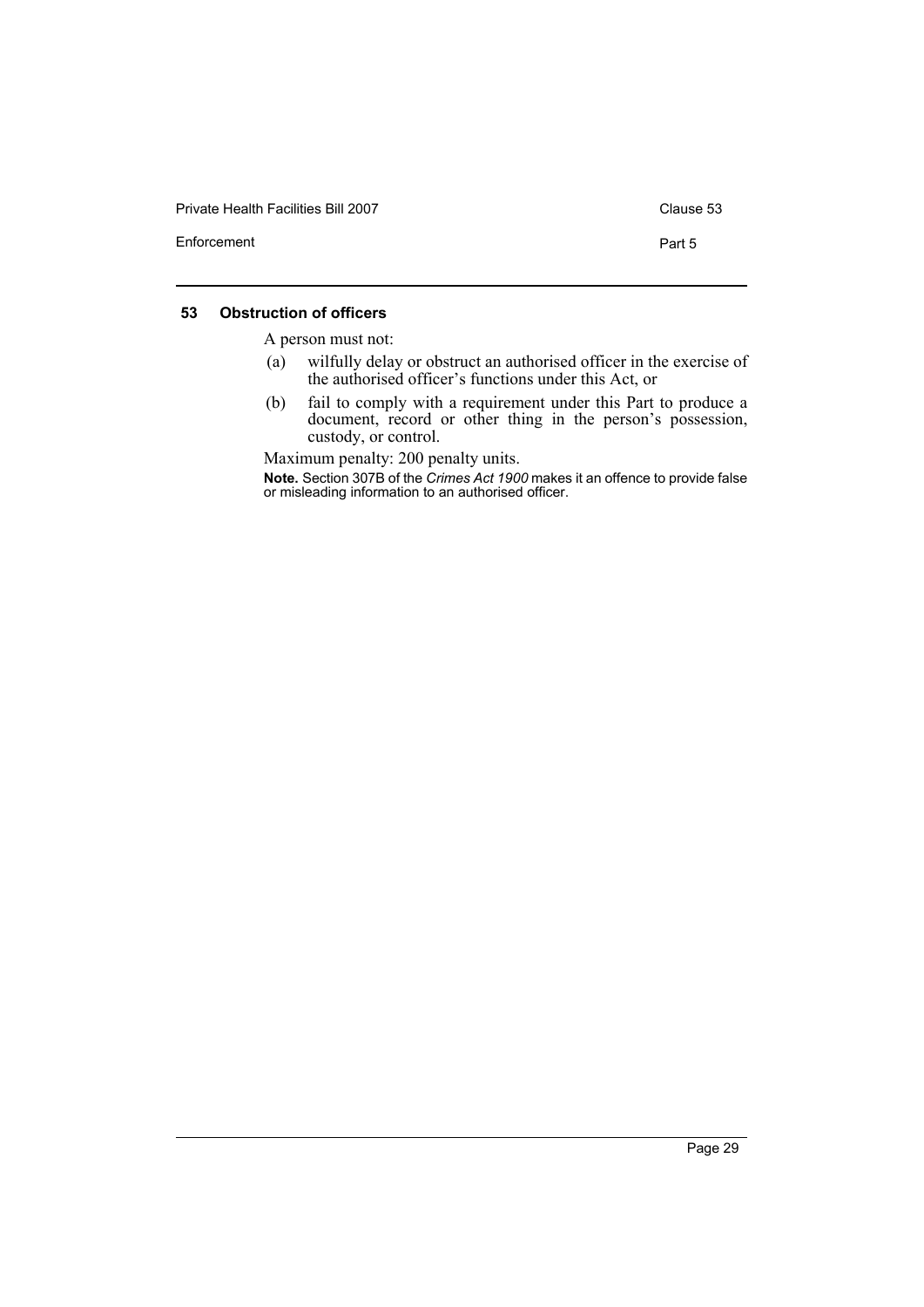| <b>Private Health Facilities Bill 2007</b> | Clause 53 |
|--------------------------------------------|-----------|
| Enforcement                                | Part 5    |

#### <span id="page-32-0"></span>**53 Obstruction of officers**

A person must not:

- (a) wilfully delay or obstruct an authorised officer in the exercise of the authorised officer's functions under this Act, or
- (b) fail to comply with a requirement under this Part to produce a document, record or other thing in the person's possession, custody, or control.

Maximum penalty: 200 penalty units.

**Note.** Section 307B of the *Crimes Act 1900* makes it an offence to provide false or misleading information to an authorised officer.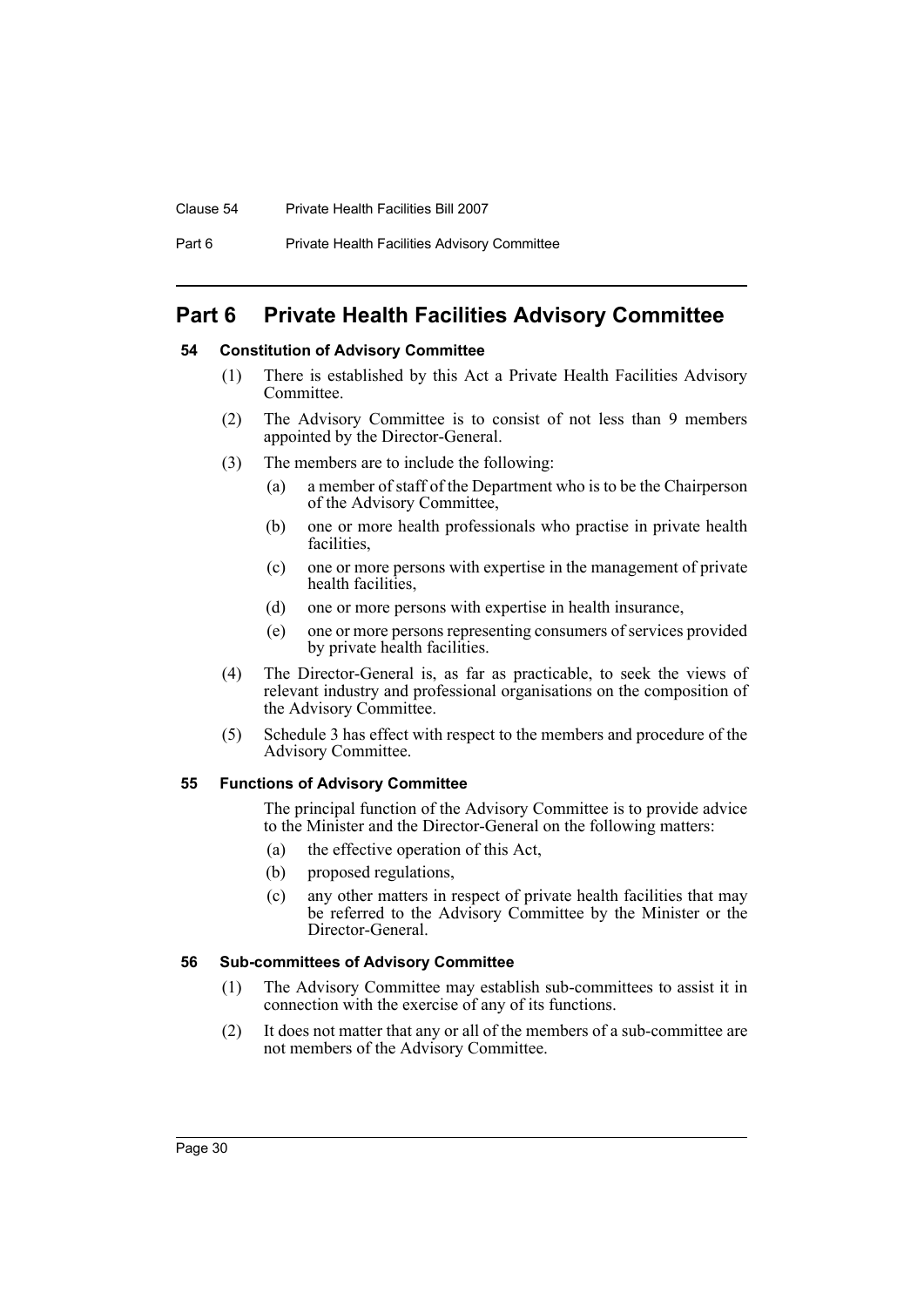#### Clause 54 Private Health Facilities Bill 2007

# <span id="page-33-0"></span>**Part 6 Private Health Facilities Advisory Committee**

# <span id="page-33-1"></span>**54 Constitution of Advisory Committee**

- (1) There is established by this Act a Private Health Facilities Advisory Committee.
- (2) The Advisory Committee is to consist of not less than 9 members appointed by the Director-General.
- (3) The members are to include the following:
	- (a) a member of staff of the Department who is to be the Chairperson of the Advisory Committee,
	- (b) one or more health professionals who practise in private health facilities,
	- (c) one or more persons with expertise in the management of private health facilities,
	- (d) one or more persons with expertise in health insurance,
	- (e) one or more persons representing consumers of services provided by private health facilities.
- (4) The Director-General is, as far as practicable, to seek the views of relevant industry and professional organisations on the composition of the Advisory Committee.
- (5) Schedule 3 has effect with respect to the members and procedure of the Advisory Committee.

#### <span id="page-33-2"></span>**55 Functions of Advisory Committee**

The principal function of the Advisory Committee is to provide advice to the Minister and the Director-General on the following matters:

- (a) the effective operation of this Act,
- (b) proposed regulations,
- (c) any other matters in respect of private health facilities that may be referred to the Advisory Committee by the Minister or the Director-General.

#### <span id="page-33-3"></span>**56 Sub-committees of Advisory Committee**

- (1) The Advisory Committee may establish sub-committees to assist it in connection with the exercise of any of its functions.
- (2) It does not matter that any or all of the members of a sub-committee are not members of the Advisory Committee.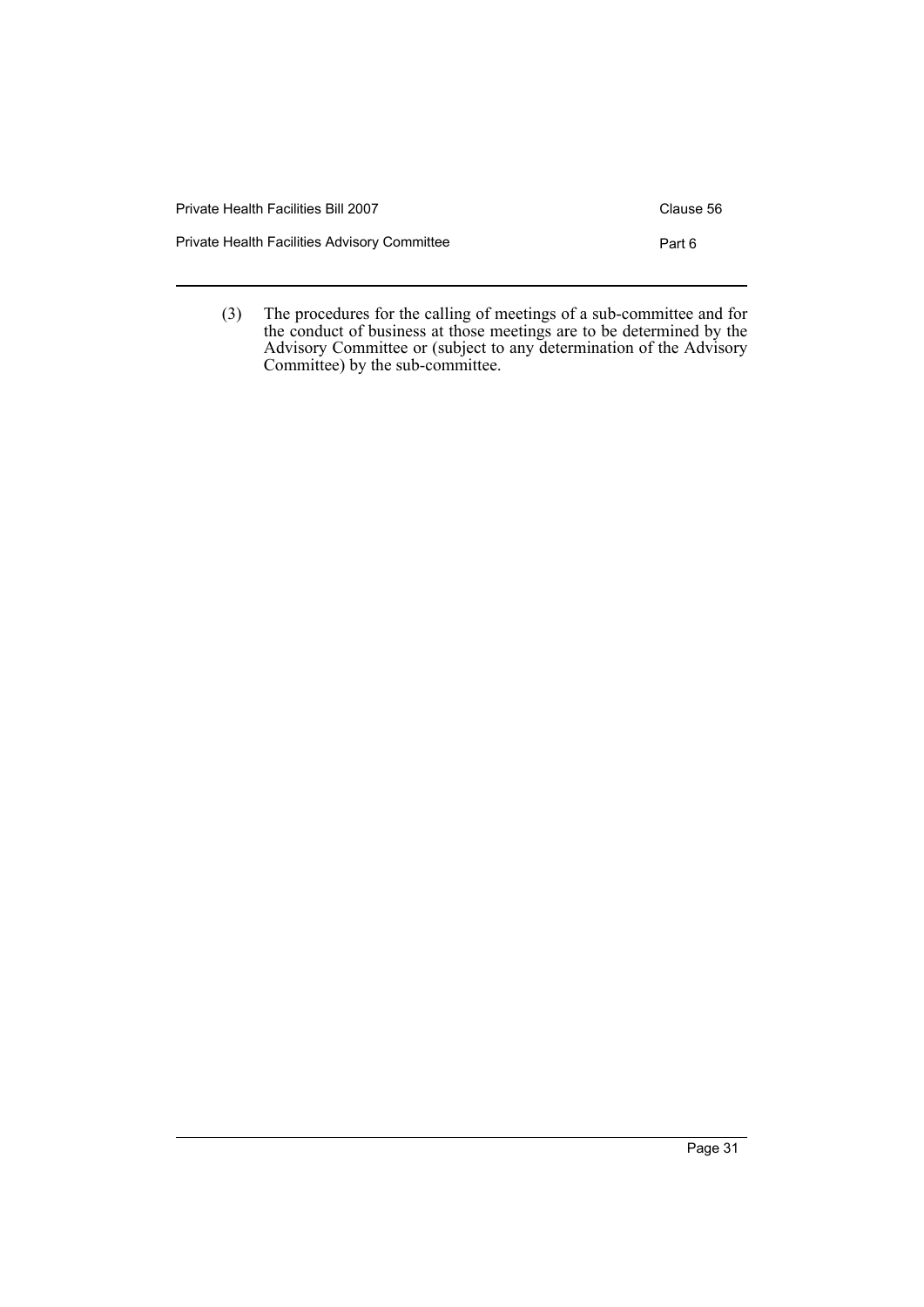| Private Health Facilities Bill 2007          | Clause 56 |
|----------------------------------------------|-----------|
| Private Health Facilities Advisory Committee | Part 6    |
|                                              |           |

(3) The procedures for the calling of meetings of a sub-committee and for the conduct of business at those meetings are to be determined by the Advisory Committee or (subject to any determination of the Advisory Committee) by the sub-committee.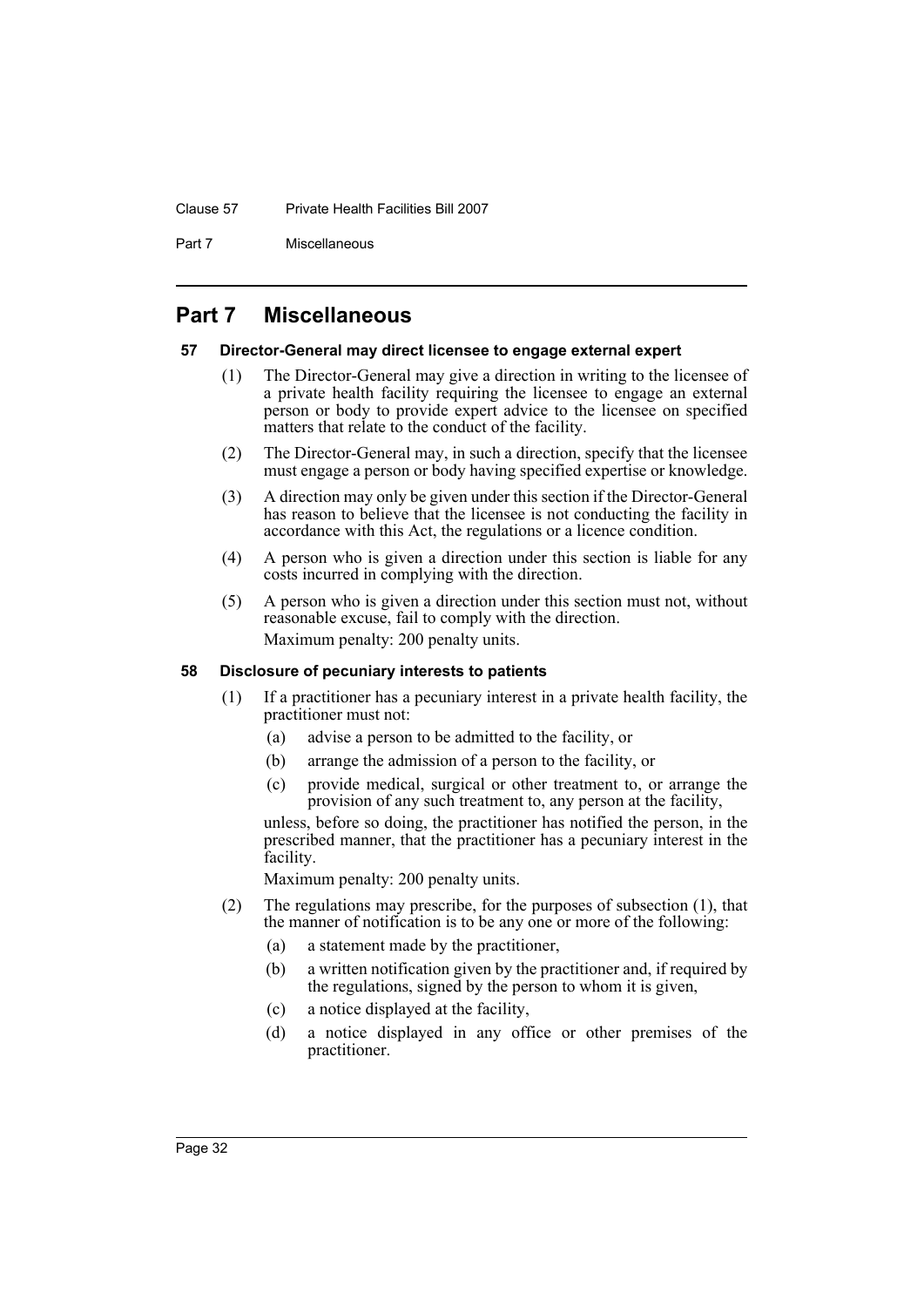#### Clause 57 Private Health Facilities Bill 2007

Part 7 Miscellaneous

# <span id="page-35-0"></span>**Part 7 Miscellaneous**

#### <span id="page-35-1"></span>**57 Director-General may direct licensee to engage external expert**

- (1) The Director-General may give a direction in writing to the licensee of a private health facility requiring the licensee to engage an external person or body to provide expert advice to the licensee on specified matters that relate to the conduct of the facility.
- (2) The Director-General may, in such a direction, specify that the licensee must engage a person or body having specified expertise or knowledge.
- (3) A direction may only be given under this section if the Director-General has reason to believe that the licensee is not conducting the facility in accordance with this Act, the regulations or a licence condition.
- (4) A person who is given a direction under this section is liable for any costs incurred in complying with the direction.
- (5) A person who is given a direction under this section must not, without reasonable excuse, fail to comply with the direction. Maximum penalty: 200 penalty units.

#### <span id="page-35-2"></span>**58 Disclosure of pecuniary interests to patients**

- (1) If a practitioner has a pecuniary interest in a private health facility, the practitioner must not:
	- (a) advise a person to be admitted to the facility, or
	- (b) arrange the admission of a person to the facility, or
	- (c) provide medical, surgical or other treatment to, or arrange the provision of any such treatment to, any person at the facility,

unless, before so doing, the practitioner has notified the person, in the prescribed manner, that the practitioner has a pecuniary interest in the facility.

Maximum penalty: 200 penalty units.

- (2) The regulations may prescribe, for the purposes of subsection (1), that the manner of notification is to be any one or more of the following:
	- (a) a statement made by the practitioner,
	- (b) a written notification given by the practitioner and, if required by the regulations, signed by the person to whom it is given,
	- (c) a notice displayed at the facility,
	- (d) a notice displayed in any office or other premises of the practitioner.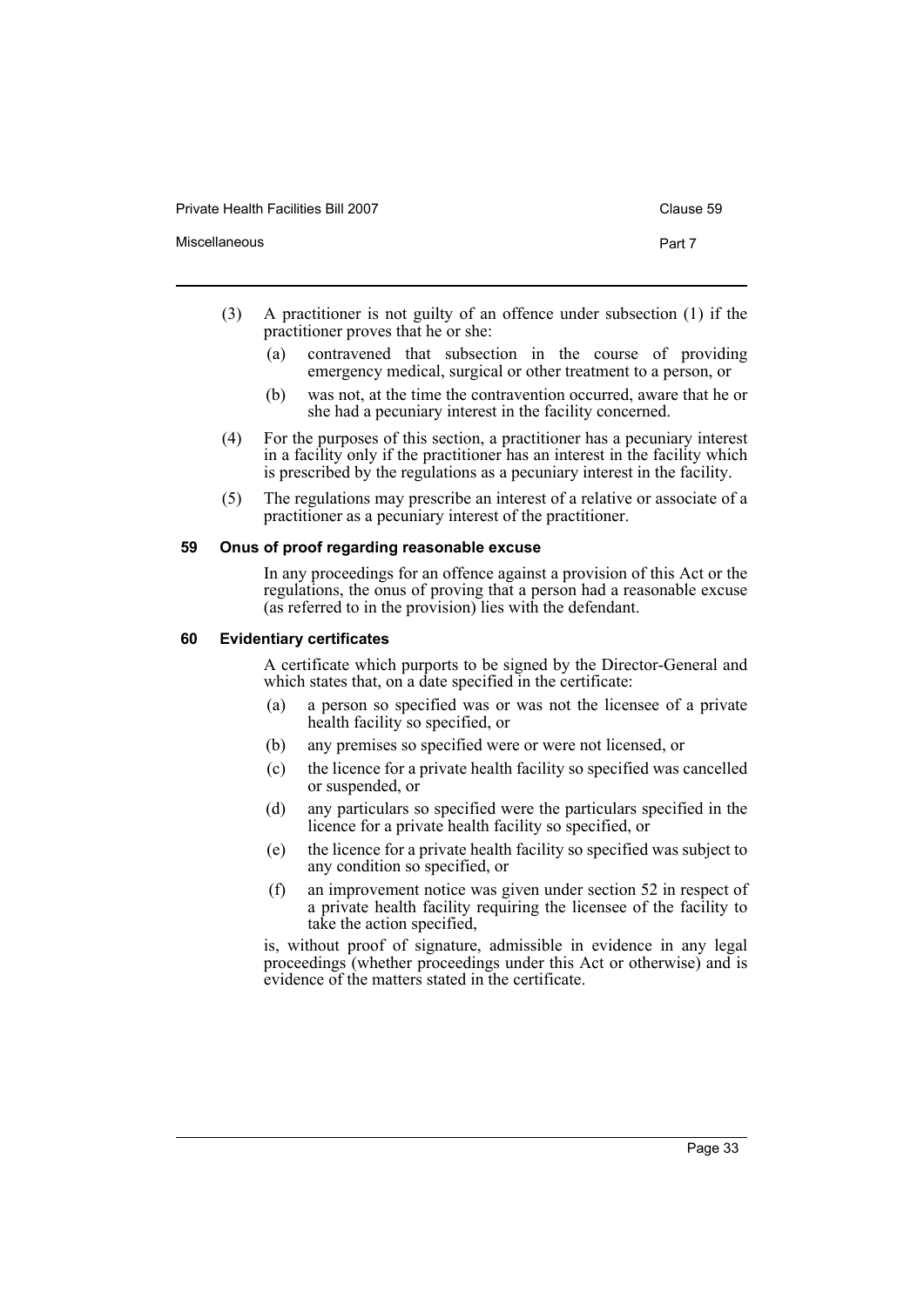Private Health Facilities Bill 2007 Clause 59

- (3) A practitioner is not guilty of an offence under subsection (1) if the practitioner proves that he or she:
	- (a) contravened that subsection in the course of providing emergency medical, surgical or other treatment to a person, or
	- (b) was not, at the time the contravention occurred, aware that he or she had a pecuniary interest in the facility concerned.
- (4) For the purposes of this section, a practitioner has a pecuniary interest in a facility only if the practitioner has an interest in the facility which is prescribed by the regulations as a pecuniary interest in the facility.
- (5) The regulations may prescribe an interest of a relative or associate of a practitioner as a pecuniary interest of the practitioner.

#### <span id="page-36-0"></span>**59 Onus of proof regarding reasonable excuse**

In any proceedings for an offence against a provision of this Act or the regulations, the onus of proving that a person had a reasonable excuse (as referred to in the provision) lies with the defendant.

#### <span id="page-36-1"></span>**60 Evidentiary certificates**

A certificate which purports to be signed by the Director-General and which states that, on a date specified in the certificate:

- (a) a person so specified was or was not the licensee of a private health facility so specified, or
- (b) any premises so specified were or were not licensed, or
- (c) the licence for a private health facility so specified was cancelled or suspended, or
- (d) any particulars so specified were the particulars specified in the licence for a private health facility so specified, or
- (e) the licence for a private health facility so specified was subject to any condition so specified, or
- (f) an improvement notice was given under section 52 in respect of a private health facility requiring the licensee of the facility to take the action specified,

is, without proof of signature, admissible in evidence in any legal proceedings (whether proceedings under this Act or otherwise) and is evidence of the matters stated in the certificate.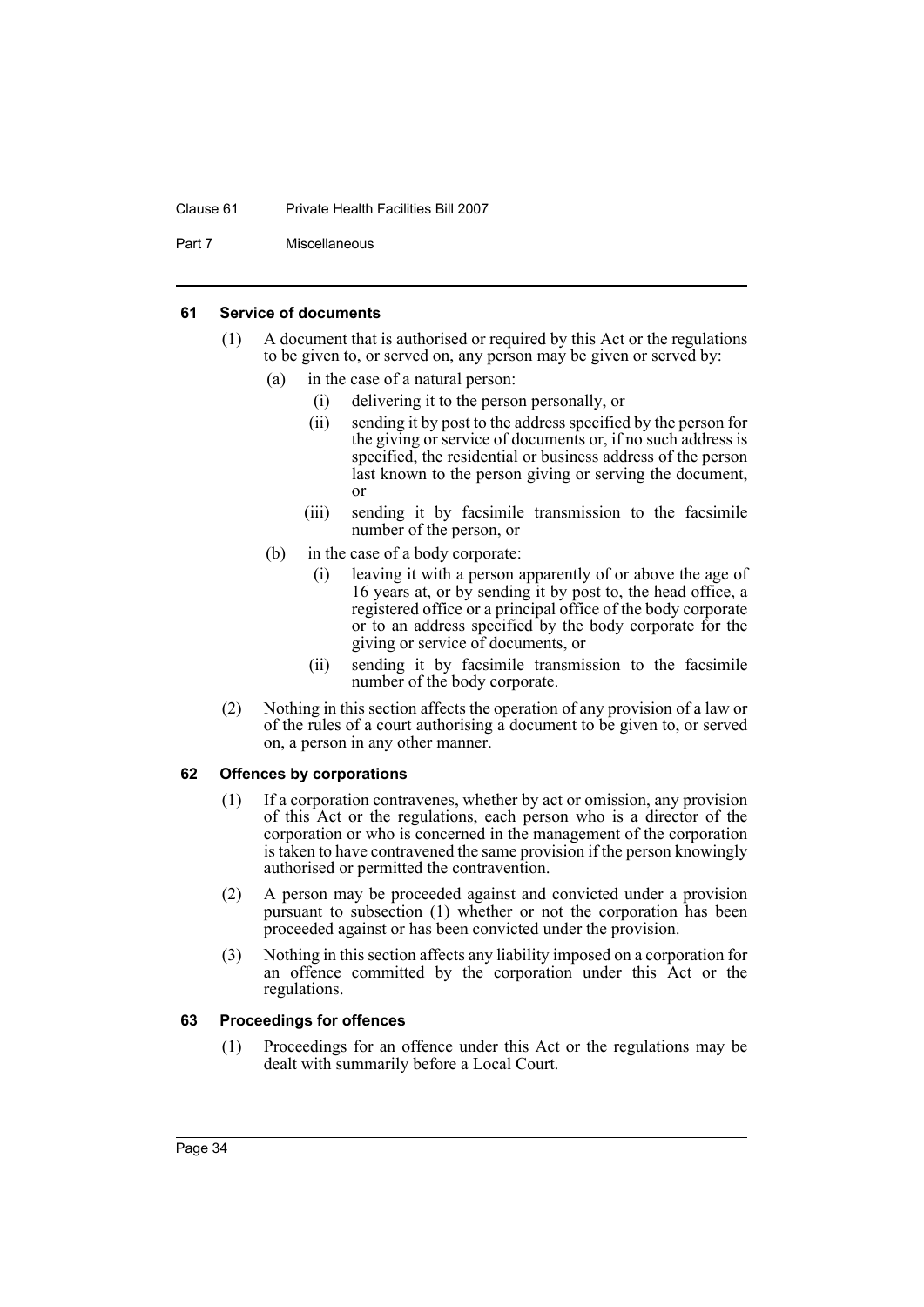#### Clause 61 Private Health Facilities Bill 2007

Part 7 Miscellaneous

#### <span id="page-37-0"></span>**61 Service of documents**

- (1) A document that is authorised or required by this Act or the regulations to be given to, or served on, any person may be given or served by:
	- (a) in the case of a natural person:
		- (i) delivering it to the person personally, or
		- (ii) sending it by post to the address specified by the person for the giving or service of documents or, if no such address is specified, the residential or business address of the person last known to the person giving or serving the document, or
		- (iii) sending it by facsimile transmission to the facsimile number of the person, or
	- (b) in the case of a body corporate:
		- (i) leaving it with a person apparently of or above the age of 16 years at, or by sending it by post to, the head office, a registered office or a principal office of the body corporate or to an address specified by the body corporate for the giving or service of documents, or
		- (ii) sending it by facsimile transmission to the facsimile number of the body corporate.
- (2) Nothing in this section affects the operation of any provision of a law or of the rules of a court authorising a document to be given to, or served on, a person in any other manner.

#### <span id="page-37-1"></span>**62 Offences by corporations**

- (1) If a corporation contravenes, whether by act or omission, any provision of this Act or the regulations, each person who is a director of the corporation or who is concerned in the management of the corporation is taken to have contravened the same provision if the person knowingly authorised or permitted the contravention.
- (2) A person may be proceeded against and convicted under a provision pursuant to subsection (1) whether or not the corporation has been proceeded against or has been convicted under the provision.
- (3) Nothing in this section affects any liability imposed on a corporation for an offence committed by the corporation under this Act or the regulations.

#### <span id="page-37-2"></span>**63 Proceedings for offences**

(1) Proceedings for an offence under this Act or the regulations may be dealt with summarily before a Local Court.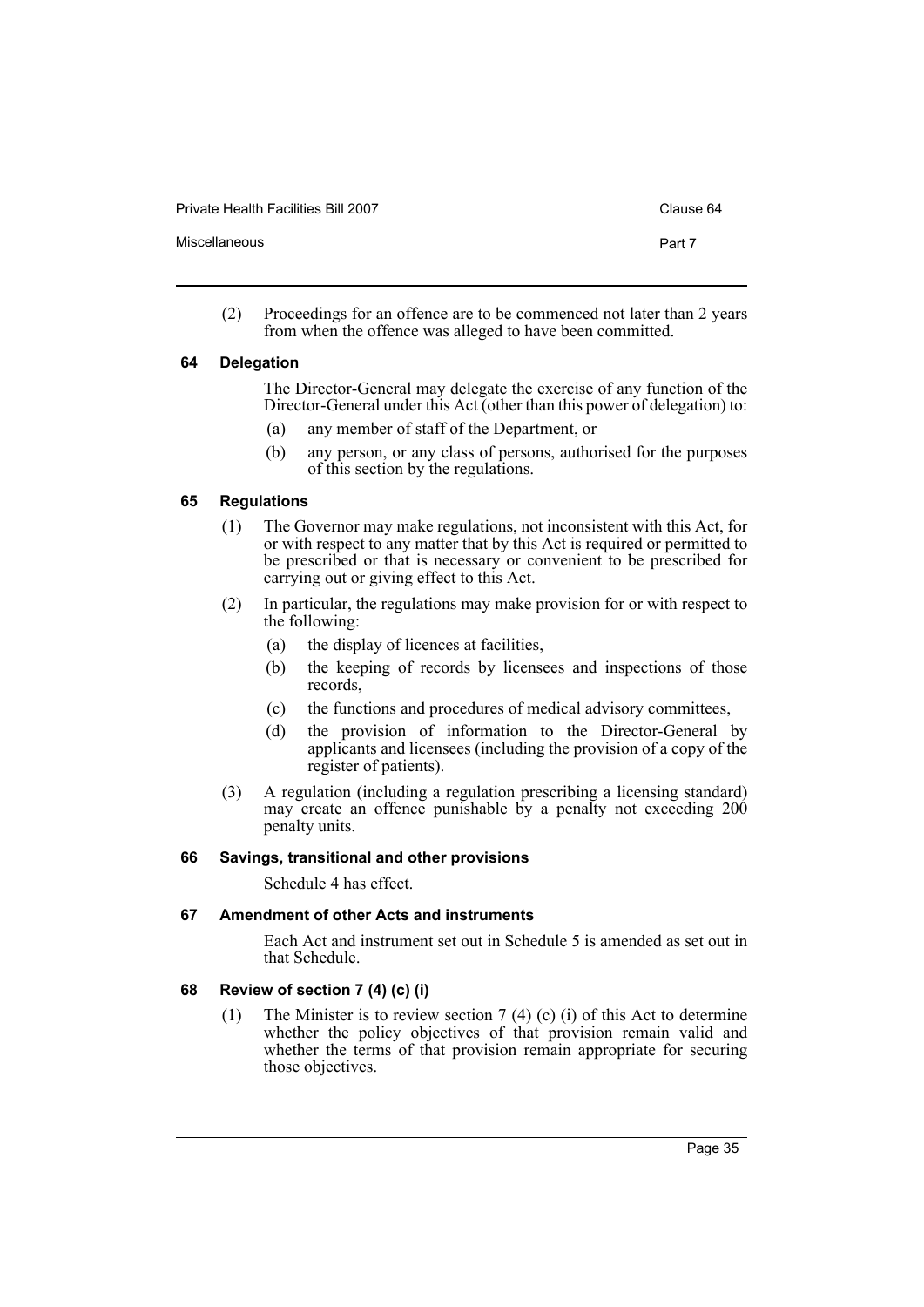Private Health Facilities Bill 2007 Clause 64

Miscellaneous **Part 7** 

- 
- (2) Proceedings for an offence are to be commenced not later than 2 years from when the offence was alleged to have been committed.

#### <span id="page-38-0"></span>**64 Delegation**

The Director-General may delegate the exercise of any function of the Director-General under this Act (other than this power of delegation) to:

- (a) any member of staff of the Department, or
- (b) any person, or any class of persons, authorised for the purposes of this section by the regulations.

#### <span id="page-38-1"></span>**65 Regulations**

- (1) The Governor may make regulations, not inconsistent with this Act, for or with respect to any matter that by this Act is required or permitted to be prescribed or that is necessary or convenient to be prescribed for carrying out or giving effect to this Act.
- (2) In particular, the regulations may make provision for or with respect to the following:
	- (a) the display of licences at facilities,
	- (b) the keeping of records by licensees and inspections of those records,
	- (c) the functions and procedures of medical advisory committees,
	- (d) the provision of information to the Director-General by applicants and licensees (including the provision of a copy of the register of patients).
- (3) A regulation (including a regulation prescribing a licensing standard) may create an offence punishable by a penalty not exceeding 200 penalty units.

#### <span id="page-38-2"></span>**66 Savings, transitional and other provisions**

Schedule 4 has effect.

#### <span id="page-38-3"></span>**67 Amendment of other Acts and instruments**

Each Act and instrument set out in Schedule 5 is amended as set out in that Schedule.

#### <span id="page-38-4"></span>**68 Review of section 7 (4) (c) (i)**

(1) The Minister is to review section 7 (4) (c) (i) of this Act to determine whether the policy objectives of that provision remain valid and whether the terms of that provision remain appropriate for securing those objectives.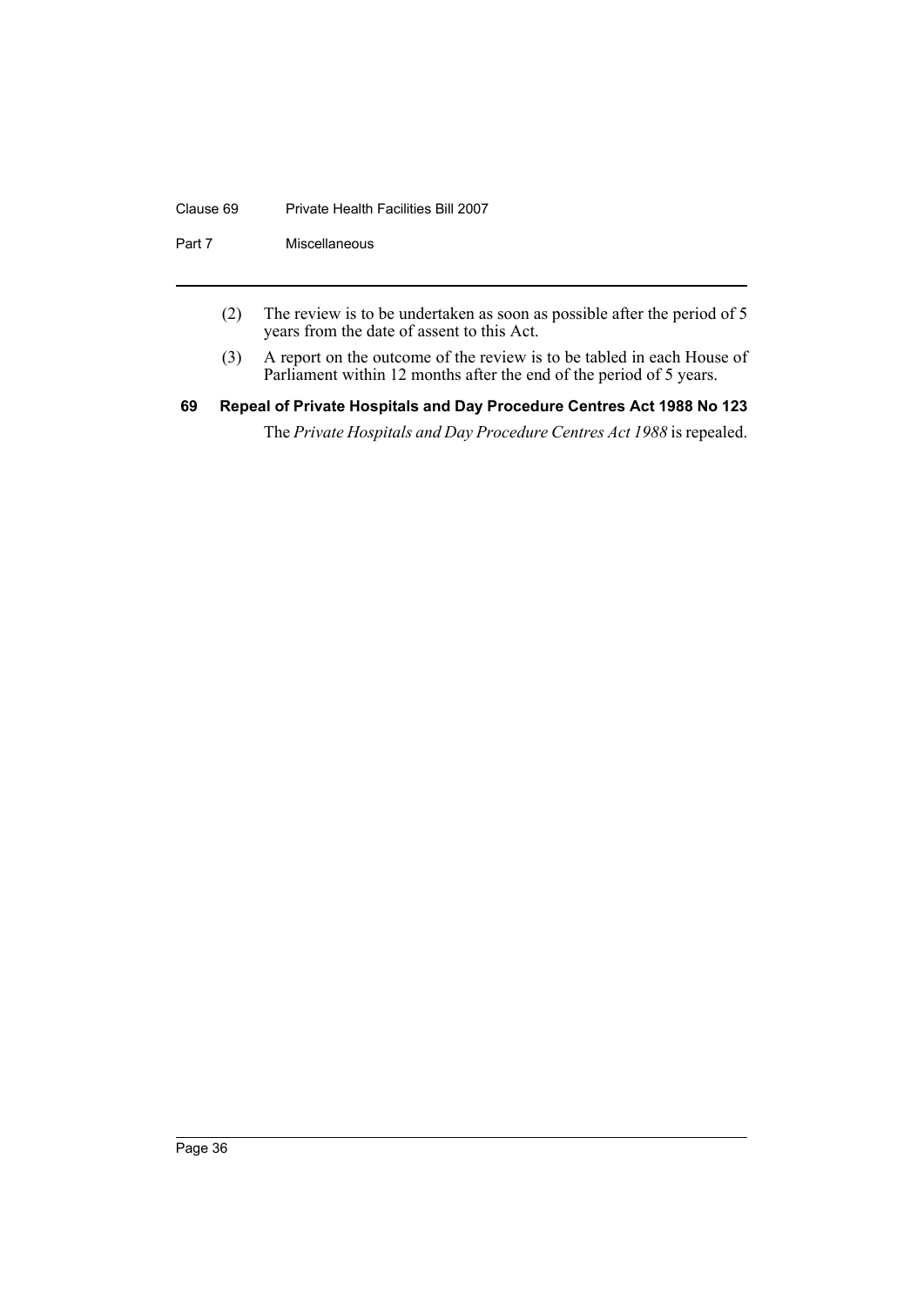#### Clause 69 Private Health Facilities Bill 2007

Part 7 Miscellaneous

- (2) The review is to be undertaken as soon as possible after the period of 5 years from the date of assent to this Act.
- (3) A report on the outcome of the review is to be tabled in each House of Parliament within 12 months after the end of the period of 5 years.
- <span id="page-39-0"></span>**69 Repeal of Private Hospitals and Day Procedure Centres Act 1988 No 123** The *Private Hospitals and Day Procedure Centres Act 1988* is repealed.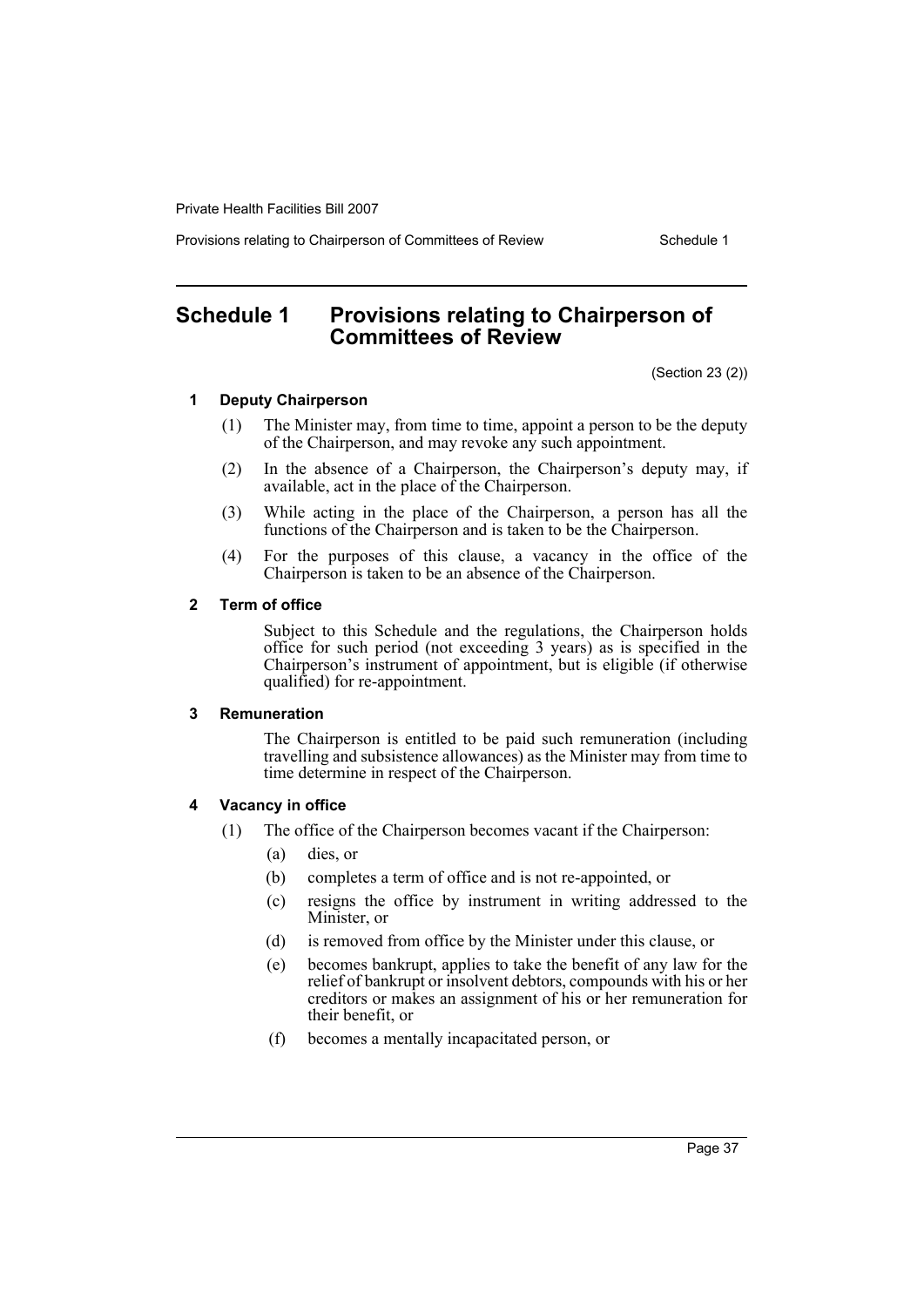Provisions relating to Chairperson of Committees of Review Schedule 1

# <span id="page-40-0"></span>**Schedule 1 Provisions relating to Chairperson of Committees of Review**

(Section 23 (2))

#### **1 Deputy Chairperson**

- (1) The Minister may, from time to time, appoint a person to be the deputy of the Chairperson, and may revoke any such appointment.
- (2) In the absence of a Chairperson, the Chairperson's deputy may, if available, act in the place of the Chairperson.
- (3) While acting in the place of the Chairperson, a person has all the functions of the Chairperson and is taken to be the Chairperson.
- (4) For the purposes of this clause, a vacancy in the office of the Chairperson is taken to be an absence of the Chairperson.

#### **2 Term of office**

Subject to this Schedule and the regulations, the Chairperson holds office for such period (not exceeding 3 years) as is specified in the Chairperson's instrument of appointment, but is eligible (if otherwise qualified) for re-appointment.

#### **3 Remuneration**

The Chairperson is entitled to be paid such remuneration (including travelling and subsistence allowances) as the Minister may from time to time determine in respect of the Chairperson.

#### **4 Vacancy in office**

- (1) The office of the Chairperson becomes vacant if the Chairperson:
	- (a) dies, or
	- (b) completes a term of office and is not re-appointed, or
	- (c) resigns the office by instrument in writing addressed to the Minister, or
	- (d) is removed from office by the Minister under this clause, or
	- (e) becomes bankrupt, applies to take the benefit of any law for the relief of bankrupt or insolvent debtors, compounds with his or her creditors or makes an assignment of his or her remuneration for their benefit, or
	- (f) becomes a mentally incapacitated person, or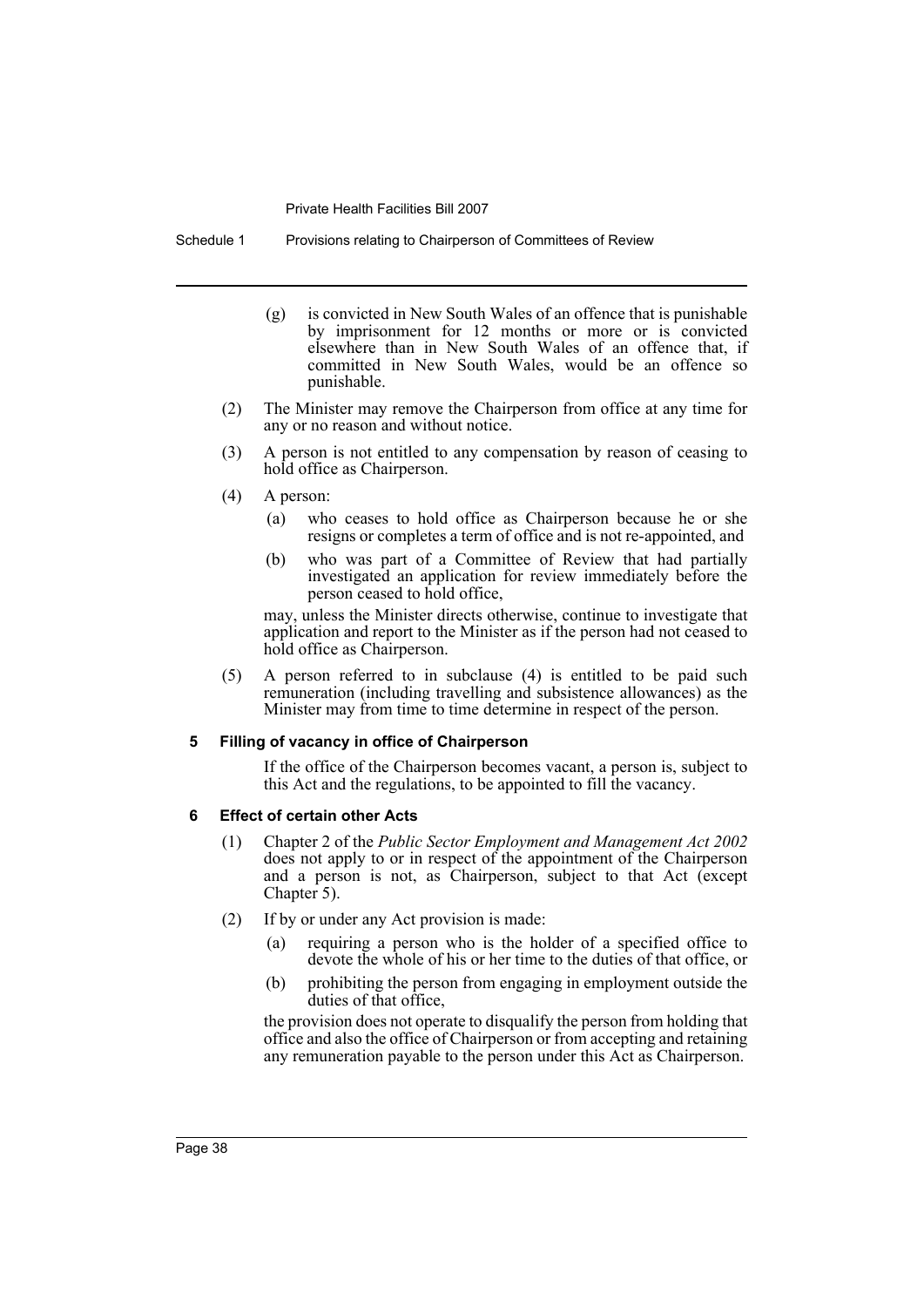Schedule 1 Provisions relating to Chairperson of Committees of Review

- (g) is convicted in New South Wales of an offence that is punishable by imprisonment for 12 months or more or is convicted elsewhere than in New South Wales of an offence that, if committed in New South Wales, would be an offence so punishable.
- (2) The Minister may remove the Chairperson from office at any time for any or no reason and without notice.
- (3) A person is not entitled to any compensation by reason of ceasing to hold office as Chairperson.
- (4) A person:
	- (a) who ceases to hold office as Chairperson because he or she resigns or completes a term of office and is not re-appointed, and
	- (b) who was part of a Committee of Review that had partially investigated an application for review immediately before the person ceased to hold office,

may, unless the Minister directs otherwise, continue to investigate that application and report to the Minister as if the person had not ceased to hold office as Chairperson.

(5) A person referred to in subclause (4) is entitled to be paid such remuneration (including travelling and subsistence allowances) as the Minister may from time to time determine in respect of the person.

#### **5 Filling of vacancy in office of Chairperson**

If the office of the Chairperson becomes vacant, a person is, subject to this Act and the regulations, to be appointed to fill the vacancy.

#### **6 Effect of certain other Acts**

- (1) Chapter 2 of the *Public Sector Employment and Management Act 2002* does not apply to or in respect of the appointment of the Chairperson and a person is not, as Chairperson, subject to that Act (except Chapter 5).
- (2) If by or under any Act provision is made:
	- (a) requiring a person who is the holder of a specified office to devote the whole of his or her time to the duties of that office, or
	- (b) prohibiting the person from engaging in employment outside the duties of that office,

the provision does not operate to disqualify the person from holding that office and also the office of Chairperson or from accepting and retaining any remuneration payable to the person under this Act as Chairperson.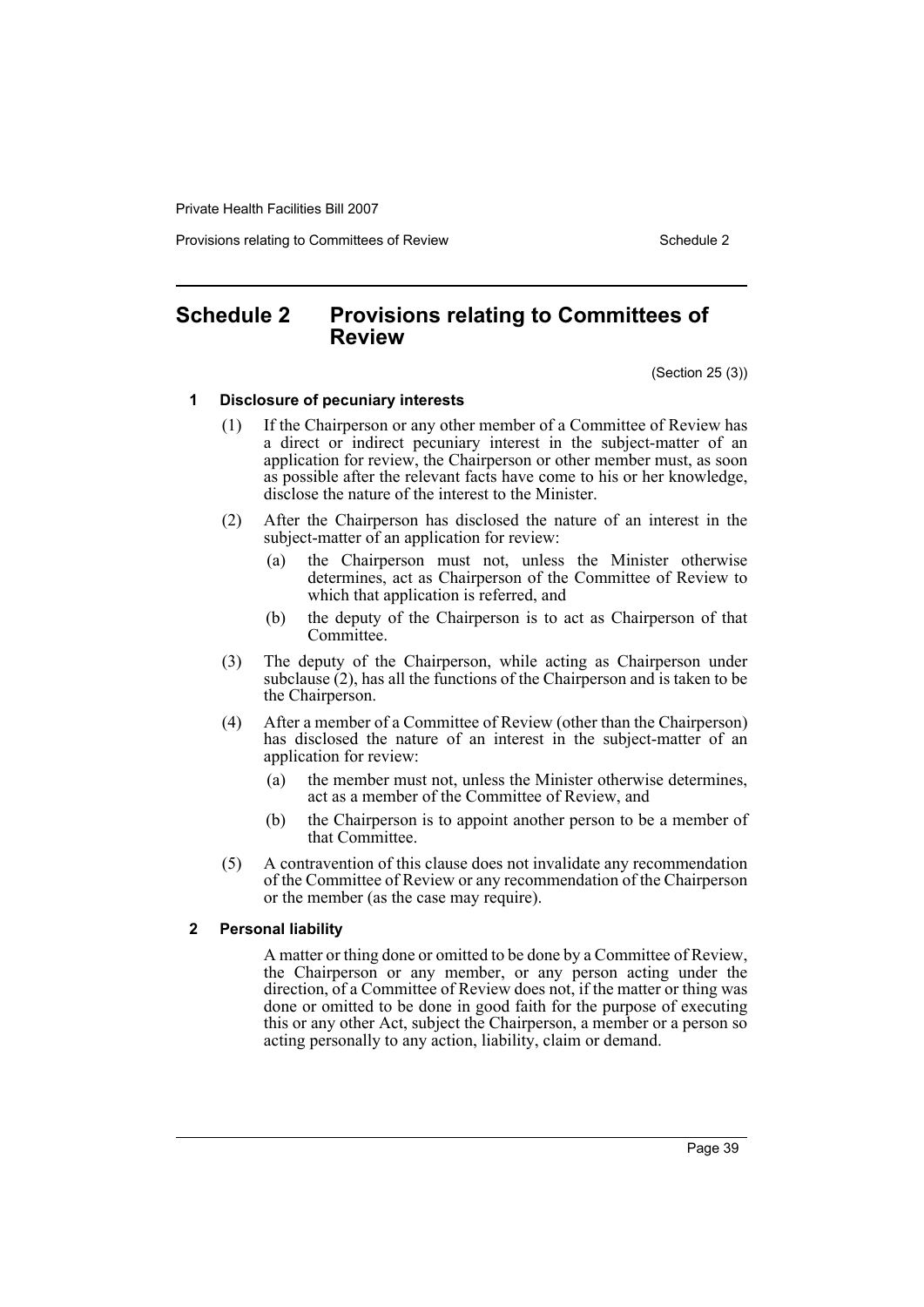Provisions relating to Committees of Review Schedule 2 Schedule 2

# <span id="page-42-0"></span>**Schedule 2 Provisions relating to Committees of Review**

(Section 25 (3))

#### **1 Disclosure of pecuniary interests**

- (1) If the Chairperson or any other member of a Committee of Review has a direct or indirect pecuniary interest in the subject-matter of an application for review, the Chairperson or other member must, as soon as possible after the relevant facts have come to his or her knowledge, disclose the nature of the interest to the Minister.
- (2) After the Chairperson has disclosed the nature of an interest in the subject-matter of an application for review:
	- (a) the Chairperson must not, unless the Minister otherwise determines, act as Chairperson of the Committee of Review to which that application is referred, and
	- (b) the deputy of the Chairperson is to act as Chairperson of that Committee.
- (3) The deputy of the Chairperson, while acting as Chairperson under subclause (2), has all the functions of the Chairperson and is taken to be the Chairperson.
- (4) After a member of a Committee of Review (other than the Chairperson) has disclosed the nature of an interest in the subject-matter of an application for review:
	- (a) the member must not, unless the Minister otherwise determines, act as a member of the Committee of Review, and
	- (b) the Chairperson is to appoint another person to be a member of that Committee.
- (5) A contravention of this clause does not invalidate any recommendation of the Committee of Review or any recommendation of the Chairperson or the member (as the case may require).

#### **2 Personal liability**

A matter or thing done or omitted to be done by a Committee of Review, the Chairperson or any member, or any person acting under the direction, of a Committee of Review does not, if the matter or thing was done or omitted to be done in good faith for the purpose of executing this or any other Act, subject the Chairperson, a member or a person so acting personally to any action, liability, claim or demand.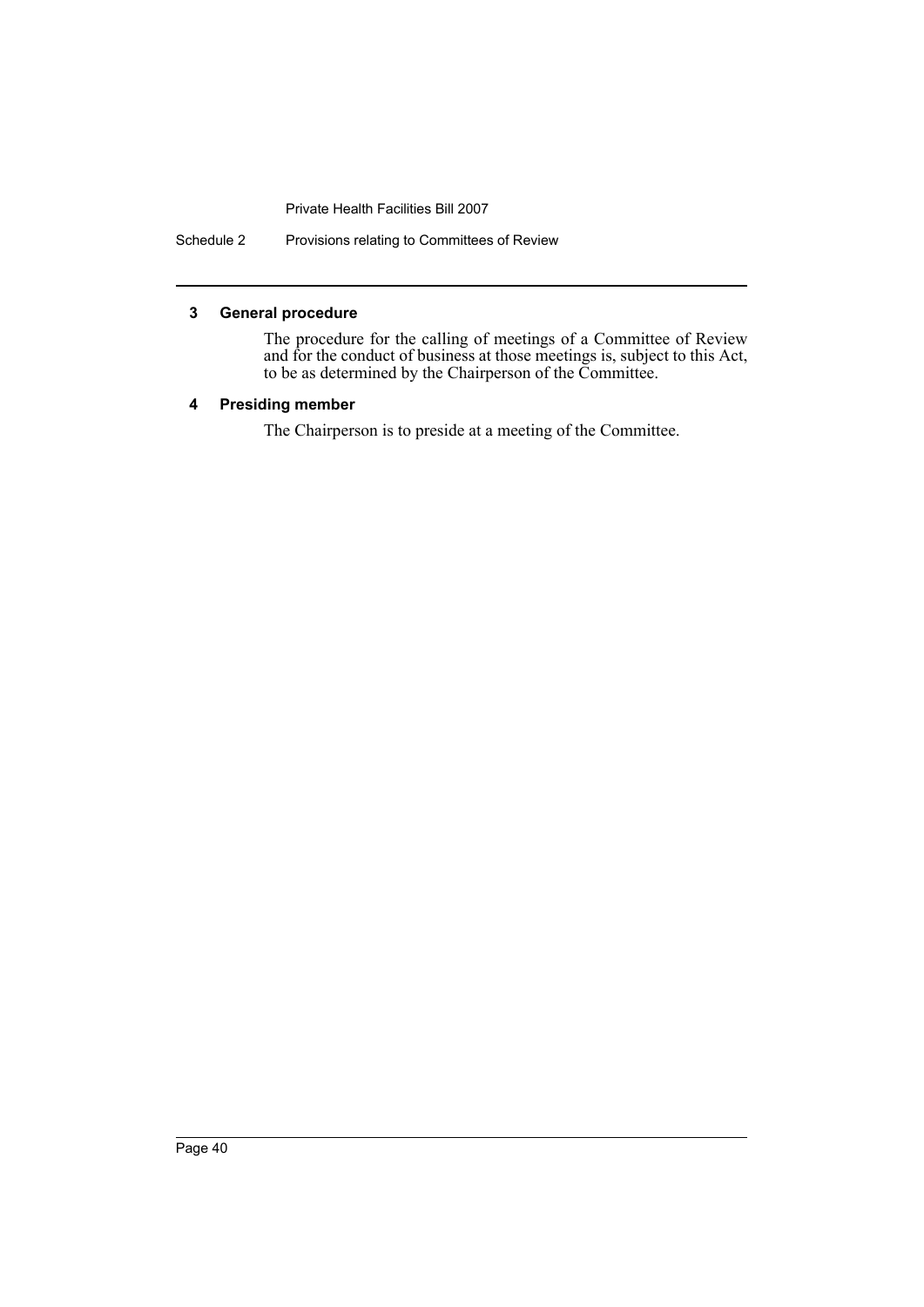Schedule 2 Provisions relating to Committees of Review

#### **3 General procedure**

The procedure for the calling of meetings of a Committee of Review and for the conduct of business at those meetings is, subject to this Act, to be as determined by the Chairperson of the Committee.

#### **4 Presiding member**

The Chairperson is to preside at a meeting of the Committee.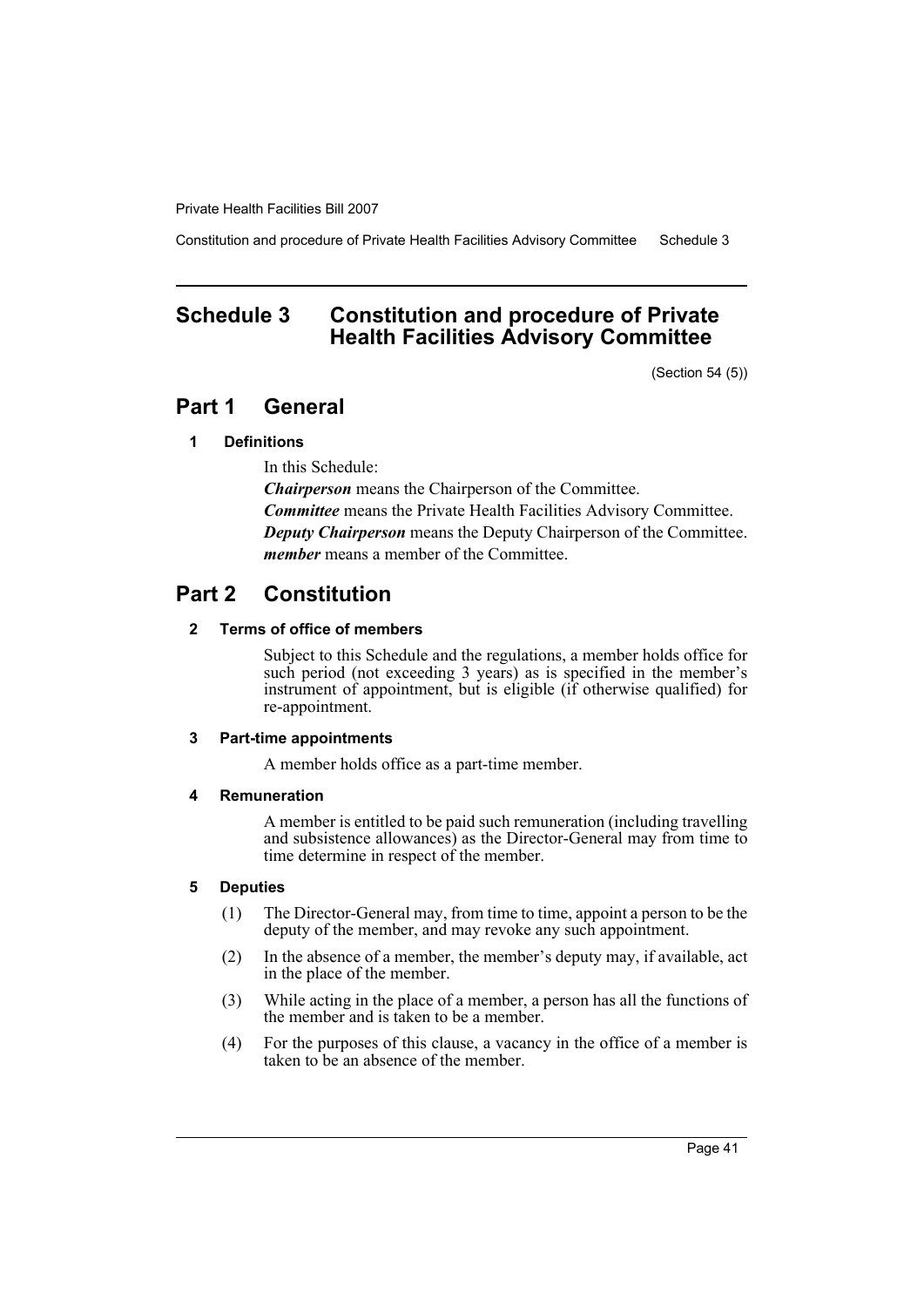Constitution and procedure of Private Health Facilities Advisory Committee Schedule 3

# <span id="page-44-0"></span>**Schedule 3 Constitution and procedure of Private Health Facilities Advisory Committee**

(Section 54 (5))

# **Part 1 General**

#### **1 Definitions**

In this Schedule:

*Chairperson* means the Chairperson of the Committee. *Committee* means the Private Health Facilities Advisory Committee. *Deputy Chairperson* means the Deputy Chairperson of the Committee. *member* means a member of the Committee.

# **Part 2 Constitution**

#### **2 Terms of office of members**

Subject to this Schedule and the regulations, a member holds office for such period (not exceeding 3 years) as is specified in the member's instrument of appointment, but is eligible (if otherwise qualified) for re-appointment.

#### **3 Part-time appointments**

A member holds office as a part-time member.

#### **4 Remuneration**

A member is entitled to be paid such remuneration (including travelling and subsistence allowances) as the Director-General may from time to time determine in respect of the member.

#### **5 Deputies**

- (1) The Director-General may, from time to time, appoint a person to be the deputy of the member, and may revoke any such appointment.
- (2) In the absence of a member, the member's deputy may, if available, act in the place of the member.
- (3) While acting in the place of a member, a person has all the functions of the member and is taken to be a member.
- (4) For the purposes of this clause, a vacancy in the office of a member is taken to be an absence of the member.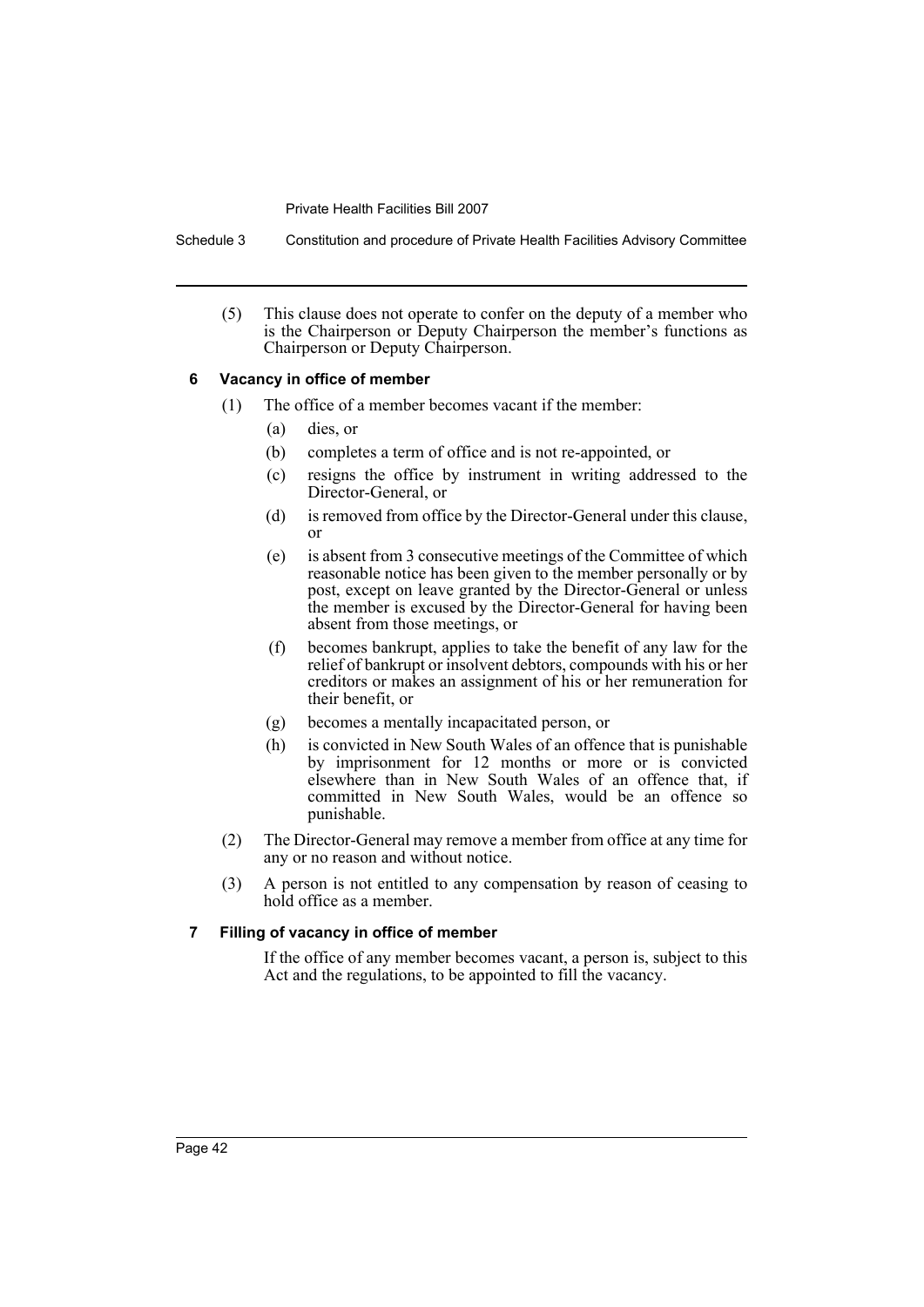Schedule 3 Constitution and procedure of Private Health Facilities Advisory Committee

(5) This clause does not operate to confer on the deputy of a member who is the Chairperson or Deputy Chairperson the member's functions as Chairperson or Deputy Chairperson.

#### **6 Vacancy in office of member**

- (1) The office of a member becomes vacant if the member:
	- (a) dies, or
	- (b) completes a term of office and is not re-appointed, or
	- (c) resigns the office by instrument in writing addressed to the Director-General, or
	- (d) is removed from office by the Director-General under this clause, or
	- (e) is absent from 3 consecutive meetings of the Committee of which reasonable notice has been given to the member personally or by post, except on leave granted by the Director-General or unless the member is excused by the Director-General for having been absent from those meetings, or
	- (f) becomes bankrupt, applies to take the benefit of any law for the relief of bankrupt or insolvent debtors, compounds with his or her creditors or makes an assignment of his or her remuneration for their benefit, or
	- (g) becomes a mentally incapacitated person, or
	- (h) is convicted in New South Wales of an offence that is punishable by imprisonment for 12 months or more or is convicted elsewhere than in New South Wales of an offence that, if committed in New South Wales, would be an offence so punishable.
- (2) The Director-General may remove a member from office at any time for any or no reason and without notice.
- (3) A person is not entitled to any compensation by reason of ceasing to hold office as a member.

#### **7 Filling of vacancy in office of member**

If the office of any member becomes vacant, a person is, subject to this Act and the regulations, to be appointed to fill the vacancy.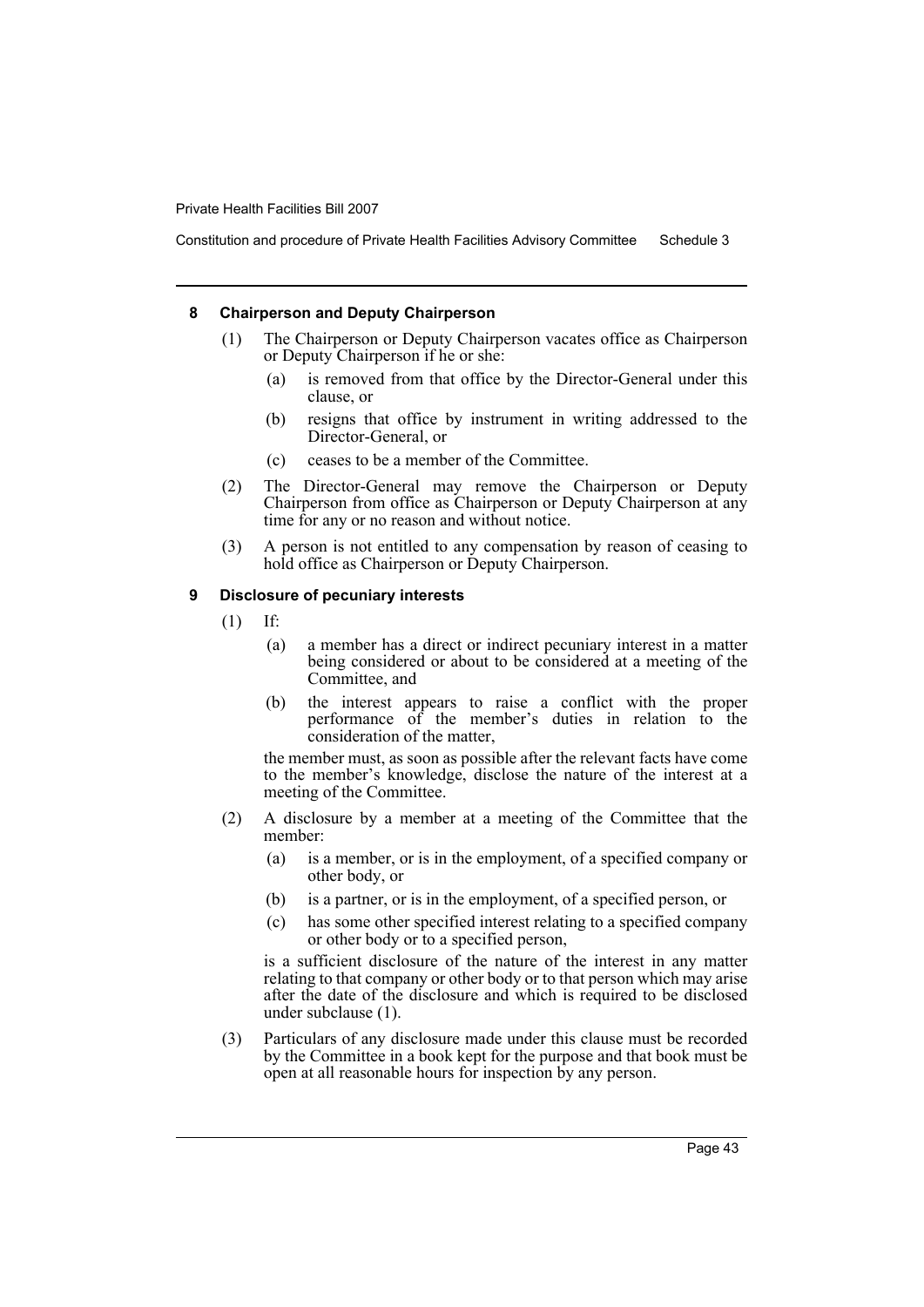Constitution and procedure of Private Health Facilities Advisory Committee Schedule 3

#### **8 Chairperson and Deputy Chairperson**

- (1) The Chairperson or Deputy Chairperson vacates office as Chairperson or Deputy Chairperson if he or she:
	- (a) is removed from that office by the Director-General under this clause, or
	- (b) resigns that office by instrument in writing addressed to the Director-General, or
	- (c) ceases to be a member of the Committee.
- (2) The Director-General may remove the Chairperson or Deputy Chairperson from office as Chairperson or Deputy Chairperson at any time for any or no reason and without notice.
- (3) A person is not entitled to any compensation by reason of ceasing to hold office as Chairperson or Deputy Chairperson.

## **9 Disclosure of pecuniary interests**

- (1) If:
	- (a) a member has a direct or indirect pecuniary interest in a matter being considered or about to be considered at a meeting of the Committee, and
	- (b) the interest appears to raise a conflict with the proper performance of the member's duties in relation to the consideration of the matter,

the member must, as soon as possible after the relevant facts have come to the member's knowledge, disclose the nature of the interest at a meeting of the Committee.

- (2) A disclosure by a member at a meeting of the Committee that the member:
	- (a) is a member, or is in the employment, of a specified company or other body, or
	- (b) is a partner, or is in the employment, of a specified person, or
	- (c) has some other specified interest relating to a specified company or other body or to a specified person,

is a sufficient disclosure of the nature of the interest in any matter relating to that company or other body or to that person which may arise after the date of the disclosure and which is required to be disclosed under subclause (1).

(3) Particulars of any disclosure made under this clause must be recorded by the Committee in a book kept for the purpose and that book must be open at all reasonable hours for inspection by any person.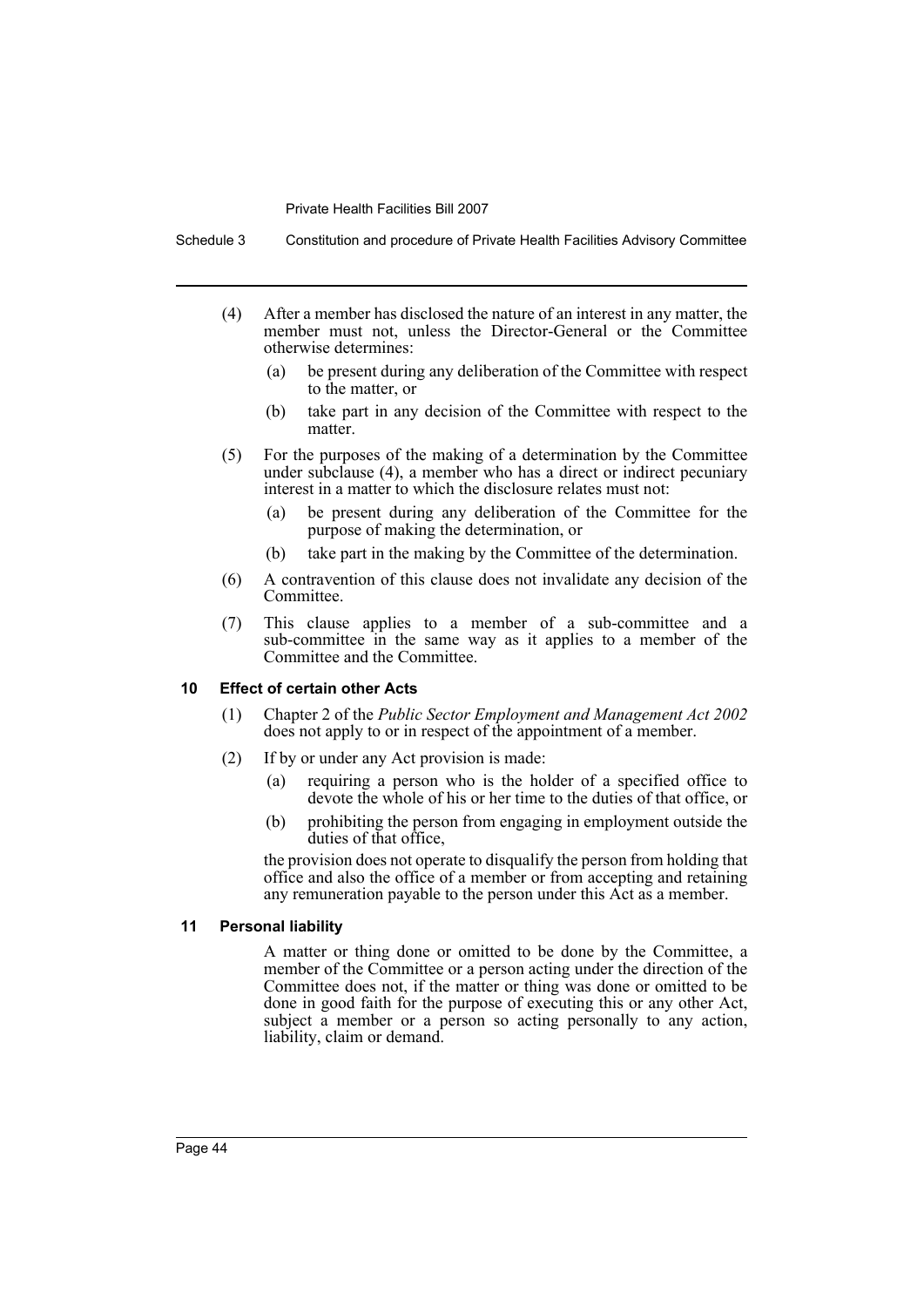Schedule 3 Constitution and procedure of Private Health Facilities Advisory Committee

- (4) After a member has disclosed the nature of an interest in any matter, the member must not, unless the Director-General or the Committee otherwise determines:
	- (a) be present during any deliberation of the Committee with respect to the matter, or
	- (b) take part in any decision of the Committee with respect to the matter.
- (5) For the purposes of the making of a determination by the Committee under subclause (4), a member who has a direct or indirect pecuniary interest in a matter to which the disclosure relates must not:
	- (a) be present during any deliberation of the Committee for the purpose of making the determination, or
	- (b) take part in the making by the Committee of the determination.
- (6) A contravention of this clause does not invalidate any decision of the Committee.
- (7) This clause applies to a member of a sub-committee and a sub-committee in the same way as it applies to a member of the Committee and the Committee.

#### **10 Effect of certain other Acts**

- (1) Chapter 2 of the *Public Sector Employment and Management Act 2002* does not apply to or in respect of the appointment of a member.
- (2) If by or under any Act provision is made:
	- (a) requiring a person who is the holder of a specified office to devote the whole of his or her time to the duties of that office, or
	- (b) prohibiting the person from engaging in employment outside the duties of that office,

the provision does not operate to disqualify the person from holding that office and also the office of a member or from accepting and retaining any remuneration payable to the person under this Act as a member.

#### **11 Personal liability**

A matter or thing done or omitted to be done by the Committee, a member of the Committee or a person acting under the direction of the Committee does not, if the matter or thing was done or omitted to be done in good faith for the purpose of executing this or any other Act, subject a member or a person so acting personally to any action, liability, claim or demand.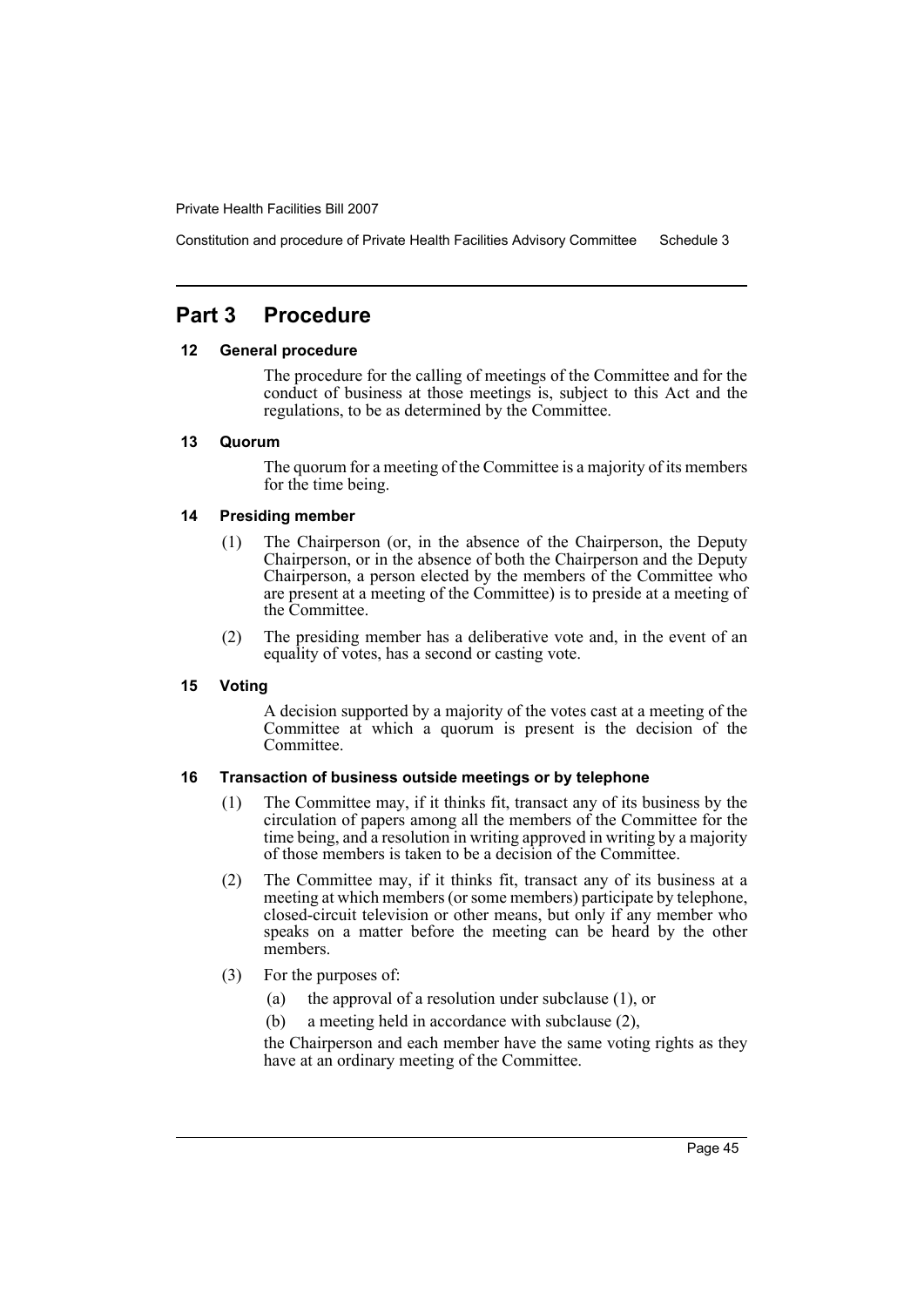Constitution and procedure of Private Health Facilities Advisory Committee Schedule 3

# **Part 3 Procedure**

#### **12 General procedure**

The procedure for the calling of meetings of the Committee and for the conduct of business at those meetings is, subject to this Act and the regulations, to be as determined by the Committee.

#### **13 Quorum**

The quorum for a meeting of the Committee is a majority of its members for the time being.

### **14 Presiding member**

- (1) The Chairperson (or, in the absence of the Chairperson, the Deputy Chairperson, or in the absence of both the Chairperson and the Deputy Chairperson, a person elected by the members of the Committee who are present at a meeting of the Committee) is to preside at a meeting of the Committee.
- (2) The presiding member has a deliberative vote and, in the event of an equality of votes, has a second or casting vote.

#### **15 Voting**

A decision supported by a majority of the votes cast at a meeting of the Committee at which a quorum is present is the decision of the Committee.

### **16 Transaction of business outside meetings or by telephone**

- (1) The Committee may, if it thinks fit, transact any of its business by the circulation of papers among all the members of the Committee for the time being, and a resolution in writing approved in writing by a majority of those members is taken to be a decision of the Committee.
- (2) The Committee may, if it thinks fit, transact any of its business at a meeting at which members (or some members) participate by telephone, closed-circuit television or other means, but only if any member who speaks on a matter before the meeting can be heard by the other members.
- (3) For the purposes of:
	- (a) the approval of a resolution under subclause (1), or
	- (b) a meeting held in accordance with subclause (2),

the Chairperson and each member have the same voting rights as they have at an ordinary meeting of the Committee.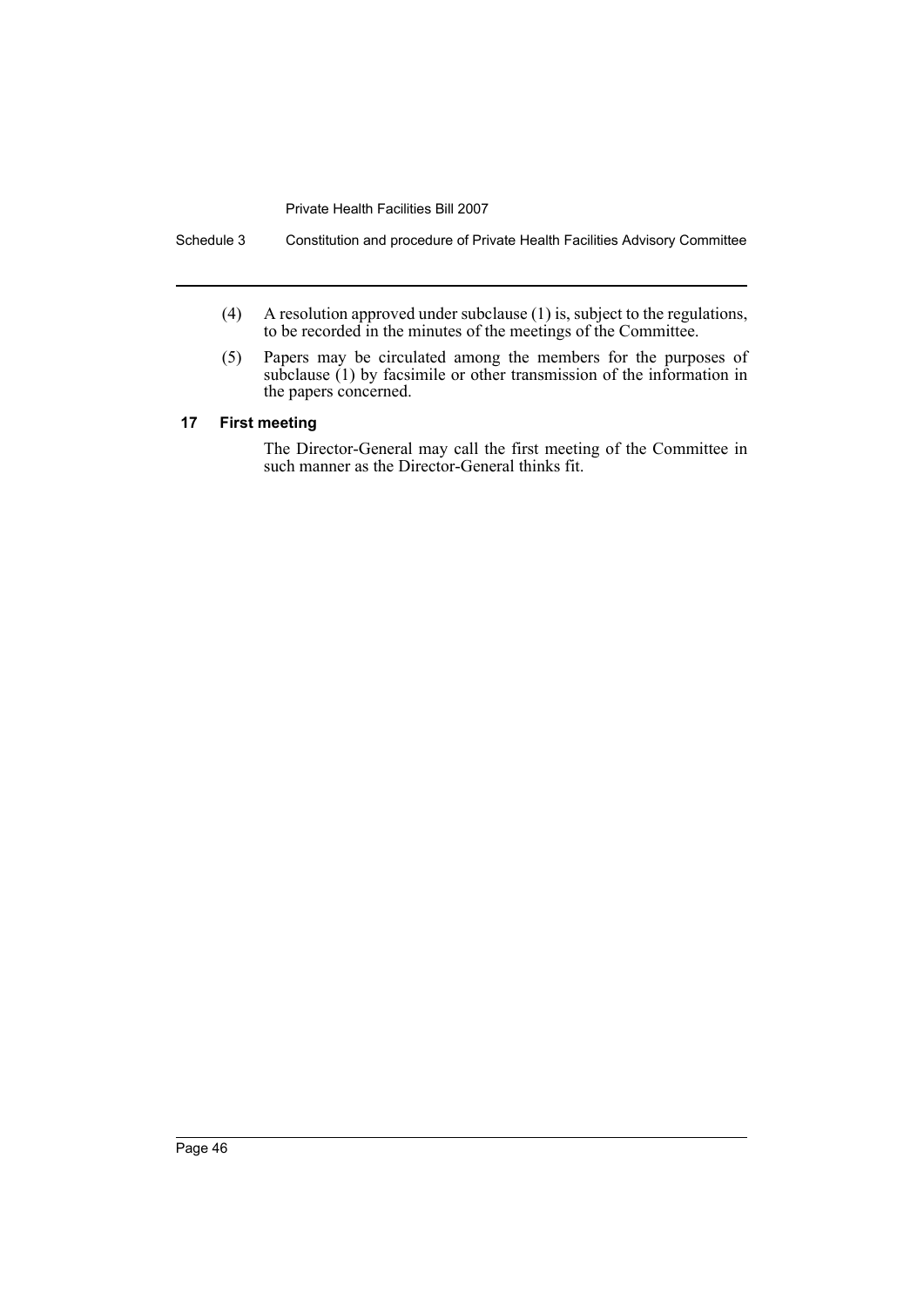Schedule 3 Constitution and procedure of Private Health Facilities Advisory Committee

- (4) A resolution approved under subclause (1) is, subject to the regulations, to be recorded in the minutes of the meetings of the Committee.
- (5) Papers may be circulated among the members for the purposes of subclause (1) by facsimile or other transmission of the information in the papers concerned.

#### **17 First meeting**

The Director-General may call the first meeting of the Committee in such manner as the Director-General thinks fit.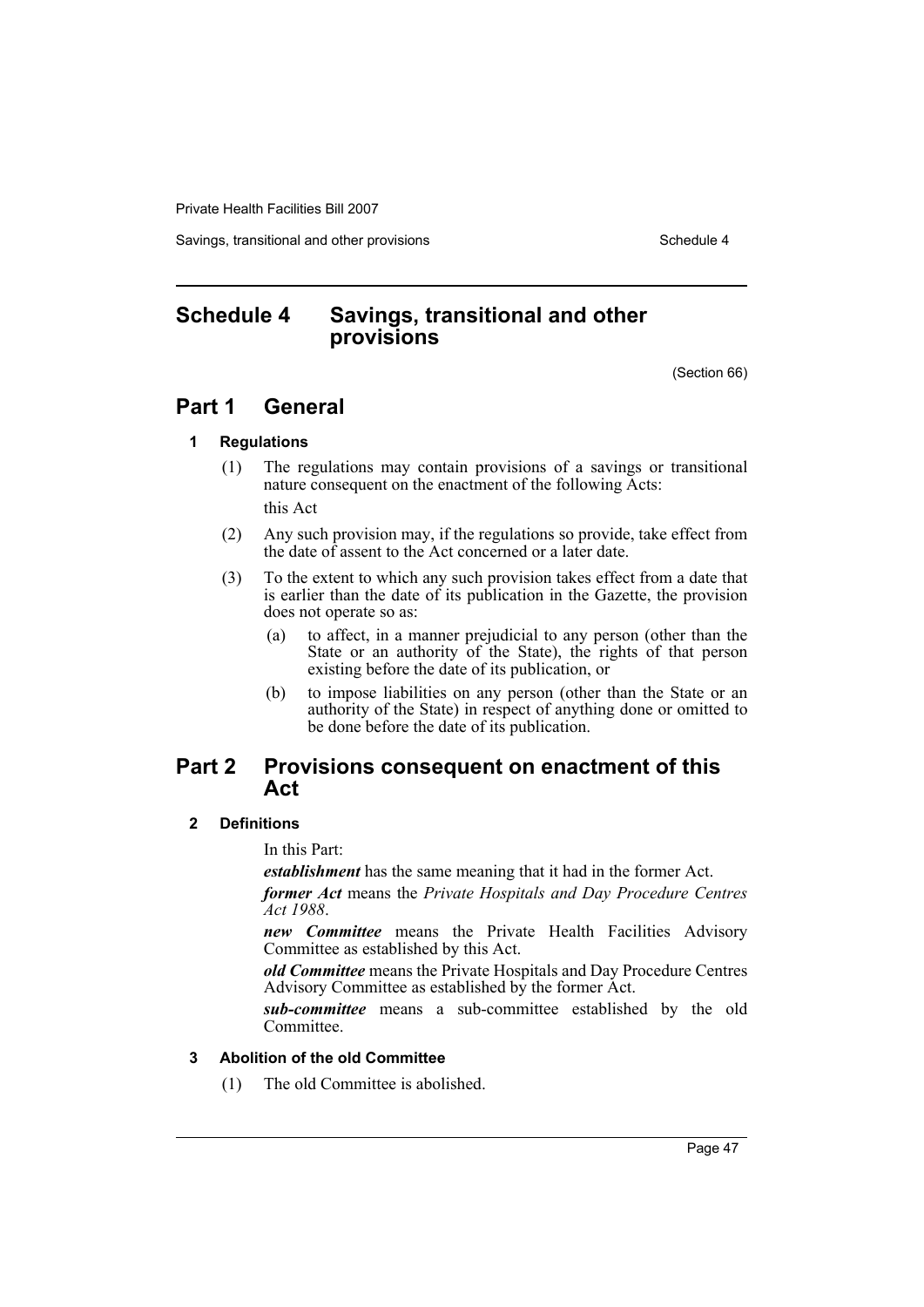Savings, transitional and other provisions Schedule 4 and the schedule 4

# <span id="page-50-0"></span>**Schedule 4 Savings, transitional and other provisions**

(Section 66)

# **Part 1 General**

#### **1 Regulations**

(1) The regulations may contain provisions of a savings or transitional nature consequent on the enactment of the following Acts:

this Act

- (2) Any such provision may, if the regulations so provide, take effect from the date of assent to the Act concerned or a later date.
- (3) To the extent to which any such provision takes effect from a date that is earlier than the date of its publication in the Gazette, the provision does not operate so as:
	- (a) to affect, in a manner prejudicial to any person (other than the State or an authority of the State), the rights of that person existing before the date of its publication, or
	- (b) to impose liabilities on any person (other than the State or an authority of the State) in respect of anything done or omitted to be done before the date of its publication.

# **Part 2 Provisions consequent on enactment of this Act**

#### **2 Definitions**

In this Part:

*establishment* has the same meaning that it had in the former Act.

*former Act* means the *Private Hospitals and Day Procedure Centres Act 1988*.

*new Committee* means the Private Health Facilities Advisory Committee as established by this Act.

*old Committee* means the Private Hospitals and Day Procedure Centres Advisory Committee as established by the former Act.

*sub-committee* means a sub-committee established by the old Committee.

#### **3 Abolition of the old Committee**

(1) The old Committee is abolished.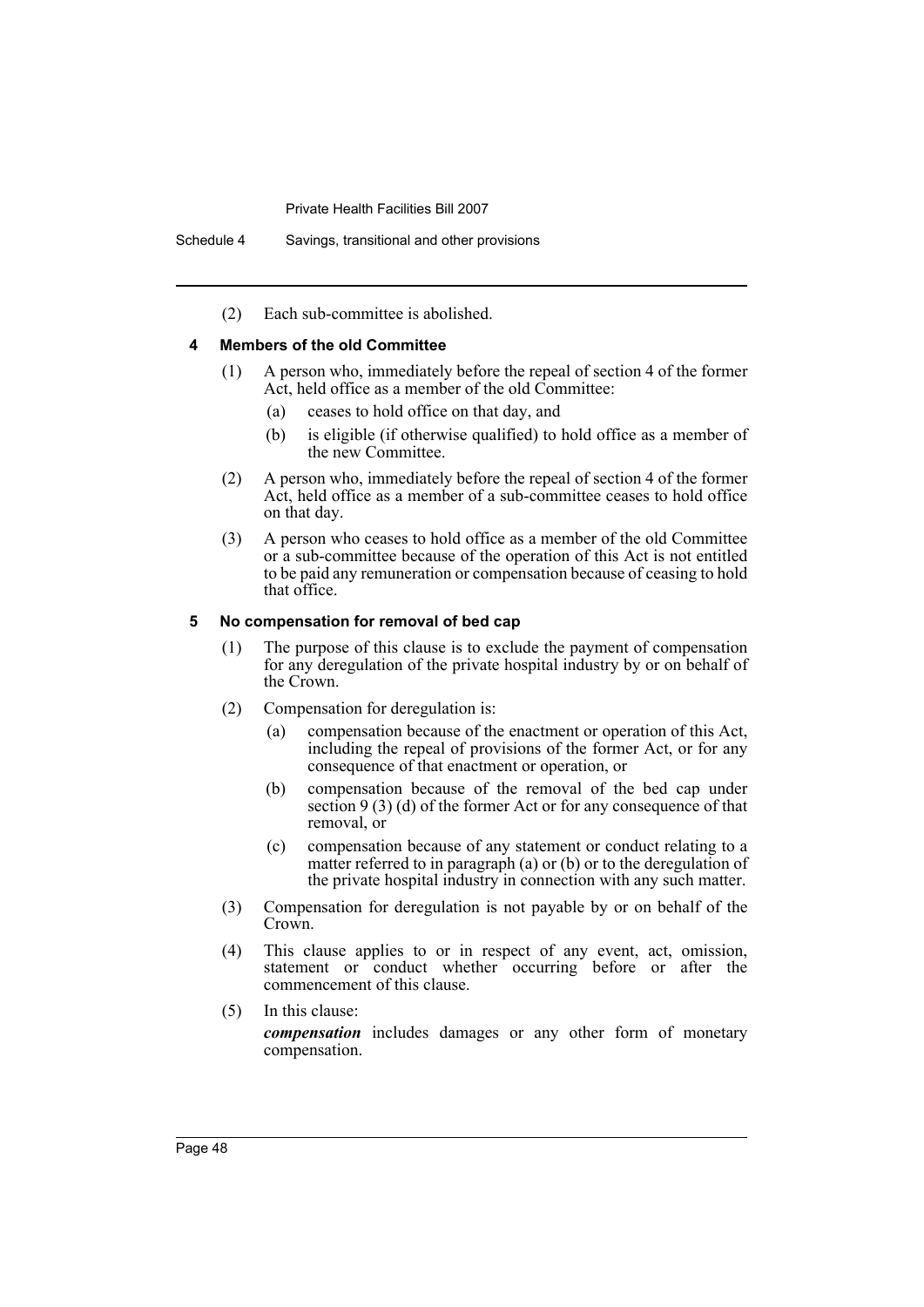(2) Each sub-committee is abolished.

#### **4 Members of the old Committee**

- (1) A person who, immediately before the repeal of section 4 of the former Act, held office as a member of the old Committee:
	- (a) ceases to hold office on that day, and
	- (b) is eligible (if otherwise qualified) to hold office as a member of the new Committee.
- (2) A person who, immediately before the repeal of section 4 of the former Act, held office as a member of a sub-committee ceases to hold office on that day.
- (3) A person who ceases to hold office as a member of the old Committee or a sub-committee because of the operation of this Act is not entitled to be paid any remuneration or compensation because of ceasing to hold that office.

#### **5 No compensation for removal of bed cap**

- (1) The purpose of this clause is to exclude the payment of compensation for any deregulation of the private hospital industry by or on behalf of the Crown.
- (2) Compensation for deregulation is:
	- (a) compensation because of the enactment or operation of this Act, including the repeal of provisions of the former Act, or for any consequence of that enactment or operation, or
	- (b) compensation because of the removal of the bed cap under section 9 (3) (d) of the former Act or for any consequence of that removal, or
	- (c) compensation because of any statement or conduct relating to a matter referred to in paragraph (a) or (b) or to the deregulation of the private hospital industry in connection with any such matter.
- (3) Compensation for deregulation is not payable by or on behalf of the Crown.
- (4) This clause applies to or in respect of any event, act, omission, statement or conduct whether occurring before or after the commencement of this clause.
- (5) In this clause:

*compensation* includes damages or any other form of monetary compensation.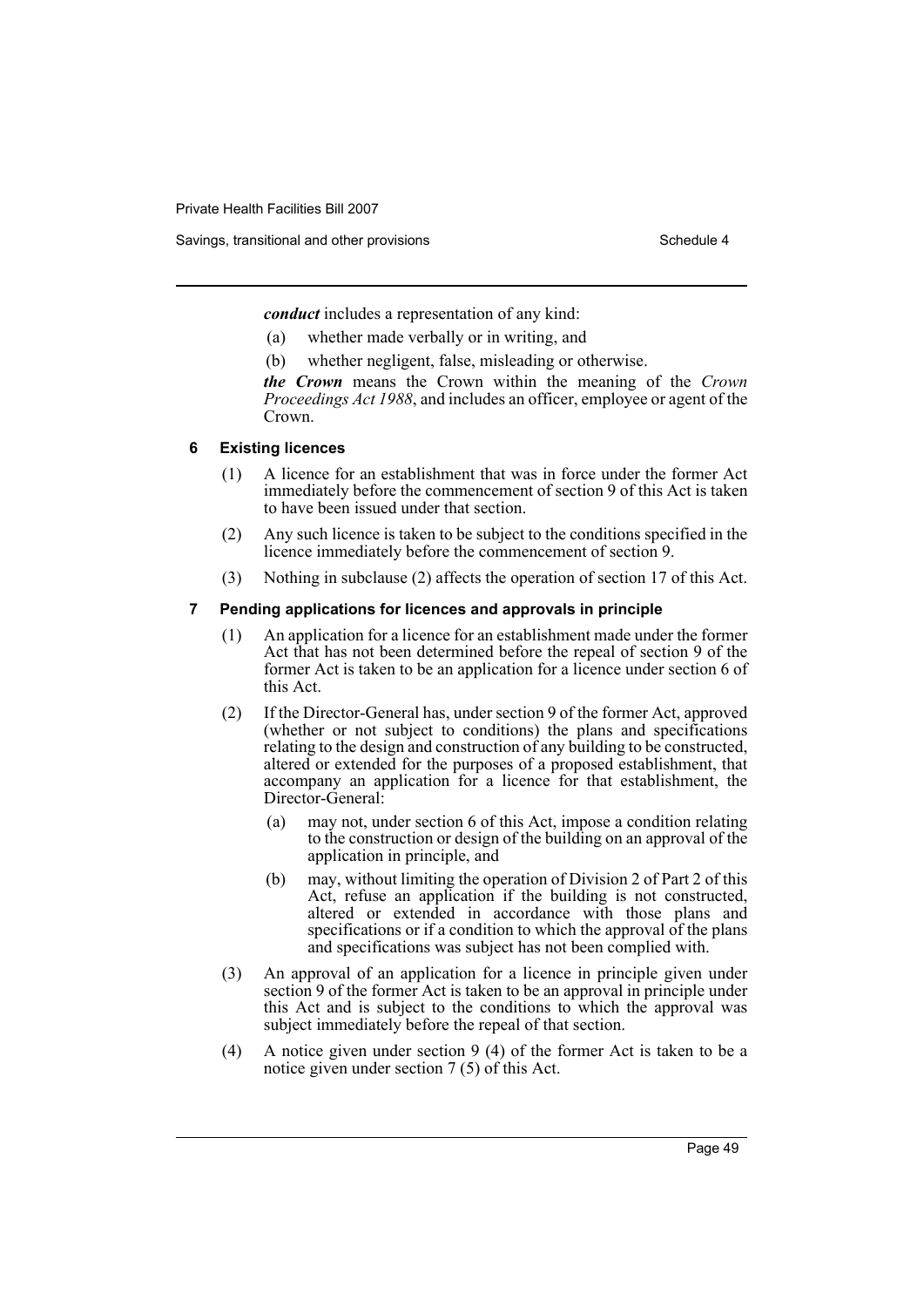*conduct* includes a representation of any kind:

- (a) whether made verbally or in writing, and
- (b) whether negligent, false, misleading or otherwise.

*the Crown* means the Crown within the meaning of the *Crown Proceedings Act 1988*, and includes an officer, employee or agent of the Crown.

#### **6 Existing licences**

- (1) A licence for an establishment that was in force under the former Act immediately before the commencement of section 9 of this Act is taken to have been issued under that section.
- (2) Any such licence is taken to be subject to the conditions specified in the licence immediately before the commencement of section 9.
- (3) Nothing in subclause (2) affects the operation of section 17 of this Act.

#### **7 Pending applications for licences and approvals in principle**

- (1) An application for a licence for an establishment made under the former Act that has not been determined before the repeal of section 9 of the former Act is taken to be an application for a licence under section 6 of this Act.
- (2) If the Director-General has, under section 9 of the former Act, approved (whether or not subject to conditions) the plans and specifications relating to the design and construction of any building to be constructed, altered or extended for the purposes of a proposed establishment, that accompany an application for a licence for that establishment, the Director-General:
	- (a) may not, under section 6 of this Act, impose a condition relating to the construction or design of the building on an approval of the application in principle, and
	- (b) may, without limiting the operation of Division 2 of Part 2 of this Act, refuse an application if the building is not constructed, altered or extended in accordance with those plans and specifications or if a condition to which the approval of the plans and specifications was subject has not been complied with.
- (3) An approval of an application for a licence in principle given under section 9 of the former Act is taken to be an approval in principle under this Act and is subject to the conditions to which the approval was subject immediately before the repeal of that section.
- (4) A notice given under section 9 (4) of the former Act is taken to be a notice given under section 7 (5) of this Act.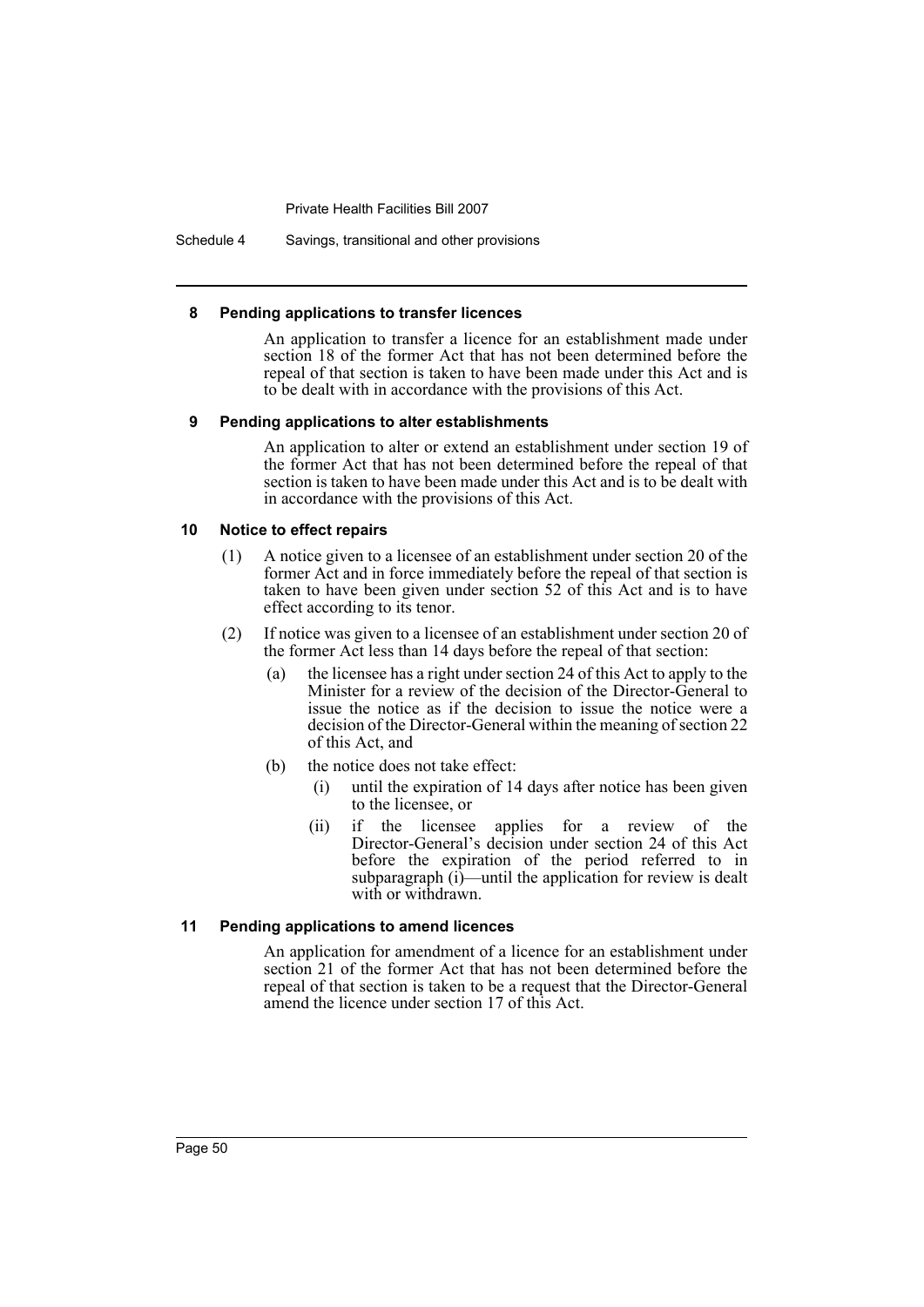Schedule 4 Savings, transitional and other provisions

#### **8 Pending applications to transfer licences**

An application to transfer a licence for an establishment made under section 18 of the former Act that has not been determined before the repeal of that section is taken to have been made under this Act and is to be dealt with in accordance with the provisions of this Act.

#### **9 Pending applications to alter establishments**

An application to alter or extend an establishment under section 19 of the former Act that has not been determined before the repeal of that section is taken to have been made under this Act and is to be dealt with in accordance with the provisions of this Act.

#### **10 Notice to effect repairs**

- (1) A notice given to a licensee of an establishment under section 20 of the former Act and in force immediately before the repeal of that section is taken to have been given under section 52 of this Act and is to have effect according to its tenor.
- (2) If notice was given to a licensee of an establishment under section 20 of the former Act less than 14 days before the repeal of that section:
	- (a) the licensee has a right under section 24 of this Act to apply to the Minister for a review of the decision of the Director-General to issue the notice as if the decision to issue the notice were a decision of the Director-General within the meaning of section 22 of this Act, and
	- (b) the notice does not take effect:
		- (i) until the expiration of 14 days after notice has been given to the licensee, or
		- (ii) if the licensee applies for a review of the Director-General's decision under section 24 of this Act before the expiration of the period referred to in subparagraph (i)—until the application for review is dealt with or withdrawn.

#### **11 Pending applications to amend licences**

An application for amendment of a licence for an establishment under section 21 of the former Act that has not been determined before the repeal of that section is taken to be a request that the Director-General amend the licence under section 17 of this Act.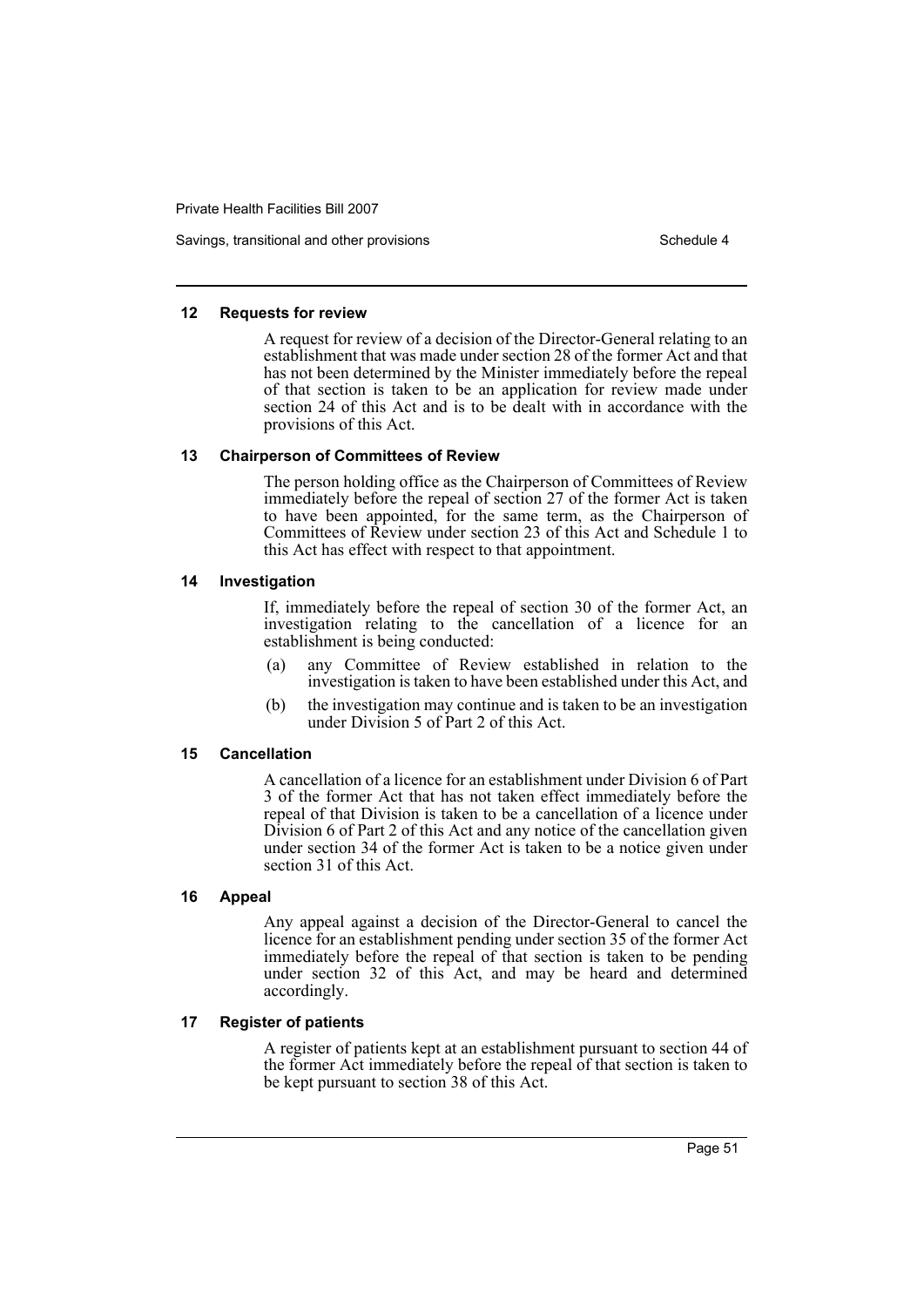Savings, transitional and other provisions Schedule 4 and the state of the Schedule 4

#### **12 Requests for review**

A request for review of a decision of the Director-General relating to an establishment that was made under section 28 of the former Act and that has not been determined by the Minister immediately before the repeal of that section is taken to be an application for review made under section 24 of this Act and is to be dealt with in accordance with the provisions of this Act.

#### **13 Chairperson of Committees of Review**

The person holding office as the Chairperson of Committees of Review immediately before the repeal of section 27 of the former Act is taken to have been appointed, for the same term, as the Chairperson of Committees of Review under section 23 of this Act and Schedule 1 to this Act has effect with respect to that appointment.

#### **14 Investigation**

If, immediately before the repeal of section 30 of the former Act, an investigation relating to the cancellation of a licence for an establishment is being conducted:

- (a) any Committee of Review established in relation to the investigation is taken to have been established under this Act, and
- (b) the investigation may continue and is taken to be an investigation under Division 5 of Part 2 of this Act.

#### **15 Cancellation**

A cancellation of a licence for an establishment under Division 6 of Part 3 of the former Act that has not taken effect immediately before the repeal of that Division is taken to be a cancellation of a licence under Division 6 of Part 2 of this Act and any notice of the cancellation given under section 34 of the former Act is taken to be a notice given under section 31 of this Act.

#### **16 Appeal**

Any appeal against a decision of the Director-General to cancel the licence for an establishment pending under section 35 of the former Act immediately before the repeal of that section is taken to be pending under section 32 of this Act, and may be heard and determined accordingly.

#### **17 Register of patients**

A register of patients kept at an establishment pursuant to section 44 of the former Act immediately before the repeal of that section is taken to be kept pursuant to section 38 of this Act.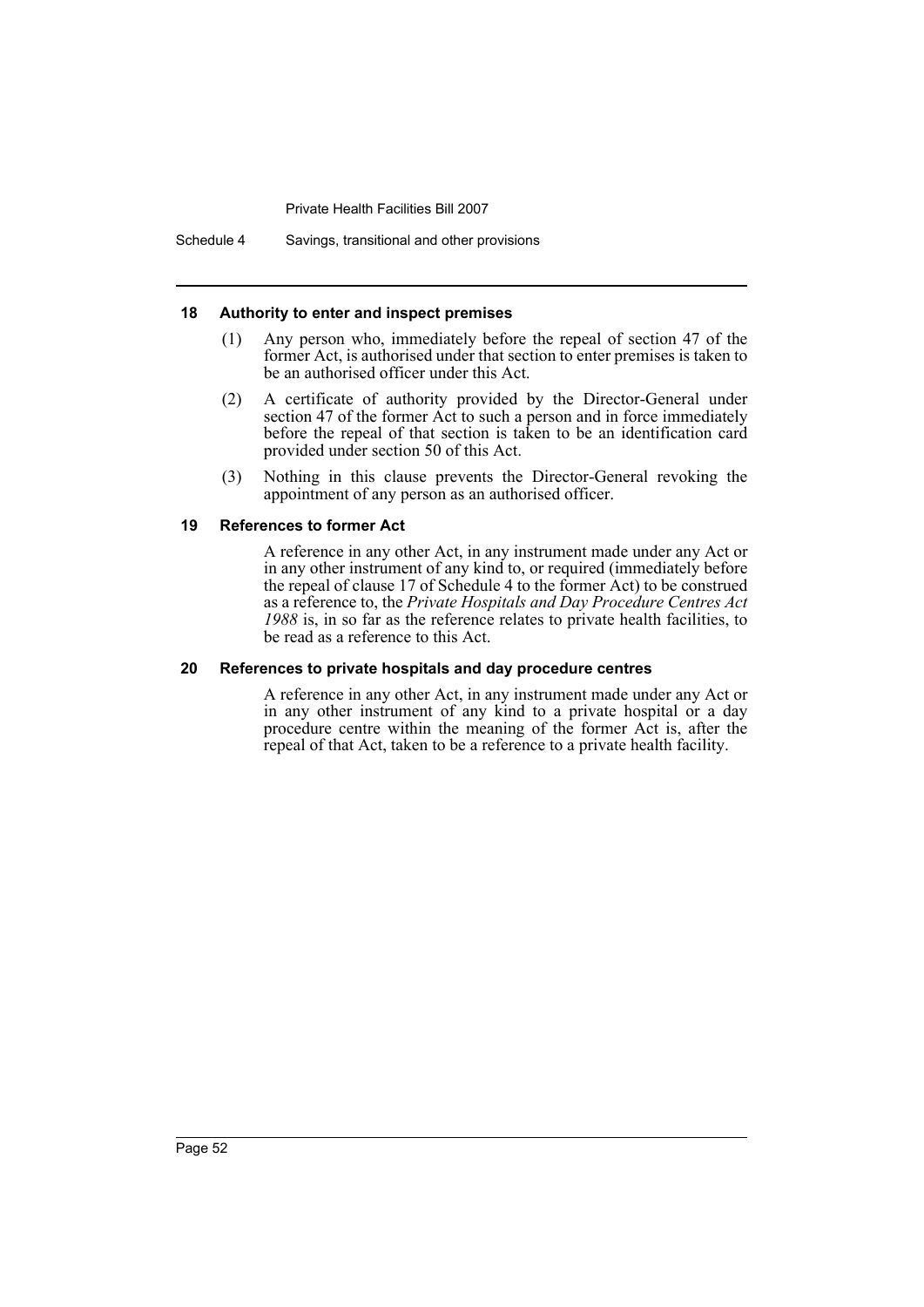Schedule 4 Savings, transitional and other provisions

#### **18 Authority to enter and inspect premises**

- (1) Any person who, immediately before the repeal of section 47 of the former Act, is authorised under that section to enter premises is taken to be an authorised officer under this Act.
- (2) A certificate of authority provided by the Director-General under section 47 of the former Act to such a person and in force immediately before the repeal of that section is taken to be an identification card provided under section 50 of this Act.
- (3) Nothing in this clause prevents the Director-General revoking the appointment of any person as an authorised officer.

#### **19 References to former Act**

A reference in any other Act, in any instrument made under any Act or in any other instrument of any kind to, or required (immediately before the repeal of clause 17 of Schedule 4 to the former Act) to be construed as a reference to, the *Private Hospitals and Day Procedure Centres Act 1988* is, in so far as the reference relates to private health facilities, to be read as a reference to this Act.

#### **20 References to private hospitals and day procedure centres**

A reference in any other Act, in any instrument made under any Act or in any other instrument of any kind to a private hospital or a day procedure centre within the meaning of the former Act is, after the repeal of that Act, taken to be a reference to a private health facility.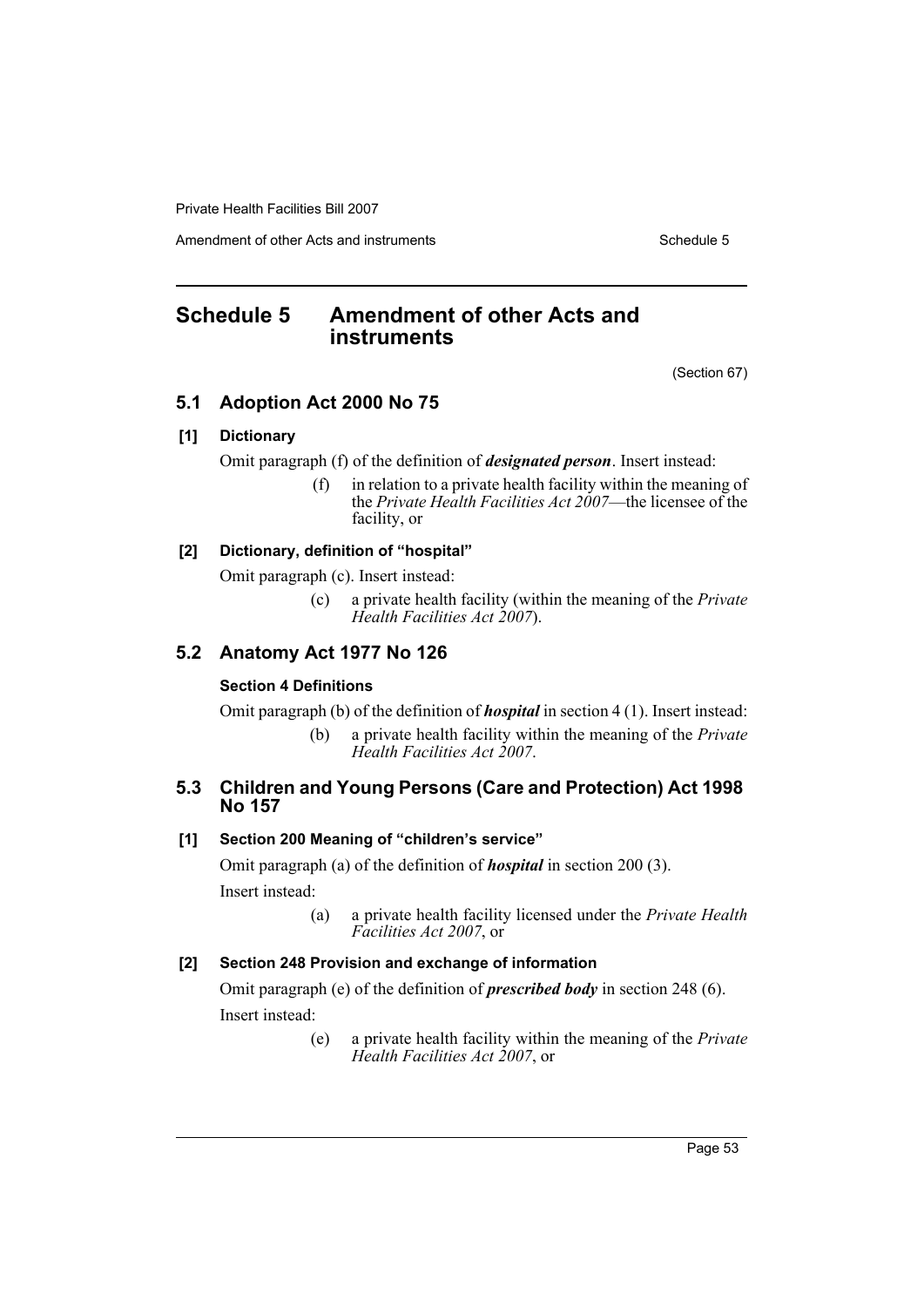Amendment of other Acts and instruments Schedule 5

# <span id="page-56-0"></span>**Schedule 5 Amendment of other Acts and instruments**

(Section 67)

# **5.1 Adoption Act 2000 No 75**

# **[1] Dictionary**

Omit paragraph (f) of the definition of *designated person*. Insert instead:

(f) in relation to a private health facility within the meaning of the *Private Health Facilities Act 2007*—the licensee of the facility, or

#### **[2] Dictionary, definition of "hospital"**

Omit paragraph (c). Insert instead:

(c) a private health facility (within the meaning of the *Private Health Facilities Act 2007*).

# **5.2 Anatomy Act 1977 No 126**

#### **Section 4 Definitions**

Omit paragraph (b) of the definition of *hospital* in section 4 (1). Insert instead:

(b) a private health facility within the meaning of the *Private Health Facilities Act 2007*.

# **5.3 Children and Young Persons (Care and Protection) Act 1998 No 157**

# **[1] Section 200 Meaning of "children's service"**

Omit paragraph (a) of the definition of *hospital* in section 200 (3).

Insert instead:

(a) a private health facility licensed under the *Private Health Facilities Act 2007*, or

# **[2] Section 248 Provision and exchange of information**

Omit paragraph (e) of the definition of *prescribed body* in section 248 (6). Insert instead:

> (e) a private health facility within the meaning of the *Private Health Facilities Act 2007*, or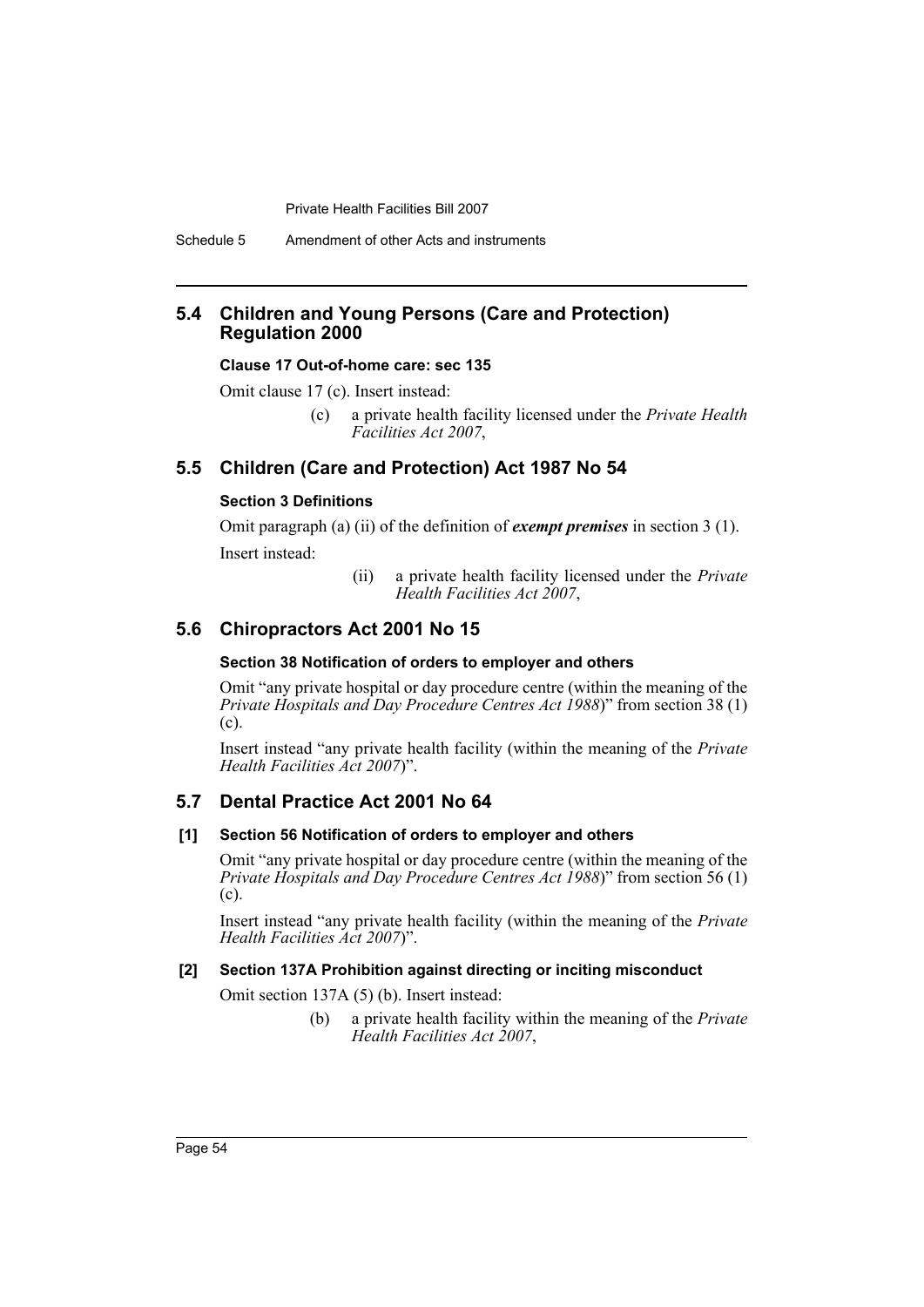Schedule 5 Amendment of other Acts and instruments

# **5.4 Children and Young Persons (Care and Protection) Regulation 2000**

#### **Clause 17 Out-of-home care: sec 135**

Omit clause 17 (c). Insert instead:

(c) a private health facility licensed under the *Private Health Facilities Act 2007*,

# **5.5 Children (Care and Protection) Act 1987 No 54**

# **Section 3 Definitions**

Omit paragraph (a) (ii) of the definition of *exempt premises* in section 3 (1). Insert instead:

> (ii) a private health facility licensed under the *Private Health Facilities Act 2007*,

# **5.6 Chiropractors Act 2001 No 15**

#### **Section 38 Notification of orders to employer and others**

Omit "any private hospital or day procedure centre (within the meaning of the *Private Hospitals and Day Procedure Centres Act 1988*)" from section 38 (1) (c).

Insert instead "any private health facility (within the meaning of the *Private Health Facilities Act 2007*)".

# **5.7 Dental Practice Act 2001 No 64**

#### **[1] Section 56 Notification of orders to employer and others**

Omit "any private hospital or day procedure centre (within the meaning of the *Private Hospitals and Day Procedure Centres Act 1988*)" from section 56 (1) (c).

Insert instead "any private health facility (within the meaning of the *Private Health Facilities Act 2007*)".

#### **[2] Section 137A Prohibition against directing or inciting misconduct**

Omit section 137A (5) (b). Insert instead:

(b) a private health facility within the meaning of the *Private Health Facilities Act 2007*,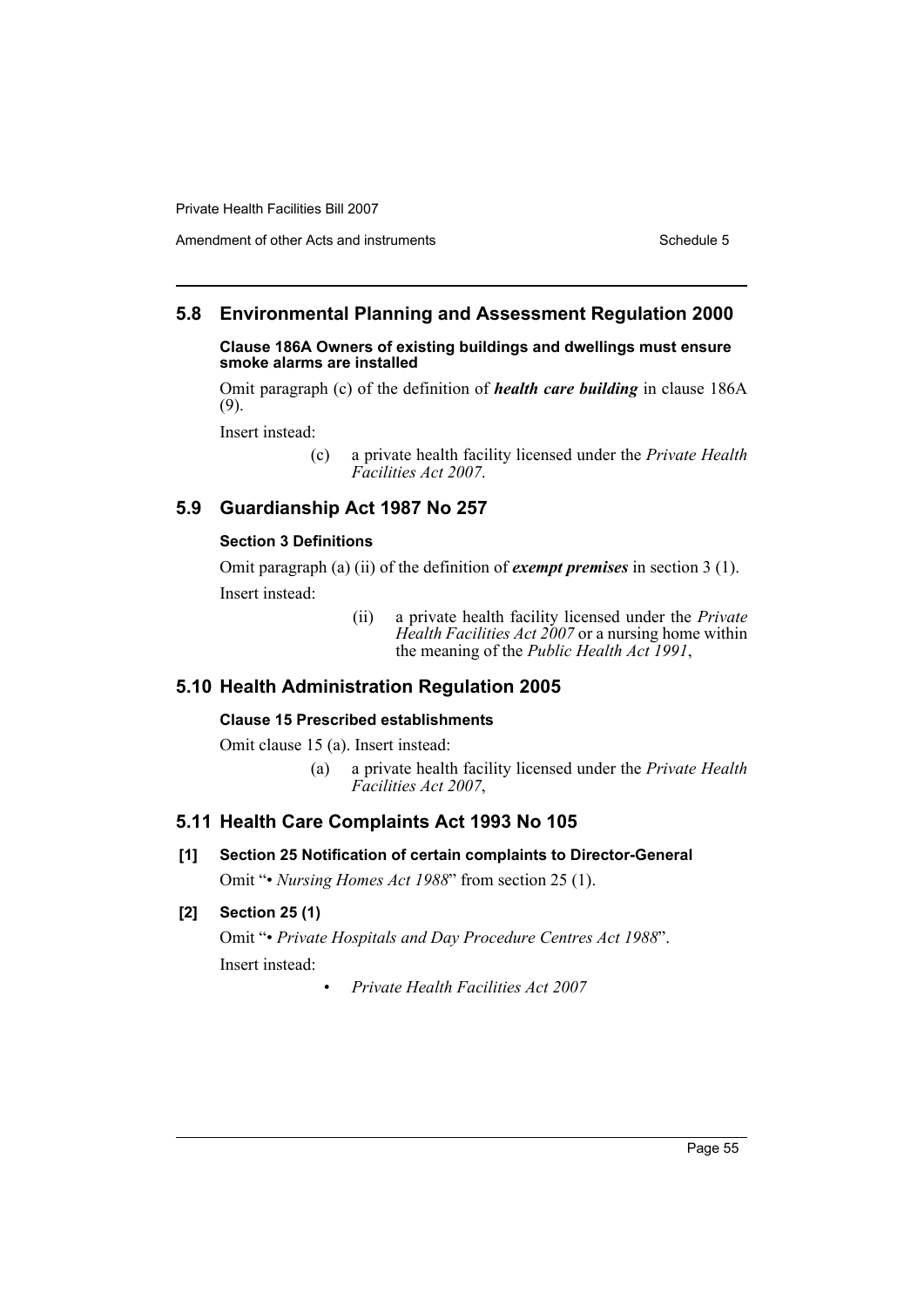## Amendment of other Acts and instruments Schedule 5

# **5.8 Environmental Planning and Assessment Regulation 2000**

**Clause 186A Owners of existing buildings and dwellings must ensure smoke alarms are installed**

Omit paragraph (c) of the definition of *health care building* in clause 186A (9).

Insert instead:

# **5.9 Guardianship Act 1987 No 257**

#### **Section 3 Definitions**

Omit paragraph (a) (ii) of the definition of *exempt premises* in section 3 (1). Insert instead:

> (ii) a private health facility licensed under the *Private Health Facilities Act 2007* or a nursing home within the meaning of the *Public Health Act 1991*,

#### **5.10 Health Administration Regulation 2005**

#### **Clause 15 Prescribed establishments**

Omit clause 15 (a). Insert instead:

(a) a private health facility licensed under the *Private Health Facilities Act 2007*,

#### **5.11 Health Care Complaints Act 1993 No 105**

**[1] Section 25 Notification of certain complaints to Director-General** Omit "• *Nursing Homes Act 1988*" from section 25 (1).

#### **[2] Section 25 (1)**

Omit "• *Private Hospitals and Day Procedure Centres Act 1988*". Insert instead:

• *Private Health Facilities Act 2007*

<sup>(</sup>c) a private health facility licensed under the *Private Health Facilities Act 2007*.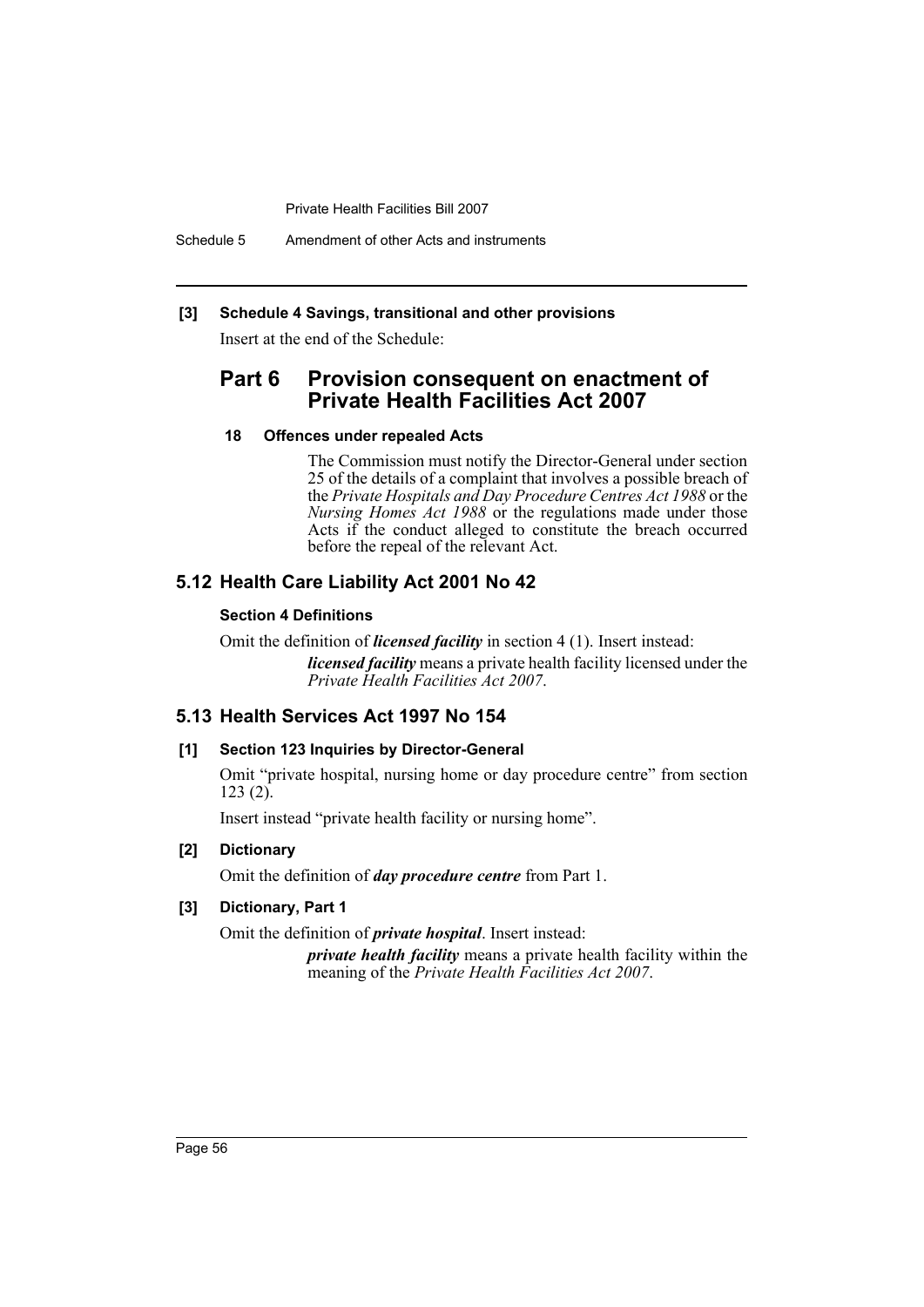Schedule 5 Amendment of other Acts and instruments

## **[3] Schedule 4 Savings, transitional and other provisions**

Insert at the end of the Schedule:

# **Part 6 Provision consequent on enactment of Private Health Facilities Act 2007**

#### **18 Offences under repealed Acts**

The Commission must notify the Director-General under section 25 of the details of a complaint that involves a possible breach of the *Private Hospitals and Day Procedure Centres Act 1988* or the *Nursing Homes Act 1988* or the regulations made under those Acts if the conduct alleged to constitute the breach occurred before the repeal of the relevant Act.

# **5.12 Health Care Liability Act 2001 No 42**

#### **Section 4 Definitions**

Omit the definition of *licensed facility* in section 4 (1). Insert instead: *licensed facility* means a private health facility licensed under the *Private Health Facilities Act 2007*.

# **5.13 Health Services Act 1997 No 154**

#### **[1] Section 123 Inquiries by Director-General**

Omit "private hospital, nursing home or day procedure centre" from section 123 (2).

Insert instead "private health facility or nursing home".

## **[2] Dictionary**

Omit the definition of *day procedure centre* from Part 1.

## **[3] Dictionary, Part 1**

Omit the definition of *private hospital*. Insert instead:

*private health facility* means a private health facility within the meaning of the *Private Health Facilities Act 2007*.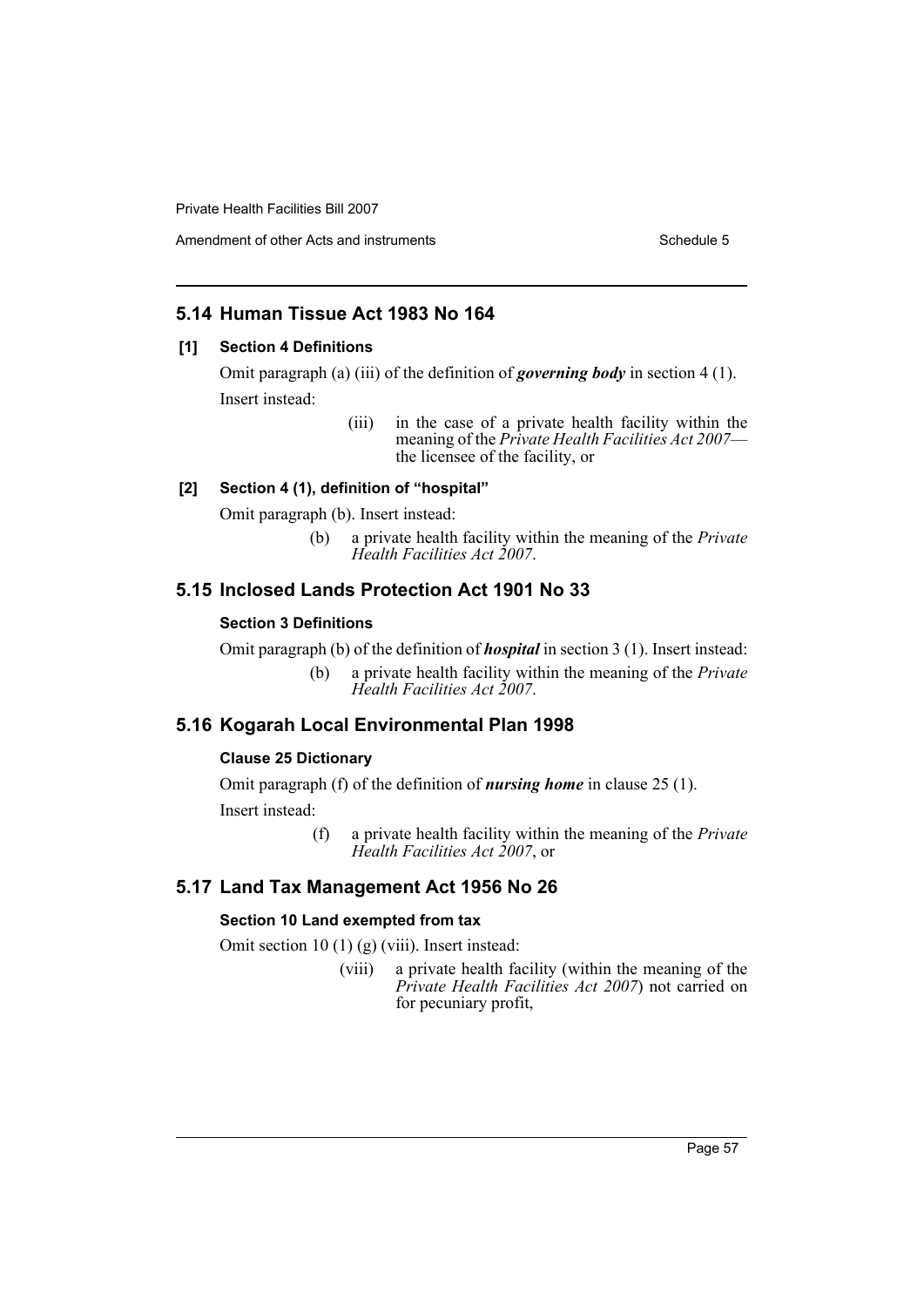# **5.14 Human Tissue Act 1983 No 164**

#### **[1] Section 4 Definitions**

Omit paragraph (a) (iii) of the definition of *governing body* in section 4 (1). Insert instead:

> (iii) in the case of a private health facility within the meaning of the *Private Health Facilities Act 2007*— the licensee of the facility, or

#### **[2] Section 4 (1), definition of "hospital"**

Omit paragraph (b). Insert instead:

(b) a private health facility within the meaning of the *Private Health Facilities Act 2007*.

# **5.15 Inclosed Lands Protection Act 1901 No 33**

#### **Section 3 Definitions**

Omit paragraph (b) of the definition of *hospital* in section 3 (1). Insert instead:

(b) a private health facility within the meaning of the *Private Health Facilities Act 2007*.

# **5.16 Kogarah Local Environmental Plan 1998**

#### **Clause 25 Dictionary**

Omit paragraph (f) of the definition of *nursing home* in clause 25 (1). Insert instead:

> (f) a private health facility within the meaning of the *Private Health Facilities Act 2007*, or

#### **5.17 Land Tax Management Act 1956 No 26**

#### **Section 10 Land exempted from tax**

Omit section 10 (1) (g) (viii). Insert instead:

(viii) a private health facility (within the meaning of the *Private Health Facilities Act 2007*) not carried on for pecuniary profit,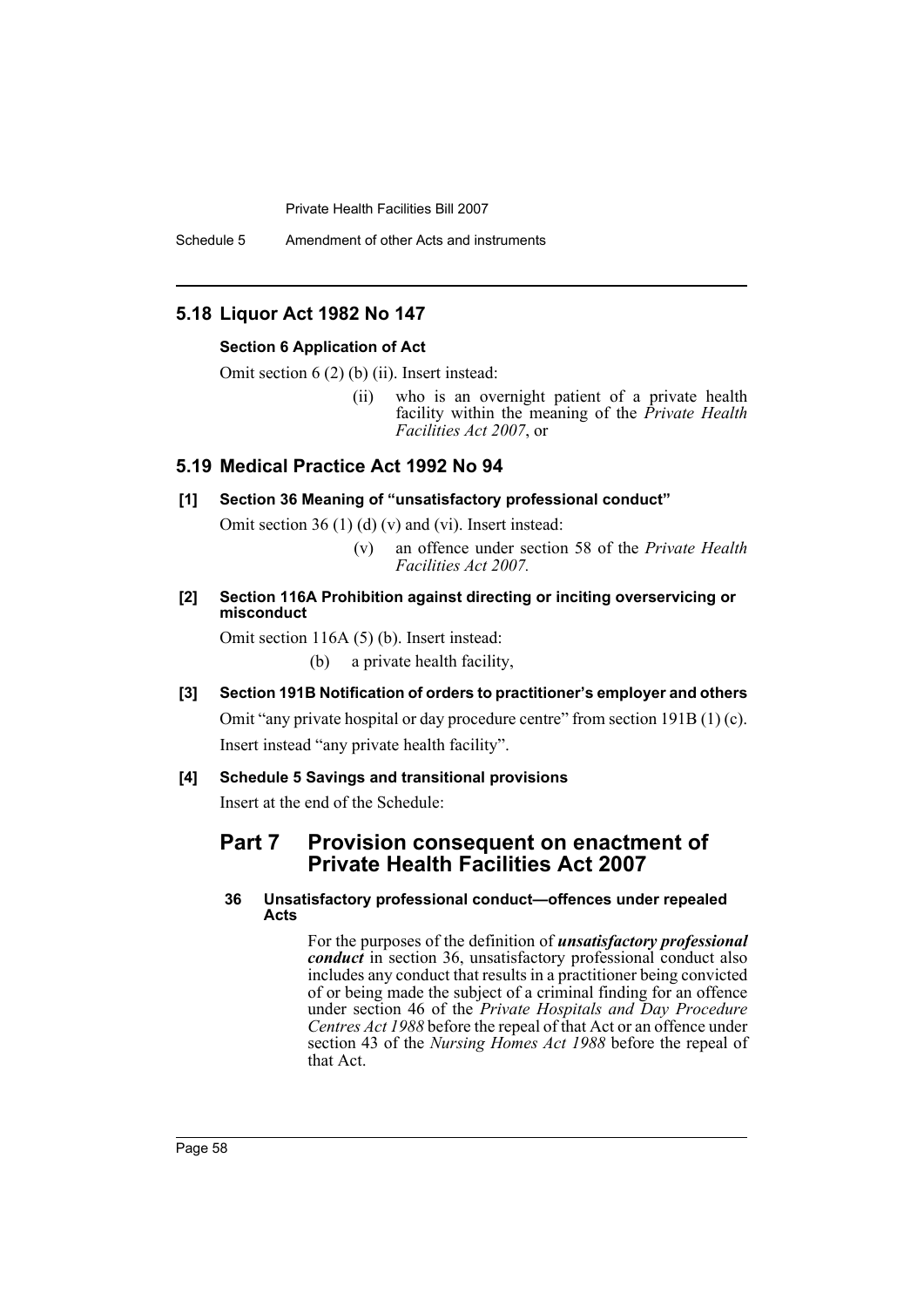Schedule 5 Amendment of other Acts and instruments

# **5.18 Liquor Act 1982 No 147**

#### **Section 6 Application of Act**

Omit section 6 (2) (b) (ii). Insert instead:

(ii) who is an overnight patient of a private health facility within the meaning of the *Private Health Facilities Act 2007*, or

# **5.19 Medical Practice Act 1992 No 94**

### **[1] Section 36 Meaning of "unsatisfactory professional conduct"**

Omit section 36 (1) (d) (v) and (vi). Insert instead:

- (v) an offence under section 58 of the *Private Health Facilities Act 2007.*
- **[2] Section 116A Prohibition against directing or inciting overservicing or misconduct**

Omit section 116A (5) (b). Insert instead:

(b) a private health facility,

**[3] Section 191B Notification of orders to practitioner's employer and others**

Omit "any private hospital or day procedure centre" from section 191B (1) (c). Insert instead "any private health facility".

### **[4] Schedule 5 Savings and transitional provisions**

Insert at the end of the Schedule:

# **Part 7 Provision consequent on enactment of Private Health Facilities Act 2007**

#### **36 Unsatisfactory professional conduct—offences under repealed Acts**

For the purposes of the definition of *unsatisfactory professional conduct* in section 36, unsatisfactory professional conduct also includes any conduct that results in a practitioner being convicted of or being made the subject of a criminal finding for an offence under section 46 of the *Private Hospitals and Day Procedure Centres Act 1988* before the repeal of that Act or an offence under section 43 of the *Nursing Homes Act 1988* before the repeal of that Act.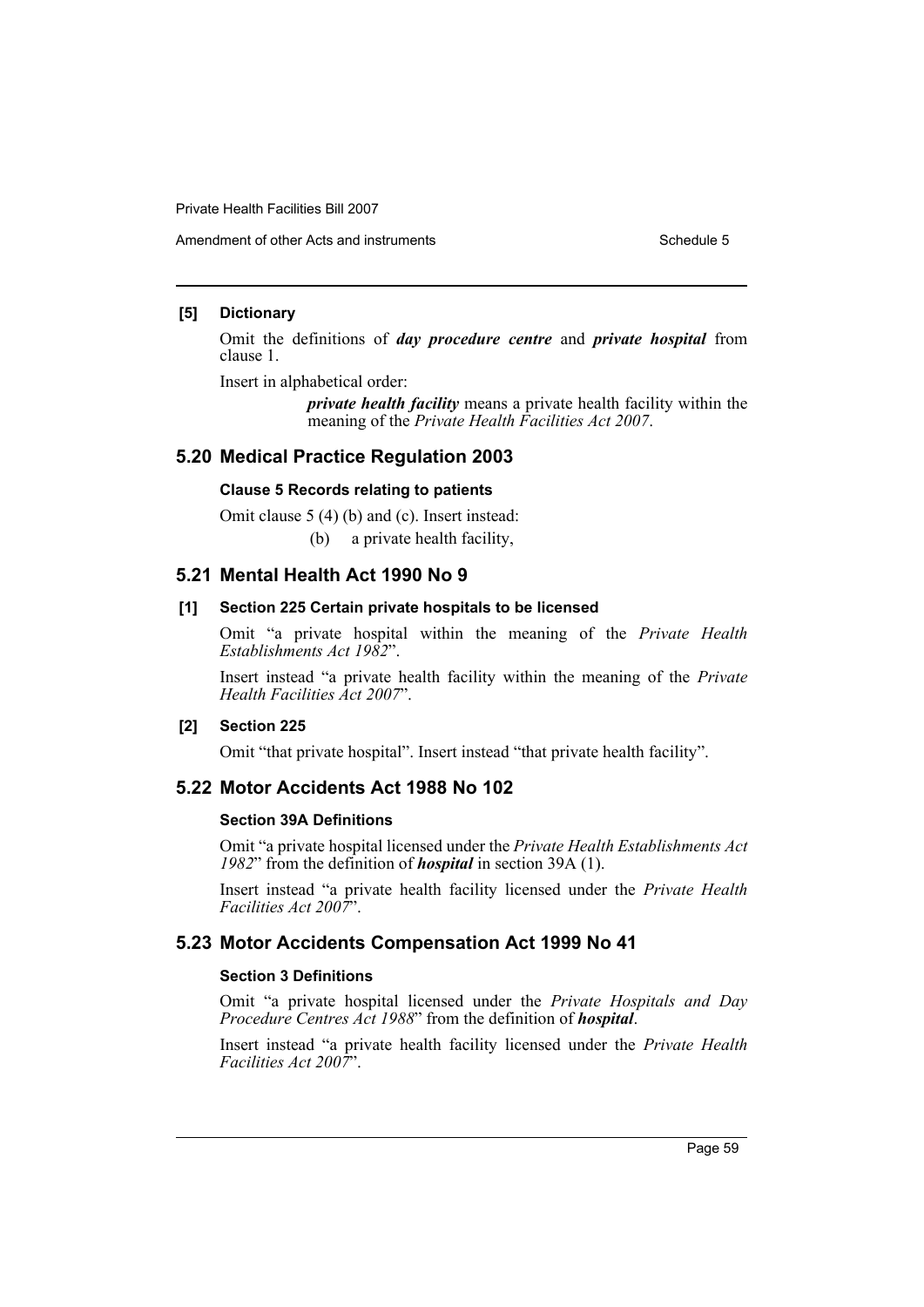#### **[5] Dictionary**

Omit the definitions of *day procedure centre* and *private hospital* from clause 1.

Insert in alphabetical order:

*private health facility* means a private health facility within the meaning of the *Private Health Facilities Act 2007*.

# **5.20 Medical Practice Regulation 2003**

#### **Clause 5 Records relating to patients**

Omit clause 5 (4) (b) and (c). Insert instead:

(b) a private health facility,

# **5.21 Mental Health Act 1990 No 9**

#### **[1] Section 225 Certain private hospitals to be licensed**

Omit "a private hospital within the meaning of the *Private Health Establishments Act 1982*".

Insert instead "a private health facility within the meaning of the *Private Health Facilities Act 2007*".

#### **[2] Section 225**

Omit "that private hospital". Insert instead "that private health facility".

# **5.22 Motor Accidents Act 1988 No 102**

#### **Section 39A Definitions**

Omit "a private hospital licensed under the *Private Health Establishments Act 1982*" from the definition of *hospital* in section 39A (1).

Insert instead "a private health facility licensed under the *Private Health Facilities Act 2007*".

# **5.23 Motor Accidents Compensation Act 1999 No 41**

#### **Section 3 Definitions**

Omit "a private hospital licensed under the *Private Hospitals and Day Procedure Centres Act 1988*" from the definition of *hospital*.

Insert instead "a private health facility licensed under the *Private Health Facilities Act 2007*".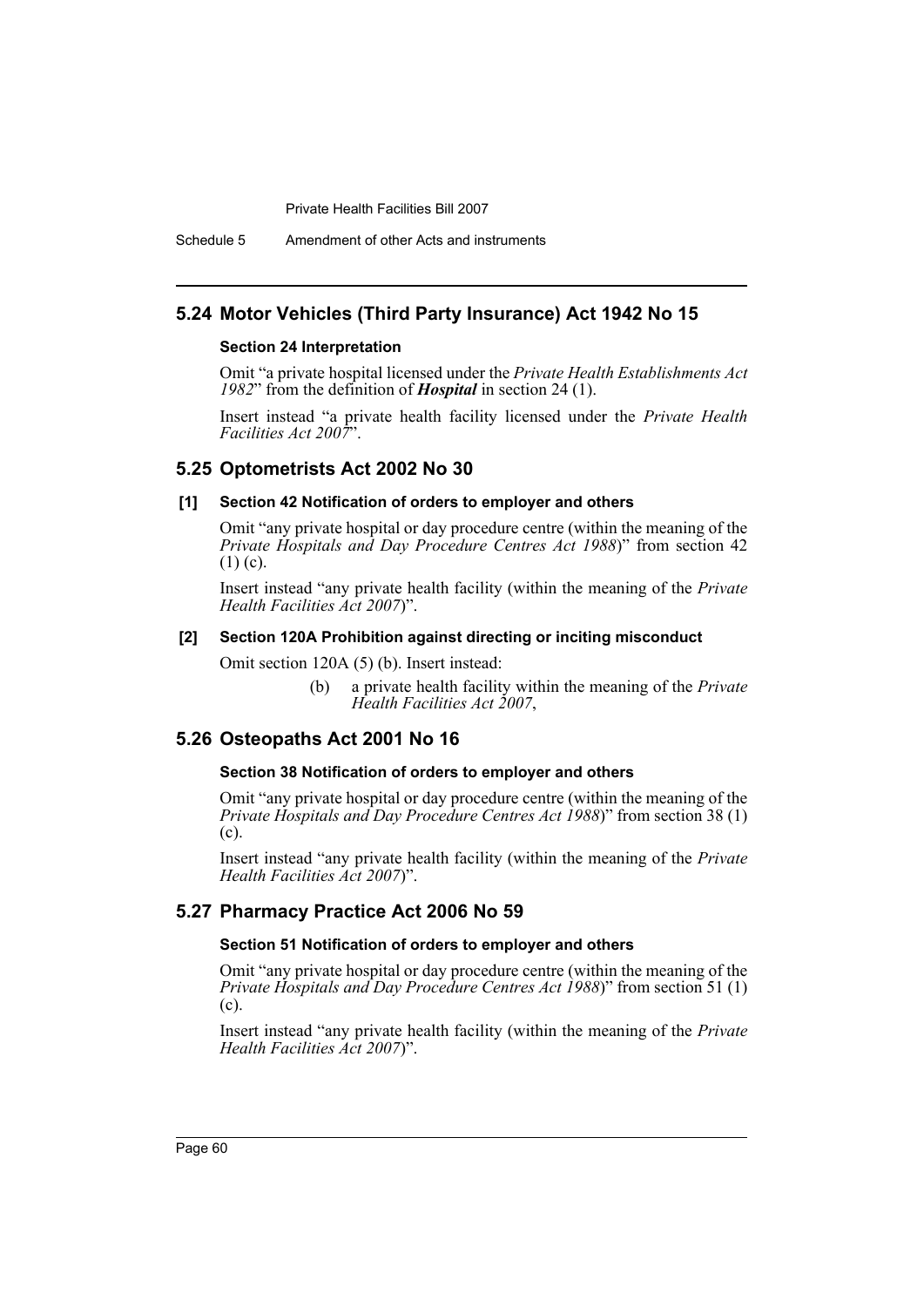Schedule 5 Amendment of other Acts and instruments

# **5.24 Motor Vehicles (Third Party Insurance) Act 1942 No 15**

#### **Section 24 Interpretation**

Omit "a private hospital licensed under the *Private Health Establishments Act 1982*" from the definition of *Hospital* in section 24 (1).

Insert instead "a private health facility licensed under the *Private Health Facilities Act 2007*".

#### **5.25 Optometrists Act 2002 No 30**

#### **[1] Section 42 Notification of orders to employer and others**

Omit "any private hospital or day procedure centre (within the meaning of the *Private Hospitals and Day Procedure Centres Act 1988*)" from section 42  $(1)$  (c).

Insert instead "any private health facility (within the meaning of the *Private Health Facilities Act 2007*)".

#### **[2] Section 120A Prohibition against directing or inciting misconduct**

Omit section 120A (5) (b). Insert instead:

(b) a private health facility within the meaning of the *Private Health Facilities Act 2007*,

#### **5.26 Osteopaths Act 2001 No 16**

#### **Section 38 Notification of orders to employer and others**

Omit "any private hospital or day procedure centre (within the meaning of the *Private Hospitals and Day Procedure Centres Act 1988*)" from section 38 (1) (c).

Insert instead "any private health facility (within the meaning of the *Private Health Facilities Act 2007*)".

# **5.27 Pharmacy Practice Act 2006 No 59**

#### **Section 51 Notification of orders to employer and others**

Omit "any private hospital or day procedure centre (within the meaning of the *Private Hospitals and Day Procedure Centres Act 1988*)" from section 51 (1) (c).

Insert instead "any private health facility (within the meaning of the *Private Health Facilities Act 2007*)".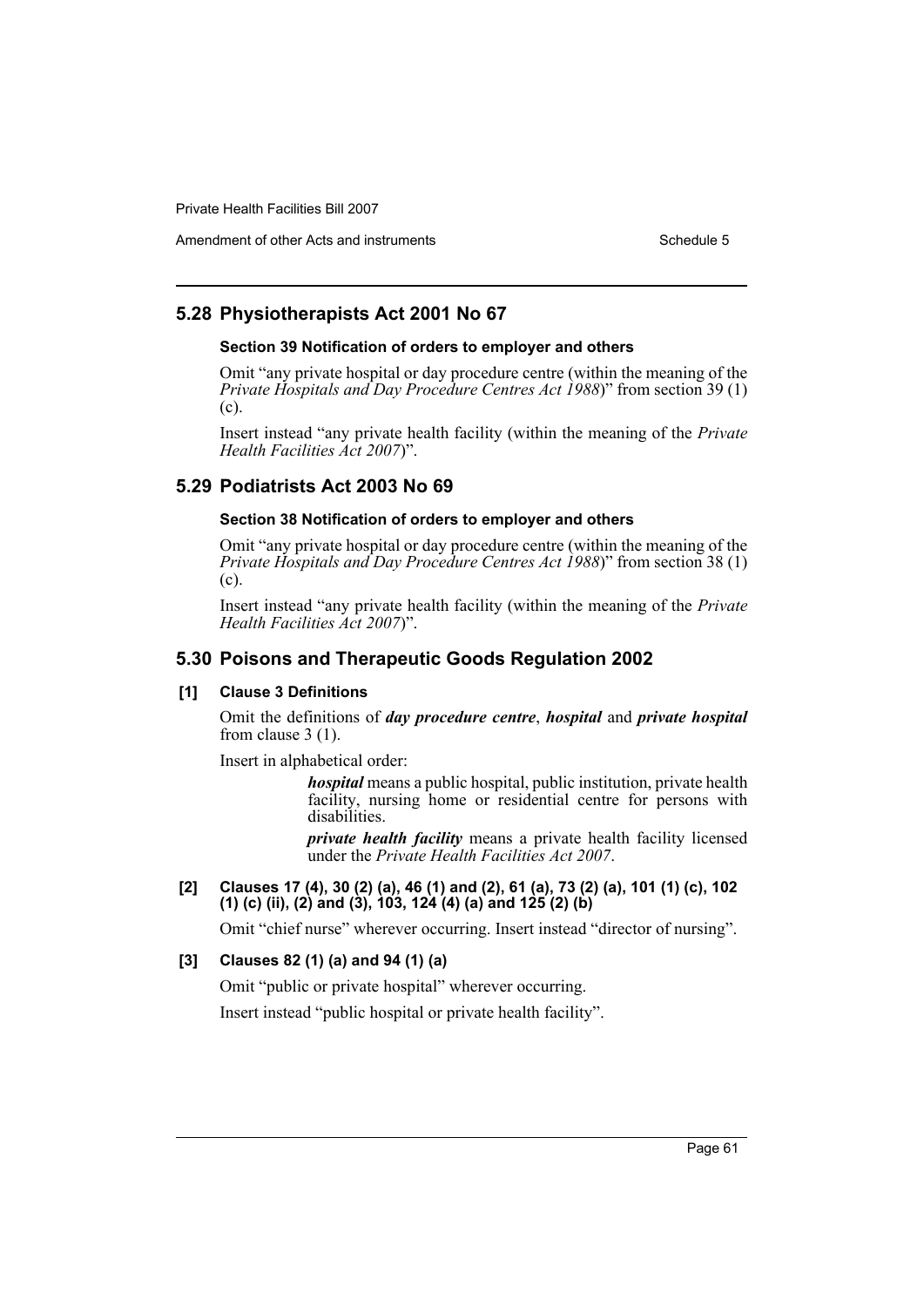Amendment of other Acts and instruments Schedule 5

# **5.28 Physiotherapists Act 2001 No 67**

#### **Section 39 Notification of orders to employer and others**

Omit "any private hospital or day procedure centre (within the meaning of the *Private Hospitals and Day Procedure Centres Act 1988*)" from section 39 (1) (c).

Insert instead "any private health facility (within the meaning of the *Private Health Facilities Act 2007*)".

# **5.29 Podiatrists Act 2003 No 69**

## **Section 38 Notification of orders to employer and others**

Omit "any private hospital or day procedure centre (within the meaning of the *Private Hospitals and Day Procedure Centres Act 1988*)" from section 38 (1) (c).

Insert instead "any private health facility (within the meaning of the *Private Health Facilities Act 2007*)".

# **5.30 Poisons and Therapeutic Goods Regulation 2002**

#### **[1] Clause 3 Definitions**

Omit the definitions of *day procedure centre*, *hospital* and *private hospital* from clause 3 (1).

Insert in alphabetical order:

*hospital* means a public hospital, public institution, private health facility, nursing home or residential centre for persons with disabilities.

*private health facility* means a private health facility licensed under the *Private Health Facilities Act 2007*.

**[2] Clauses 17 (4), 30 (2) (a), 46 (1) and (2), 61 (a), 73 (2) (a), 101 (1) (c), 102 (1) (c) (ii), (2) and (3), 103, 124 (4) (a) and 125 (2) (b)**

Omit "chief nurse" wherever occurring. Insert instead "director of nursing".

# **[3] Clauses 82 (1) (a) and 94 (1) (a)**

Omit "public or private hospital" wherever occurring.

Insert instead "public hospital or private health facility".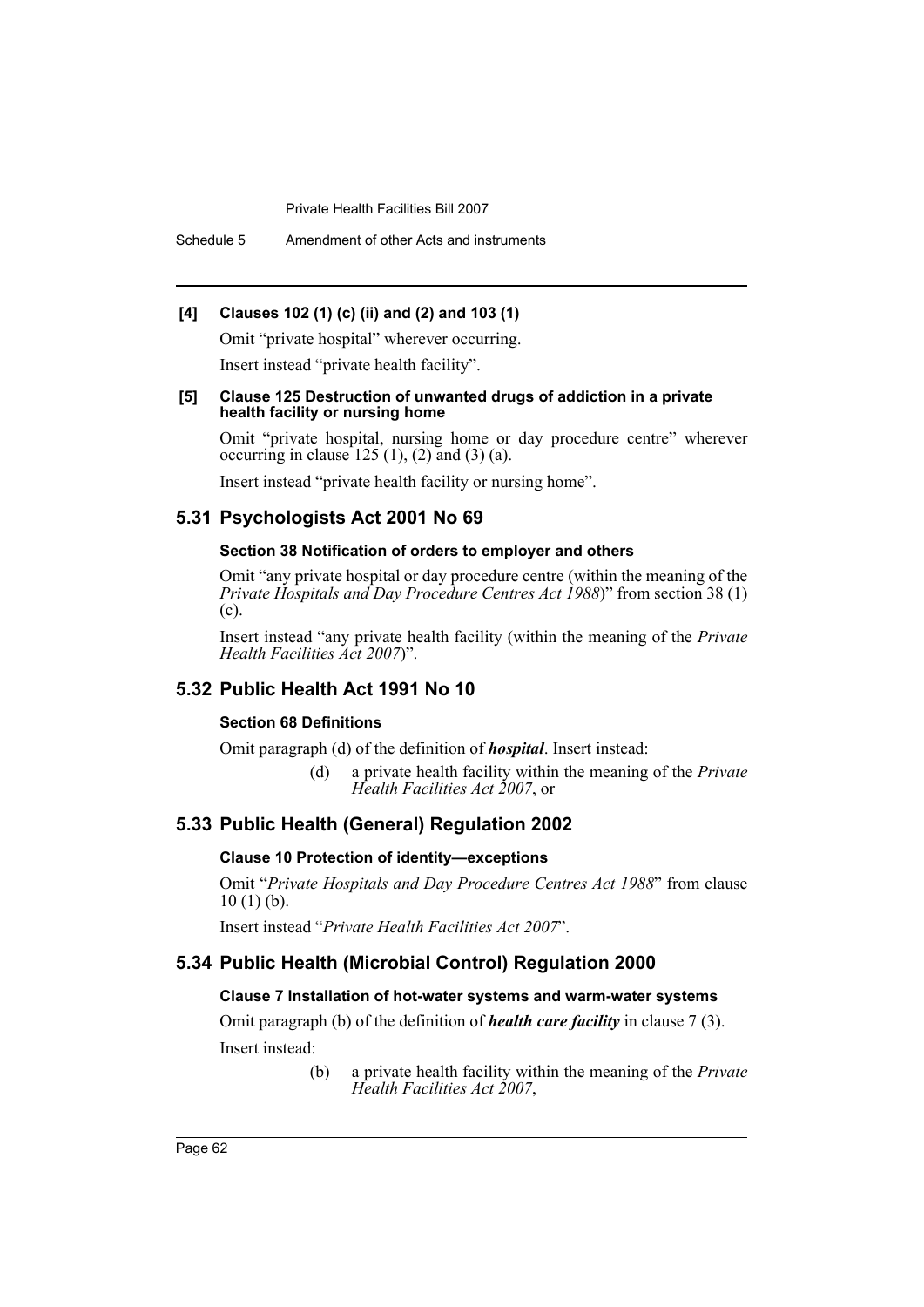Schedule 5 Amendment of other Acts and instruments

### **[4] Clauses 102 (1) (c) (ii) and (2) and 103 (1)**

Omit "private hospital" wherever occurring. Insert instead "private health facility".

#### **[5] Clause 125 Destruction of unwanted drugs of addiction in a private health facility or nursing home**

Omit "private hospital, nursing home or day procedure centre" wherever occurring in clause  $125(1)$ ,  $(2)$  and  $(3)$   $(a)$ .

Insert instead "private health facility or nursing home".

# **5.31 Psychologists Act 2001 No 69**

# **Section 38 Notification of orders to employer and others**

Omit "any private hospital or day procedure centre (within the meaning of the *Private Hospitals and Day Procedure Centres Act 1988*)" from section 38 (1) (c).

Insert instead "any private health facility (within the meaning of the *Private Health Facilities Act 2007*)".

# **5.32 Public Health Act 1991 No 10**

#### **Section 68 Definitions**

Omit paragraph (d) of the definition of *hospital*. Insert instead:

(d) a private health facility within the meaning of the *Private Health Facilities Act 2007*, or

# **5.33 Public Health (General) Regulation 2002**

#### **Clause 10 Protection of identity—exceptions**

Omit "*Private Hospitals and Day Procedure Centres Act 1988*" from clause  $10(1)(b)$ .

Insert instead "*Private Health Facilities Act 2007*".

# **5.34 Public Health (Microbial Control) Regulation 2000**

## **Clause 7 Installation of hot-water systems and warm-water systems**

Omit paragraph (b) of the definition of *health care facility* in clause 7 (3). Insert instead:

> (b) a private health facility within the meaning of the *Private Health Facilities Act 2007*,